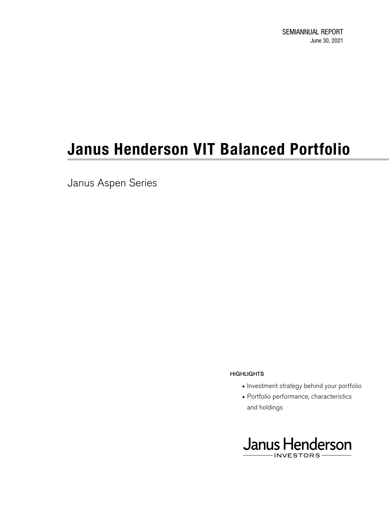Janus Aspen Series

### **HIGHLIGHTS**

- Investment strategy behind your portfolio
- Portfolio performance, characteristics and holdings

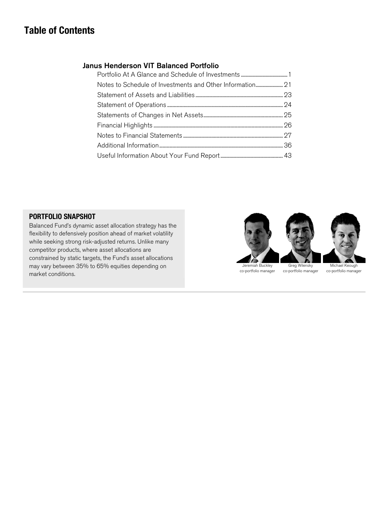## **Table of Contents**

### Janus Henderson VIT Balanced Portfolio

### **PORTFOLIO SNAPSHOT**

Balanced Fund's dynamic asset allocation strategy has the flexibility to defensively position ahead of market volatility while seeking strong risk-adjusted returns. Unlike many competitor products, where asset allocations are constrained by static targets, the Fund's asset allocations may vary between 35% to 65% equities depending on market conditions.

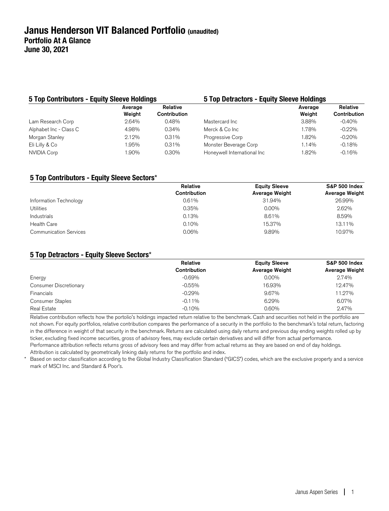| 5 Top Contributors - Equity Sleeve Holdings |                   |                          | 5 Top Detractors - Equity Sleeve Holdings |                   |                          |  |
|---------------------------------------------|-------------------|--------------------------|-------------------------------------------|-------------------|--------------------------|--|
|                                             | Average<br>Weiaht | Relative<br>Contribution |                                           | Average<br>Weight | Relative<br>Contribution |  |
| Lam Research Corp                           | $2.64\%$          | 0.48%                    | Mastercard Inc.                           | 3.88%             | $-0.40%$                 |  |
| Alphabet Inc - Class C                      | 4.98%             | 0.34%                    | Merck & Co Inc                            | 1.78%             | $-0.22%$                 |  |
| Morgan Stanley                              | $2.12\%$          | $0.31\%$                 | Progressive Corp                          | 1.82%             | $-0.20%$                 |  |
| Eli Lilly & Co                              | .95%              | $0.31\%$                 | Monster Beverage Corp                     | 1.14%             | $-0.18%$                 |  |
| <b>NVIDIA Corp</b>                          | .90%              | 0.30%                    | Honeywell International Inc               | 1.82%             | $-0.16%$                 |  |

### **5 Top Contributors - Equity Sleeve Sectors**\*

|                               | Relative     | <b>Equity Sleeve</b>  | <b>S&amp;P 500 Index</b> |
|-------------------------------|--------------|-----------------------|--------------------------|
|                               | Contribution | <b>Average Weight</b> | Average Weight           |
| Information Technology        | 0.61%        | 31.94%                | 26.99%                   |
| Utilities                     | 0.35%        | $0.00\%$              | 2.62%                    |
| Industrials                   | 0.13%        | 8.61%                 | 8.59%                    |
| <b>Health Care</b>            | 0.10%        | 15.37%                | 13.11%                   |
| <b>Communication Services</b> | 0.06%        | 9.89%                 | 10.97%                   |

### **5 Top Detractors - Equity Sleeve Sectors**\*

|                         | Relative            | <b>Equity Sleeve</b> | <b>S&amp;P 500 Index</b> |
|-------------------------|---------------------|----------------------|--------------------------|
|                         | <b>Contribution</b> | Average Weight       | Average Weight           |
| Energy                  | $-0.69\%$           | $0.00\%$             | 2.74%                    |
| Consumer Discretionary  | $-0.55%$            | 16.93%               | 12.47%                   |
| <b>Financials</b>       | $-0.29%$            | 9.67%                | 11.27%                   |
| <b>Consumer Staples</b> | $-0.11%$            | 6.29%                | 6.07%                    |
| Real Estate             | $-0.10%$            | 0.60%                | 2.47%                    |

Relative contribution reflects how the portolio's holdings impacted return relative to the benchmark. Cash and securities not held in the portfolio are not shown. For equity portfolios, relative contribution compares the performance of a security in the portfolio to the benchmark's total return, factoring in the difference in weight of that security in the benchmark. Returns are calculated using daily returns and previous day ending weights rolled up by ticker, excluding fixed income securities, gross of advisory fees, may exclude certain derivatives and will differ from actual performance. Performance attribution reflects returns gross of advisory fees and may differ from actual returns as they are based on end of day holdings. Attribution is calculated by geometrically linking daily returns for the portfolio and index.

\* Based on sector classification according to the Global Industry Classification Standard ("GICS") codes, which are the exclusive property and a service mark of MSCI Inc. and Standard & Poor's.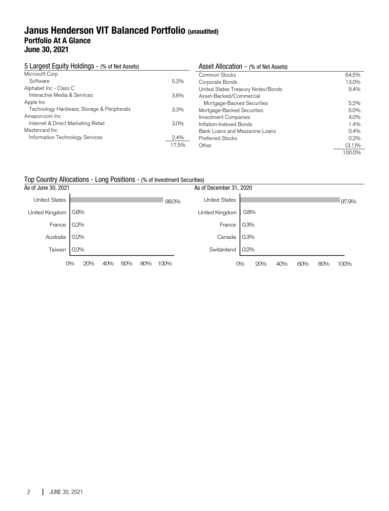## **Janus Henderson VIT Balanced Portfolio (unaudited) Portfolio At A Glance June 30, 2021**

| 5 Largest Equity Holdings - (% of Net Assets) |         | Asset Allocation - (% of Net Assets) |           |  |  |
|-----------------------------------------------|---------|--------------------------------------|-----------|--|--|
| Microsoft Corp                                |         | Common Stocks                        | 64.5%     |  |  |
| Software                                      | $5.2\%$ | Corporate Bonds                      | 13.0%     |  |  |
| Alphabet Inc - Class C                        |         | United States Treasury Notes/Bonds   | $9.4\%$   |  |  |
| Interactive Media & Services                  | $3.6\%$ | Asset-Backed/Commercial              |           |  |  |
| Apple Inc                                     |         | Mortgage-Backed Securities           | $5.2\%$   |  |  |
| Technology Hardware, Storage & Peripherals    | $3.3\%$ | Mortgage-Backed Securities           | $5.0\%$   |  |  |
| Amazon.com Inc.                               |         | <b>Investment Companies</b>          | 4.0%      |  |  |
| Internet & Direct Marketing Retail            | $3.0\%$ | Inflation-Indexed Bonds              | 1.4%      |  |  |
| Mastercard Inc                                |         | Bank Loans and Mezzanine Loans       | $0.4\%$   |  |  |
| Information Technology Services               | $2.4\%$ | <b>Preferred Stocks</b>              | $0.2\%$   |  |  |
|                                               | 17.5%   | Other                                | $(3.1)\%$ |  |  |
|                                               |         |                                      | 100.0%    |  |  |

### Top Country Allocations - Long Positions - (% of Investment Securities)

| As of June 30, 2021  |           |            |     |       | As of December 31, 2020 |      |     |     |     |     |       |
|----------------------|-----------|------------|-----|-------|-------------------------|------|-----|-----|-----|-----|-------|
| <b>United States</b> |           |            |     | 98.0% | <b>United States</b>    |      |     |     |     |     | 97.9% |
| United Kingdom       | 0.8%      |            |     |       | United Kingdom          | 0.8% |     |     |     |     |       |
| France               | 0.2%      |            |     |       | France                  | 0.3% |     |     |     |     |       |
| Australia            | $0.2\%$   |            |     |       | Canada                  | 0.3% |     |     |     |     |       |
| Taiwan               | 0.2%      |            |     |       | Switzerland             | 0.2% |     |     |     |     |       |
|                      | 20%<br>0% | 40%<br>60% | 80% | 100%  |                         | 0%   | 20% | 40% | 60% | 80% | 100%  |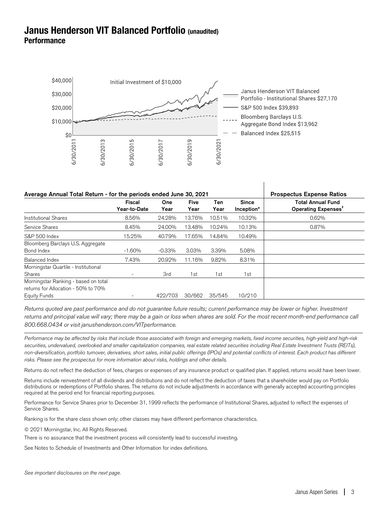## **Janus Henderson VIT Balanced Portfolio (unaudited) Performance**



| Average Annual Total Return - for the periods ended June 30, 2021                                  | <b>Prospectus Expense Ratios</b> |                    |                     |             |                            |                                                             |
|----------------------------------------------------------------------------------------------------|----------------------------------|--------------------|---------------------|-------------|----------------------------|-------------------------------------------------------------|
|                                                                                                    | Fiscal<br>Year-to-Date           | <b>One</b><br>Year | <b>Five</b><br>Year | Ten<br>Year | <b>Since</b><br>Inception* | <b>Total Annual Fund</b><br>Operating Expenses <sup>#</sup> |
| <b>Institutional Shares</b>                                                                        | 8.56%                            | 24.28%             | 13.76%              | 10.51%      | 10.32%                     | 0.62%                                                       |
| Service Shares                                                                                     | 8.45%                            | 24.00%             | 13.48%              | 10.24%      | 10.13%                     | 0.87%                                                       |
| S&P 500 Index                                                                                      | 15.25%                           | 40.79%             | 17.65%              | 14.84%      | 10.49%                     |                                                             |
| Bloomberg Barclays U.S. Aggregate<br>Bond Index                                                    | $-1.60%$                         | $-0.33\%$          | $3.03\%$            | 3.39%       | 5.08%                      |                                                             |
| Balanced Index                                                                                     | 7.43%                            | 20.92%             | 11.16%              | 9.82%       | 8.31%                      |                                                             |
| Morningstar Quartile - Institutional<br>Shares                                                     |                                  | 3rd                | 1st                 | 1st         | 1st                        |                                                             |
| Morningstar Ranking - based on total<br>returns for Allocation - 50% to 70%<br><b>Equity Funds</b> |                                  | 422/703            | 30/662              | 35/545      | 10/210                     |                                                             |

Returns quoted are past performance and do not guarantee future results; current performance may be lower or higher. Investment returns and principal value will vary; there may be a gain or loss when shares are sold. For the most recent month-end performance call 800.668.0434 or visit janushenderson.com/VITperformance.

Performance may be affected by risks that include those associated with foreign and emerging markets, fixed income securities, high-yield and high-risk securities, undervalued, overlooked and smaller capitalization companies, real estate related securities including Real Estate Investment Trusts (REITs), non-diversification, portfolio turnover, derivatives, short sales, initial public offerings (IPOs) and potential conflicts of interest. Each product has different risks. Please see the prospectus for more information about risks, holdings and other details.

Returns do not reflect the deduction of fees, charges or expenses of any insurance product or qualified plan. If applied, returns would have been lower.

Returns include reinvestment of all dividends and distributions and do not reflect the deduction of taxes that a shareholder would pay on Portfolio distributions or redemptions of Portfolio shares. The returns do not include adjustments in accordance with generally accepted accounting principles required at the period end for financial reporting purposes.

Performance for Service Shares prior to December 31, 1999 reflects the performance of Institutional Shares, adjusted to reflect the expenses of Service Shares.

Ranking is for the share class shown only; other classes may have different performance characteristics.

© 2021 Morningstar, Inc. All Rights Reserved.

There is no assurance that the investment process will consistently lead to successful investing.

See Notes to Schedule of Investments and Other Information for index definitions.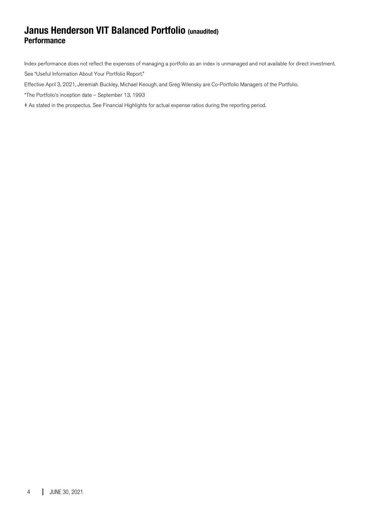## **Janus Henderson VIT Balanced Portfolio (unaudited) Performance**

Index performance does not reflect the expenses of managing a portfolio as an index is unmanaged and not available for direct investment. See "Useful Information About Your Portfolio Report."

Effective April 3, 2021, Jeremiah Buckley, Michael Keough, and Greg Wilensky are Co-Portfolio Managers of the Portfolio.

\*The Portfolio's inception date – September 13, 1993

‡ As stated in the prospectus. See Financial Highlights for actual expense ratios during the reporting period.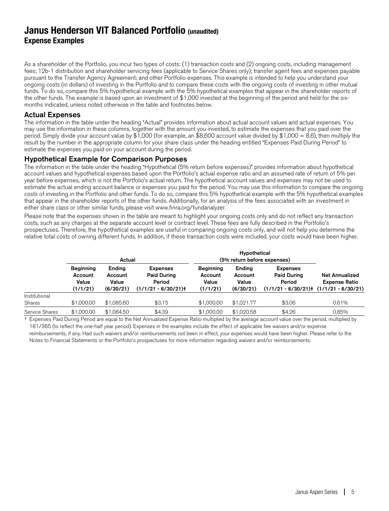## **Janus Henderson VIT Balanced Portfolio (unaudited) Expense Examples**

As a shareholder of the Portfolio, you incur two types of costs: (1) transaction costs and (2) ongoing costs, including management fees; 12b-1 distribution and shareholder servicing fees (applicable to Service Shares only); transfer agent fees and expenses payable pursuant to the Transfer Agency Agreement; and other Portfolio expenses. This example is intended to help you understand your ongoing costs (in dollars) of investing in the Portfolio and to compare these costs with the ongoing costs of investing in other mutual funds. To do so, compare this 5% hypothetical example with the 5% hypothetical examples that appear in the shareholder reports of the other funds. The example is based upon an investment of \$1,000 invested at the beginning of the period and held for the sixmonths indicated, unless noted otherwise in the table and footnotes below.

### Actual Expenses

The information in the table under the heading "Actual" provides information about actual account values and actual expenses. You may use the information in these columns, together with the amount you invested, to estimate the expenses that you paid over the period. Simply divide your account value by \$1,000 (for example, an \$8,600 account value divided by \$1,000 = 8.6), then multiply the result by the number in the appropriate column for your share class under the heading entitled "Expenses Paid During Period" to estimate the expenses you paid on your account during the period.

### Hypothetical Example for Comparison Purposes

The information in the table under the heading "Hypothetical (5% return before expenses)" provides information about hypothetical account values and hypothetical expenses based upon the Portfolio's actual expense ratio and an assumed rate of return of 5% per year before expenses, which is not the Portfolio's actual return. The hypothetical account values and expenses may not be used to estimate the actual ending account balance or expenses you paid for the period. You may use this information to compare the ongoing costs of investing in the Portfolio and other funds. To do so, compare this 5% hypothetical example with the 5% hypothetical examples that appear in the shareholder reports of the other funds. Additionally, for an analysis of the fees associated with an investment in either share class or other similar funds, please visit www.finra.org/fundanalyzer.

Please note that the expenses shown in the table are meant to highlight your ongoing costs only and do not reflect any transaction costs, such as any charges at the separate account level or contract level. These fees are fully described in the Portfolio's prospectuses. Therefore, the hypothetical examples are useful in comparing ongoing costs only, and will not help you determine the relative total costs of owning different funds. In addition, if these transaction costs were included, your costs would have been higher.

|                |                                                  | Actual                                  |                                                                         | Hypothetical<br>(5% return before expenses)      |                                         |                                                                         |                                                                       |
|----------------|--------------------------------------------------|-----------------------------------------|-------------------------------------------------------------------------|--------------------------------------------------|-----------------------------------------|-------------------------------------------------------------------------|-----------------------------------------------------------------------|
|                | <b>Beginning</b><br>Account<br>Value<br>(1/1/21) | Ending<br>Account<br>Value<br>(6/30/21) | <b>Expenses</b><br><b>Paid During</b><br>Period<br>$(1/1/21 - 6/30/21)$ | <b>Beginning</b><br>Account<br>Value<br>(1/1/21) | Ending<br>Account<br>Value<br>(6/30/21) | <b>Expenses</b><br><b>Paid During</b><br>Period<br>$(1/1/21 - 6/30/21)$ | <b>Net Annualized</b><br><b>Expense Ratio</b><br>$(1/1/21 - 6/30/21)$ |
| Institutional  |                                                  |                                         |                                                                         |                                                  |                                         |                                                                         |                                                                       |
| Shares         | \$1,000.00                                       | \$1,085.60                              | \$3.15                                                                  | \$1,000.00                                       | \$1.021.77                              | \$3.06                                                                  | 0.61%                                                                 |
| Service Shares | \$1,000.00                                       | \$1,084.50                              | \$4.39                                                                  | \$1,000.00                                       | \$1,020.58                              | \$4.26                                                                  | 0.85%                                                                 |

† Expenses Paid During Period are equal to the Net Annualized Expense Ratio multiplied by the average account value over the period, multiplied by 181/365 (to reflect the one-half year period). Expenses in the examples include the effect of applicable fee waivers and/or expense reimbursements, if any. Had such waivers and/or reimbursements not been in effect, your expenses would have been higher. Please refer to the Notes to Financial Statements or the Portfolio's prospectuses for more information regarding waivers and/or reimbursements.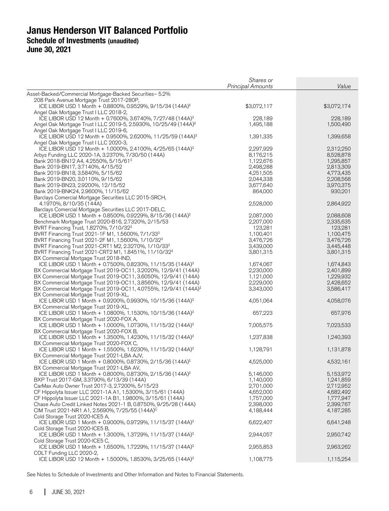|                                                                                                                                 | Shares or<br><b>Principal Amounts</b> | Value                  |
|---------------------------------------------------------------------------------------------------------------------------------|---------------------------------------|------------------------|
| Asset-Backed/Commercial Mortgage-Backed Securities- 5.2%                                                                        |                                       |                        |
| 208 Park Avenue Mortgage Trust 2017-280P,                                                                                       |                                       |                        |
| ICE LIBOR USD 1 Month + 0.8800%, 0.9529%, 9/15/34 (144A) <sup>‡</sup>                                                           | \$3,072,117                           | \$3,072,174            |
| Angel Oak Mortgage Trust I LLC 2018-2,                                                                                          |                                       |                        |
| ICE LIBOR USD 12 Month + 0.7600%, 3.6740%, 7/27/48 (144A) <sup>‡</sup>                                                          | 228,189                               | 228,189                |
| Angel Oak Mortgage Trust I LLC 2019-5, 2.5930%, 10/25/49 (144A) <sup>‡</sup><br>Angel Oak Mortgage Trust I LLC 2019-6,          | 1,495,188                             | 1,500,490              |
| ICE LIBOR USD 12 Month + 0.9500%, 2.6200%, 11/25/59 (144A) <sup>‡</sup>                                                         | 1,391,335                             | 1,399,658              |
| Angel Oak Mortgage Trust I LLC 2020-3,                                                                                          |                                       |                        |
| ICE LIBOR USD 12 Month + 1.0000%, 2.4100%, 4/25/65 (144A) <sup>‡</sup>                                                          | 2,297,929                             | 2,312,250              |
| Arbys Funding LLC 2020-1A, 3.2370%, 7/30/50 (144A)                                                                              | 8,176,215                             | 8,528,878              |
| Bank 2018-BN12 A4, 4.2550%, 5/15/61 <sup>‡</sup>                                                                                | 1,122,676                             | 1,295,857              |
| Bank 2019-BN17, 3.7140%, 4/15/52                                                                                                | 2,498,288                             | 2,813,309              |
| Bank 2019-BN18, 3.5840%, 5/15/62                                                                                                | 4,251,505                             | 4,773,435              |
| Bank 2019-BN20, 3.0110%, 9/15/62<br>Bank 2019-BN23, 2.9200%, 12/15/52                                                           | 2,044,338<br>3,677,640                | 2,208,568<br>3,970,375 |
| Bank 2019-BNK24, 2.9600%, 11/15/62                                                                                              | 864,000                               | 930,201                |
| Barclays Comercial Mortgage Securities LLC 2015-SRCH,                                                                           |                                       |                        |
| 4.1970%, 8/10/35 (144A)                                                                                                         | 2,528,000                             | 2,864,922              |
| Barclays Comercial Mortgage Securities LLC 2017-DELC,                                                                           |                                       |                        |
| ICE LIBOR USD 1 Month + 0.8500%, 0.9229%, 8/15/36 (144A) <sup>‡</sup>                                                           | 2,087,000                             | 2,088,608              |
| Benchmark Mortgage Trust 2020-B16, 2.7320%, 2/15/53                                                                             | 2,207,000                             | 2,335,635              |
| BVRT Financing Trust, 1.8270%, 7/10/32 <sup>‡</sup>                                                                             | 123,281                               | 123,281                |
| BVRT Financing Trust 2021-1F M1, 1.5600%, 7/1/33 <sup>‡</sup><br>BVRT Financing Trust 2021-2F M1, 1.5600%, 1/10/32 <sup>‡</sup> | 1,100,401<br>3,476,726                | 1,100,475<br>3,476,726 |
| BVRT Financing Trust 2021-CRT1 M2, 2.3270%, 1/10/33 <sup>‡</sup>                                                                | 3,439,000                             | 3,445,448              |
| BVRT Financing Trust 2021-CRT2 M1, 1.8451%, 11/10/32 <sup>‡</sup>                                                               | 3,801,315                             | 3,801,315              |
| BX Commercial Mortgage Trust 2018-IND,                                                                                          |                                       |                        |
| ICE LIBOR USD 1 Month + 0.7500%, 0.8230%, 11/15/35 (144A) <sup>‡</sup>                                                          | 1,674,067                             | 1,674,843              |
| BX Commercial Mortgage Trust 2019-OC11, 3.2020%, 12/9/41 (144A)                                                                 | 2,230,000                             | 2,401,899              |
| BX Commercial Mortgage Trust 2019-OC11, 3.6050%, 12/9/41 (144A)                                                                 | 1,121,000                             | 1,229,932              |
| BX Commercial Mortgage Trust 2019-OC11, 3.8560%, 12/9/41 (144A)                                                                 | 2,229,000                             | 2,428,652              |
| BX Commercial Mortgage Trust 2019-OC11, 4.0755%, 12/9/41 (144A) <sup>‡</sup><br>BX Commercial Mortgage Trust 2019-XL,           | 3,343,000                             | 3,586,417              |
| ICE LIBOR USD 1 Month + 0.9200%, 0.9930%, 10/15/36 (144A) <sup>‡</sup>                                                          | 4,051,064                             | 4,058,076              |
| BX Commercial Mortgage Trust 2019-XL,                                                                                           |                                       |                        |
| ICE LIBOR USD 1 Month + 1.0800%, 1.1530%, 10/15/36 (144A) <sup>‡</sup>                                                          | 657,223                               | 657,976                |
| BX Commercial Mortgage Trust 2020-FOX A,                                                                                        |                                       |                        |
| ICE LIBOR USD 1 Month + 1.0000%, 1.0730%, 11/15/32 (144A) <sup>‡</sup>                                                          | 7,005,575                             | 7,023,533              |
| BX Commercial Mortgage Trust 2020-FOX B,                                                                                        |                                       |                        |
| ICE LIBOR USD 1 Month + 1.3500%, 1.4230%, 11/15/32 (144A) <sup>‡</sup><br>BX Commercial Mortgage Trust 2020-FOX C,              | 1,237,838                             | 1,240,393              |
| ICE LIBOR USD 1 Month + 1.5500%, 1.6230%, 11/15/32 (144A) <sup>‡</sup>                                                          | 1,128,791                             | 1,131,878              |
| BX Commercial Mortgage Trust 2021-LBA AJV,                                                                                      |                                       |                        |
| ICE LIBOR USD 1 Month + 0.8000%, 0.8730%, 2/15/36 (144A) <sup>‡</sup>                                                           | 4,525,000                             | 4,532,161              |
| BX Commercial Mortgage Trust 2021-LBA AV,                                                                                       |                                       |                        |
| ICE LIBOR USD 1 Month + 0.8000%, 0.8730%, 2/15/36 (144A) <sup>‡</sup>                                                           | 5,146,000                             | 5,153,972              |
| BXP Trust 2017-GM, 3.3790%, 6/13/39 (144A)                                                                                      | 1,140,000                             | 1,241,859              |
| CarMax Auto Owner Trust 2017-3, 2.7200%, 5/15/23                                                                                | 2,701,000                             | 2,712,952              |
| CF Hippolyta Issuer LLC 2021-1A A1, 1.5300%, 3/15/61 (144A)<br>CF Hippolyta Issuer LLC 2021-1A B1, 1.9800%, 3/15/61 (144A)      | 4,652,000<br>1,757,000                | 4,682,492<br>1,777,947 |
| Chase Auto Credit Linked Notes 2021-1 B, 0.8750%, 9/25/28 (144A)                                                                | 2,398,000                             | 2,399,767              |
| CIM Trust 2021-NR1 A1, 2.5690%, 7/25/55 (144A) <sup>C</sup>                                                                     | 4,188,444                             | 4,187,285              |
| Cold Storage Trust 2020-ICE5 A,                                                                                                 |                                       |                        |
| ICE LIBOR USD 1 Month + 0.9000%, 0.9729%, 11/15/37 (144A) <sup>‡</sup>                                                          | 6,622,407                             | 6,641,248              |
| Cold Storage Trust 2020-ICE5 B,                                                                                                 |                                       |                        |
| ICE LIBOR USD 1 Month + 1.3000%, 1.3729%, 11/15/37 (144A) <sup>‡</sup>                                                          | 2,944,057                             | 2,950,742              |
| Cold Storage Trust 2020-ICE5 C,                                                                                                 |                                       |                        |
| ICE LIBOR USD 1 Month + 1.6500%, 1.7229%, 11/15/37 (144A) <sup>‡</sup><br>COLT Funding LLC 2020-2,                              | 2,955,853                             | 2,963,262              |
| ICE LIBOR USD 12 Month + 1.5000%, 1.8530%, 3/25/65 (144A) <sup>‡</sup>                                                          | 1,108,775                             | 1,115,254              |
|                                                                                                                                 |                                       |                        |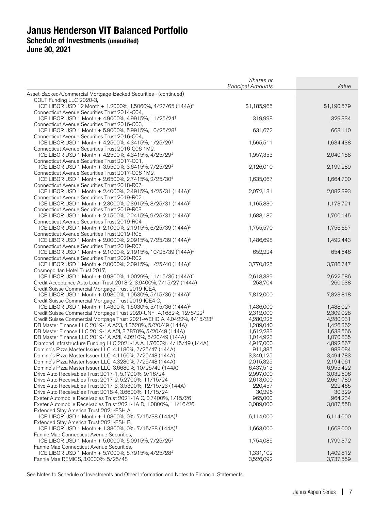|                                                                                                                                      | Shares or<br><b>Principal Amounts</b> | Value                  |
|--------------------------------------------------------------------------------------------------------------------------------------|---------------------------------------|------------------------|
| Asset-Backed/Commercial Mortgage-Backed Securities- (continued)                                                                      |                                       |                        |
| COLT Funding LLC 2020-3,                                                                                                             |                                       |                        |
| ICE LIBOR USD 12 Month + 1.2000%, 1.5060%, 4/27/65 (144A) <sup>‡</sup><br>Connecticut Avenue Securities Trust 2014-C04,              | \$1,185,965                           | \$1,190,579            |
| ICE LIBOR USD 1 Month + 4.9000%, 4.9915%, 11/25/24 <sup>‡</sup>                                                                      | 319,998                               | 329,334                |
| Connecticut Avenue Securities Trust 2016-C03,                                                                                        |                                       |                        |
| ICE LIBOR USD 1 Month + 5.9000%, 5.9915%, 10/25/28 <sup>‡</sup>                                                                      | 631,672                               | 663,110                |
| Connecticut Avenue Securities Trust 2016-C04,<br>ICE LIBOR USD 1 Month + 4.2500%, 4.3415%, 1/25/29 <sup>‡</sup>                      | 1,565,511                             | 1,634,438              |
| Connecticut Avenue Securities Trust 2016-C06 1M2,                                                                                    |                                       |                        |
| ICE LIBOR USD 1 Month + 4.2500%, 4.3415%, 4/25/29 <sup>‡</sup>                                                                       | 1,957,353                             | 2,040,188              |
| Connecticut Avenue Securities Trust 2017-C01,<br>ICE LIBOR USD 1 Month + 3.5500%, 3.6415%, 7/25/29 <sup>‡</sup>                      | 2,126,010                             | 2,199,289              |
| Connecticut Avenue Securities Trust 2017-C06 1M2,                                                                                    |                                       |                        |
| ICE LIBOR USD 1 Month + 2.6500%, 2.7415%, 2/25/30 <sup>‡</sup>                                                                       | 1,635,067                             | 1,664,700              |
| Connecticut Avenue Securities Trust 2018-R07,                                                                                        |                                       |                        |
| ICE LIBOR USD 1 Month + 2.4000%, 2.4915%, 4/25/31 (144A) <sup>‡</sup><br>Connecticut Avenue Securities Trust 2019-R02,               | 2,072,131                             | 2,082,393              |
| ICE LIBOR USD 1 Month + 2.3000%, 2.3915%, 8/25/31 (144A) <sup>‡</sup>                                                                | 1,165,830                             | 1,173,721              |
| Connecticut Avenue Securities Trust 2019-R03,                                                                                        |                                       |                        |
| ICE LIBOR USD 1 Month + 2.1500%, 2.2415%, 9/25/31 (144A) <sup>‡</sup><br>Connecticut Avenue Securities Trust 2019-R04,               | 1,688,182                             | 1,700,145              |
| ICE LIBOR USD 1 Month + 2.1000%, 2.1915%, 6/25/39 (144A) <sup>‡</sup>                                                                | 1,755,570                             | 1,756,657              |
| Connecticut Avenue Securities Trust 2019-R05,                                                                                        |                                       |                        |
| ICE LIBOR USD 1 Month + 2.0000%, 2.0915%, 7/25/39 (144A) <sup>‡</sup>                                                                | 1,486,698                             | 1,492,443              |
| Connecticut Avenue Securities Trust 2019-R07,<br>ICE LIBOR USD 1 Month + 2.1000%, 2.1915%, 10/25/39 (144A) <sup>‡</sup>              | 652,224                               | 654,646                |
| Connecticut Avenue Securities Trust 2020-R02,                                                                                        |                                       |                        |
| ICE LIBOR USD 1 Month + 2.0000%, 2.0915%, 1/25/40 (144A) <sup>‡</sup>                                                                | 3,770,825                             | 3,786,747              |
| Cosmopolitan Hotel Trust 2017,<br>ICE LIBOR USD 1 Month + 0.9300%, 1.0029%, 11/15/36 (144A) <sup>‡</sup>                             | 2,618,339                             | 2,622,586              |
| Credit Acceptance Auto Loan Trust 2018-2, 3.9400%, 7/15/27 (144A)                                                                    | 258,704                               | 260,638                |
| Credit Suisse Commercial Mortgage Trust 2019-ICE4,                                                                                   |                                       |                        |
| ICE LIBOR USD 1 Month + 0.9800%, 1.0530%, 5/15/36 (144A) <sup>‡</sup>                                                                | 7,812,000                             | 7,823,818              |
| Credit Suisse Commercial Mortgage Trust 2019-ICE4 C,<br>ICE LIBOR USD 1 Month + 1.4300%, 1.5030%, 5/15/36 (144A) <sup>‡</sup>        | 1,486,000                             | 1,488,027              |
| Credit Suisse Commercial Mortgage Trust 2020-UNFI, 4.1682%, 12/6/22 <sup>‡</sup>                                                     | 2,312,000                             | 2,309,028              |
| Credit Suisse Commercial Mortgage Trust 2021-WEHO A, 4.0422%, 4/15/23 <sup>‡</sup>                                                   | 4,280,225                             | 4,280,031              |
| DB Master Finance LLC 2019-1A A23, 4.3520%, 5/20/49 (144A)                                                                           | 1,289,040                             | 1,426,362              |
| DB Master Finance LLC 2019-1A A2I, 3.7870%, 5/20/49 (144A)                                                                           | 1,612,283                             | 1,633,566              |
| DB Master Finance LLC 2019-1A A2II, 4.0210%, 5/20/49 (144A)<br>Diamond Infrastructure Funding LLC 2021-1A A, 1.7600%, 4/15/49 (144A) | 1,014,923<br>4,917,000                | 1,070,835<br>4,892,667 |
| Domino's Pizza Master Issuer LLC, 4.1180%, 7/25/47 (144A)                                                                            | 911,385                               | 983,084                |
| Domino's Pizza Master Issuer LLC, 4.1160%, 7/25/48 (144A)                                                                            | 3,349,125                             | 3,494,783              |
| Domino's Pizza Master Issuer LLC, 4.3280%, 7/25/48 (144A)                                                                            | 2,015,325                             | 2,194,061              |
| Domino's Pizza Master Issuer LLC, 3.6680%, 10/25/49 (144A)                                                                           | 6,437,513                             | 6,955,422              |
| Drive Auto Receivables Trust 2017-1, 5.1700%, 9/16/24                                                                                | 2,997,000                             | 3,032,606              |
| Drive Auto Receivables Trust 2017-2, 5.2700%, 11/15/24                                                                               | 2,613,000                             | 2,661,789              |
| Drive Auto Receivables Trust 2017-3, 3.5300%, 12/15/23 (144A)                                                                        | 220,457                               | 222,465                |
| Drive Auto Receivables Trust 2018-4, 3.6600%, 11/15/24                                                                               | 30,296                                | 30,329                 |
| Exeter Automobile Receivables Trust 2021-1A C, 0.7400%, 1/15/26                                                                      | 965,000                               | 964,234                |
| Exeter Automobile Receivables Trust 2021-1A D, 1.0800%, 11/16/26<br>Extended Stay America Trust 2021-ESH A,                          | 3,089,000                             | 3,087,558              |
| ICE LIBOR USD 1 Month + 1.0800%, 0%, 7/15/38 (144A) <sup>‡</sup>                                                                     | 6,114,000                             | 6,114,000              |
| Extended Stay America Trust 2021-ESH B,                                                                                              |                                       |                        |
| ICE LIBOR USD 1 Month + 1.3800%, 0%, 7/15/38 (144A) <sup>‡</sup>                                                                     | 1,663,000                             | 1,663,000              |
| Fannie Mae Connecticut Avenue Securities,<br>ICE LIBOR USD 1 Month + 5.0000%, 5.0915%, 7/25/25 <sup>‡</sup>                          | 1,754,085                             | 1,799,372              |
| Fannie Mae Connecticut Avenue Securities,                                                                                            |                                       |                        |
| ICE LIBOR USD 1 Month + 5.7000%, 5.7915%, 4/25/28 <sup>‡</sup>                                                                       | 1,331,102                             | 1,409,812              |
| Fannie Mae REMICS, 3.0000%, 5/25/48                                                                                                  | 3,526,092                             | 3,737,559              |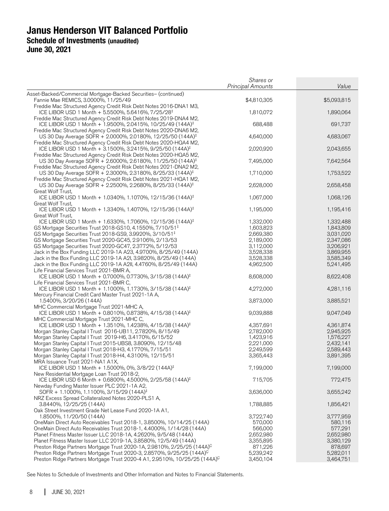|                                                                                                                                               | Shares or<br><b>Principal Amounts</b> | Value       |
|-----------------------------------------------------------------------------------------------------------------------------------------------|---------------------------------------|-------------|
|                                                                                                                                               |                                       |             |
| Asset-Backed/Commercial Mortgage-Backed Securities- (continued)<br>Fannie Mae REMICS, 3.0000%, 11/25/49                                       | \$4,810,305                           | \$5,093,815 |
| Freddie Mac Structured Agency Credit Risk Debt Notes 2016-DNA1 M3,<br>ICE LIBOR USD 1 Month + 5.5500%, 5.6416%, 7/25/28 <sup>‡</sup>          | 1,810,072                             | 1,890,064   |
| Freddie Mac Structured Agency Credit Risk Debt Notes 2019-DNA4 M2,<br>ICE LIBOR USD 1 Month + 1.9500%, 2.0415%, 10/25/49 (144A) <sup>‡</sup>  | 688,488                               | 691,737     |
| Freddie Mac Structured Agency Credit Risk Debt Notes 2020-DNA6 M2,<br>US 30 Day Average SOFR + 2.0000%, 2.0180%, 12/25/50 (144A) <sup>‡</sup> | 4,640,000                             | 4,683,067   |
| Freddie Mac Structured Agency Credit Risk Debt Notes 2020-HQA4 M2,<br>ICE LIBOR USD 1 Month + 3.1500%, 3.2415%, 9/25/50 (144A) <sup>‡</sup>   | 2,020,920                             | 2,043,655   |
| Freddie Mac Structured Agency Credit Risk Debt Notes 2020-HQA5 M2,<br>US 30 Day Average SOFR + 2.6000%, 2.6180%, 11/25/50 (144A) <sup>‡</sup> | 7,495,000                             | 7,642,564   |
| Freddie Mac Structured Agency Credit Risk Debt Notes 2021-DNA2 M2,<br>US 30 Day Average SOFR + 2.3000%, 2.3180%, 8/25/33 (144A) <sup>‡</sup>  | 1,710,000                             | 1,753,522   |
| Freddie Mac Structured Agency Credit Risk Debt Notes 2021-HQA1 M2,<br>US 30 Day Average SOFR + 2.2500%, 2.2680%, 8/25/33 (144A) <sup>‡</sup>  | 2,628,000                             | 2,658,458   |
| Great Wolf Trust,<br>ICE LIBOR USD 1 Month + 1.0340%, 1.1070%, 12/15/36 (144A) <sup>‡</sup>                                                   | 1,067,000                             | 1,068,126   |
| Great Wolf Trust,<br>ICE LIBOR USD 1 Month + 1.3340%, 1.4070%, 12/15/36 (144A) <sup>‡</sup>                                                   | 1,195,000                             | 1,195,416   |
| Great Wolf Trust,<br>ICE LIBOR USD 1 Month + 1.6330%, 1.7060%, 12/15/36 (144A) <sup>‡</sup>                                                   | 1,332,000                             | 1,332,488   |
| GS Mortgage Securities Trust 2018-GS10, 4.1550%, 7/10/51 <sup>‡</sup>                                                                         | 1,603,823                             | 1,843,809   |
| GS Mortgage Securities Trust 2018-GS9, 3.9920%, 3/10/51 <sup>‡</sup>                                                                          | 2,669,380                             | 3,031,020   |
| GS Mortgage Securities Trust 2020-GC45, 2.9106%, 2/13/53                                                                                      | 2,189,000                             | 2,347,086   |
| GS Mortgage Securities Trust 2020-GC47, 2.3772%, 5/12/53                                                                                      | 3,112,000                             | 3,206,921   |
|                                                                                                                                               |                                       |             |
| Jack in the Box Funding LLC 2019-1A A23, 4.9700%, 8/25/49 (144A)                                                                              | 3,528,338                             | 3,869,955   |
| Jack in the Box Funding LLC 2019-1A A2I, 3.9820%, 8/25/49 (144A)                                                                              | 3,528,338                             | 3,585,349   |
| Jack in the Box Funding LLC 2019-1A A2II, 4.4760%, 8/25/49 (144A)<br>Life Financial Services Trust 2021-BMR A,                                | 4,962,500                             | 5,241,495   |
| ICE LIBOR USD 1 Month + 0.7000%, 0.7730%, 3/15/38 (144A) <sup>‡</sup><br>Life Financial Services Trust 2021-BMR C,                            | 8,608,000                             | 8,622,408   |
| ICE LIBOR USD 1 Month + 1.1000%, 1.1730%, 3/15/38 (144A) <sup>‡</sup><br>Mercury Financial Credit Card Master Trust 2021-1A A,                | 4,272,000                             | 4,281,116   |
| 1.5400%, 3/20/26 (144A)<br>MHC Commercial Mortgage Trust 2021-MHC A,                                                                          | 3,873,000                             | 3,885,521   |
| ICE LIBOR USD 1 Month + 0.8010%, 0.8738%, 4/15/38 (144A) <sup>‡</sup><br>MHC Commercial Mortgage Trust 2021-MHC C,                            | 9,039,888                             | 9,047,049   |
| ICE LIBOR USD 1 Month + 1.3510%, 1.4238%, 4/15/38 (144A) <sup>‡</sup>                                                                         | 4,357,691                             | 4,361,874   |
| Morgan Stanley Capital I Trust 2016-UB11, 2.7820%, 8/15/49                                                                                    | 2,782,000                             | 2,945,925   |
| Morgan Stanley Capital I Trust 2019-H6, 3.4170%, 6/15/52                                                                                      | 1,423,916                             | 1,576,227   |
|                                                                                                                                               |                                       |             |
| Morgan Stanley Capital I Trust 2015-UBS8, 3.8090%, 12/15/48                                                                                   | 2,221,000                             | 2,432,141   |
| Morgan Stanley Capital I Trust 2018-H3, 4.1770%, 7/15/51                                                                                      | 2,249,599                             | 2,589,443   |
| Morgan Stanley Capital I Trust 2018-H4, 4.3100%, 12/15/51<br>MRA Issuance Trust 2021-NA1 A1X,                                                 | 3,365,443                             | 3,891,395   |
| ICE LIBOR USD 1 Month + 1.5000%, 0%, 3/8/22 (144A) <sup>‡</sup><br>New Residential Mortgage Loan Trust 2018-2,                                | 7,199,000                             | 7,199,000   |
| ICE LIBOR USD 6 Month + 0.6800%, 4.5000%, 2/25/58 (144A) <sup>‡</sup><br>Newday Funding Master Issuer PLC 2021-1A A2,                         | 715,705                               | 772,475     |
| SOFR + 1.1000%, 1.1100%, 3/15/29 (144A) <sup>‡</sup><br>NRZ Excess Spread Collateralized Notes 2020-PLS1 A,                                   | 3,636,000                             | 3,655,242   |
| 3.8440%, 12/25/25 (144A)<br>Oak Street Investment Grade Net Lease Fund 2020-1A A1,                                                            | 1,788,885                             | 1,856,421   |
| 1.8500%, 11/20/50 (144A)                                                                                                                      | 3,722,740                             | 3,777,959   |
| OneMain Direct Auto Receivables Trust 2018-1, 3.8500%, 10/14/25 (144A)                                                                        | 570,000                               | 580,116     |
| OneMain Direct Auto Receivables Trust 2018-1, 4.4000%, 1/14/28 (144A)                                                                         | 566,000                               | 577,291     |
|                                                                                                                                               |                                       |             |
| Planet Fitness Master Issuer LLC 2018-1A, 4.2620%, 9/5/48 (144A)                                                                              | 2,652,980                             | 2,652,980   |
| Planet Fitness Master Issuer LLC 2019-1A, 3.8580%, 12/5/49 (144A)                                                                             | 3,355,895                             | 3,380,129   |
| Preston Ridge Partners Mortgage Trust 2020-1A, 2.9810%, 2/25/25 (144A) <sup>C</sup>                                                           | 871,226                               | 878,697     |
| Preston Ridge Partners Mortgage Trust 2020-3, 2.8570%, 9/25/25 (144A) <sup>C</sup>                                                            | 5,239,242                             | 5,282,011   |
| Preston Ridge Partners Mortgage Trust 2020-4 A1, 2.9510%, 10/25/25 (144A) <sup>C</sup>                                                        | 3,450,104                             | 3,464,751   |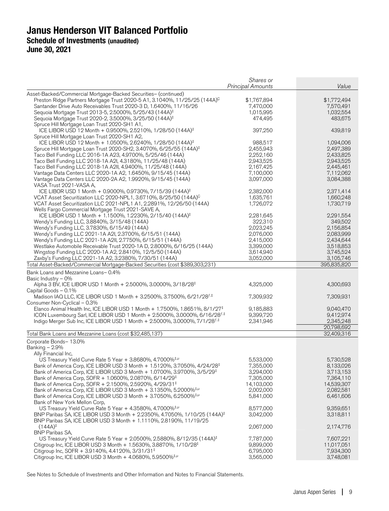|                                                                                                                                     | Shares or                |                        |
|-------------------------------------------------------------------------------------------------------------------------------------|--------------------------|------------------------|
|                                                                                                                                     | <b>Principal Amounts</b> | Value                  |
| Asset-Backed/Commercial Mortgage-Backed Securities- (continued)                                                                     |                          |                        |
| Preston Ridge Partners Mortgage Trust 2020-5 A1, 3.1040%, 11/25/25 (144A) <sup>C</sup>                                              | \$1,767,894              | \$1,772,494            |
| Santander Drive Auto Receivables Trust 2020-3 D, 1.6400%, 11/16/26                                                                  | 7,470,000                | 7,570,491              |
| Sequoia Mortgage Trust 2013-5, 2.5000%, 5/25/43 (144A) <sup>‡</sup>                                                                 | 1,015,995                | 1,032,554              |
| Sequoia Mortgage Trust 2020-2, 3.5000%, 3/25/50 (144A) <sup>‡</sup>                                                                 | 474,495                  | 483,675                |
| Spruce Hill Mortgage Loan Trust 2020-SH1 A1,                                                                                        |                          |                        |
| ICE LIBOR USD 12 Month + 0.9500%, 2.5210%, 1/28/50 (144A) <sup>‡</sup>                                                              | 397,250                  | 439,819                |
| Spruce Hill Mortgage Loan Trust 2020-SH1 A2,                                                                                        |                          |                        |
| ICE LIBOR USD 12 Month + 1.0500%, 2.6240%, 1/28/50 (144A) <sup>‡</sup>                                                              | 988,517                  | 1,094,006              |
| Spruce Hill Mortgage Loan Trust 2020-SH2, 3.4070%, 6/25/55 (144A) <sup>‡</sup>                                                      | 2,455,943                | 2,497,389              |
| Taco Bell Funding LLC 2016-1A A23, 4.9700%, 5/25/46 (144A)                                                                          | 2,252,160                | 2,433,825              |
| Taco Bell Funding LLC 2018-1A A2I, 4.3180%, 11/25/48 (144A)                                                                         | 2,943,525                | 2,943,525              |
| Taco Bell Funding LLC 2018-1A A2II, 4.9400%, 11/25/48 (144A)                                                                        | 2,167,425                | 2,445,461              |
| Vantage Data Centers LLC 2020-1A A2, 1.6450%, 9/15/45 (144A)                                                                        | 7,100,000                | 7,112,062              |
| Vantage Data Centers LLC 2020-2A A2, 1.9920%, 9/15/45 (144A)                                                                        | 3,097,000                | 3,084,388              |
| VASA Trust 2021-VASA A,                                                                                                             |                          |                        |
| ICE LIBOR USD 1 Month + 0.9000%, 0.9730%, 7/15/39 (144A) <sup>‡</sup>                                                               | 2,382,000                | 2,371,414              |
| VCAT Asset Securitization LLC 2020-NPL1, 3.6710%, 8/25/50 (144A) <sup>C</sup>                                                       | 1,635,761                | 1,660,248              |
| VCAT Asset Securitization LLC 2021-NPL1 A1, 2.2891%, 12/26/50 (144A)                                                                | 1,726,072                | 1,730,719              |
| Wells Fargo Commercial Mortgage Trust 2021-SAVE A,                                                                                  |                          |                        |
| ICE LIBOR USD 1 Month + 1.1500%, 1.2230%, 2/15/40 (144A) <sup>‡</sup>                                                               | 2,281,645                | 2,291,554              |
| Wendy's Funding LLC, 3.8840%, 3/15/48 (144A)                                                                                        | 322,310                  | 349,502                |
| Wendy's Funding LLC, 3.7830%, 6/15/49 (144A)                                                                                        | 2,023,245                | 2,156,854              |
| Wendy's Funding LLC 2021-1A A2I, 2.3700%, 6/15/51 (144A)<br>Wendy's Funding LLC 2021-1A A2II, 2.7750%, 6/15/51 (144A)               | 2,076,000                | 2,083,999<br>2,434,644 |
|                                                                                                                                     | 2,415,000                |                        |
| Westlake Automobile Receivable Trust 2020-1A D, 2.8000%, 6/16/25 (144A)<br>Wingstop Funding LLC 2020-1A A2, 2.8410%, 12/5/50 (144A) | 3,399,000<br>3,614,940   | 3,518,853<br>3,745,524 |
| Zaxby's Funding LLC 2021-1A A2, 3.2380%, 7/30/51 (144A)                                                                             | 3,052,000                | 3,105,746              |
| Total Asset-Backed/Commercial Mortgage-Backed Securities (cost \$389,303,231)                                                       |                          | 395,835,820            |
|                                                                                                                                     |                          |                        |
| Bank Loans and Mezzanine Loans-0.4%                                                                                                 |                          |                        |
| Basic Industry - 0%                                                                                                                 |                          |                        |
| Alpha 3 BV, ICE LIBOR USD 1 Month + 2.5000%, 3.0000%, 3/18/28 <sup>‡</sup>                                                          | 4,325,000                | 4,300,693              |
| Capital Goods - 0.1%                                                                                                                |                          |                        |
| Madison IAQ LLC, ICE LIBOR USD 1 Month + 3.2500%, 3.7500%, 6/21/28 <sup>f,‡</sup><br>Consumer Non-Cyclical - 0.3%                   | 7,309,932                | 7,309,931              |
| Elanco Animal Health Inc, ICE LIBOR USD 1 Month + 1.7500%, 1.8651%, 8/1/27 <sup>‡</sup>                                             | 9,185,883                | 9,040,470              |
| ICON Luxembourg Sarl, ICE LIBOR USD 1 Month + 2.5000%, 3.0000%, 6/16/28 $f^{+\pm}$                                                  | 9,399,720                | 9,412,974              |
| Indigo Merger Sub Inc, ICE LIBOR USD 1 Month + 2.5000%, 3.0000%, 7/1/28 <sup>f,‡</sup>                                              | 2,341,946                | 2,345,248              |
|                                                                                                                                     |                          | 20,798,692             |
| Total Bank Loans and Mezzanine Loans (cost \$32,485,137)                                                                            |                          | 32,409,316             |
| Corporate Bonds- 13.0%                                                                                                              |                          |                        |
| Banking - 2.9%                                                                                                                      |                          |                        |
| Ally Financial Inc.                                                                                                                 |                          |                        |
| US Treasury Yield Curve Rate 5 Year + 3.8680%, 4.7000% <sup>#,µ</sup>                                                               | 5,533,000                | 5,730,528              |
| Bank of America Corp, ICE LIBOR USD 3 Month + 1.5120%, 3.7050%, 4/24/28 <sup>‡</sup>                                                | 7,355,000                | 8,133,026              |
| Bank of America Corp, ICE LIBOR USD 3 Month + 1.0700%, 3.9700%, 3/5/29 <sup>‡</sup>                                                 | 3,294,000                | 3,713,153              |
| Bank of America Corp, SOFR + 1.0600%, 2.0870%, 6/14/29 <sup>‡</sup>                                                                 | 7.305.000                | 7,364,110              |
| Bank of America Corp, SOFR + 2.1500%, 2.5920%, 4/29/31 <sup>‡</sup>                                                                 | 14,103,000               | 14,539,307             |
| Bank of America Corp, ICE LIBOR USD 3 Month + 3.1350%, 5.2000% <sup>‡,µ</sup>                                                       | 2,002,000                | 2,082,581              |
| Bank of America Corp, ICE LIBOR USD 3 Month + 3.7050%, 6.2500% <sup>‡, µ</sup>                                                      | 5,841,000                | 6,461,606              |
| Bank of New York Mellon Corp,                                                                                                       |                          |                        |
| US Treasury Yield Curve Rate 5 Year + 4.3580%, 4.7000% <sup>‡,<math>\mu</math></sup>                                                | 8,577,000                | 9,359,651              |
| BNP Paribas SA, ICE LIBOR USD 3 Month + 2.2350%, 4.7050%, 1/10/25 (144A) <sup>‡</sup>                                               | 3,042,000                | 3,318,811              |
| BNP Paribas SA, ICE LIBOR USD 3 Month + 1.1110%, 2.8190%, 11/19/25                                                                  |                          |                        |
| $(144A)^{\ddagger}$                                                                                                                 | 2,067,000                | 2,174,776              |
| <b>BNP Paribas SA,</b>                                                                                                              |                          |                        |
| US Treasury Yield Curve Rate 5 Year + 2.0500%, 2.5880%, 8/12/35 (144A) <sup>‡</sup>                                                 | 7,787,000                | 7,607,221              |
| Citigroup Inc, ICE LIBOR USD 3 Month + 1.5630%, 3.8870%, 1/10/28 <sup>‡</sup>                                                       | 9,899,000                | 11,017,051             |
| Citigroup Inc, SOFR + 3.9140%, 4.4120%, 3/31/31 <sup><math>\pm</math></sup>                                                         | 6,795,000                | 7,934,300              |
| Citigroup Inc, ICE LIBOR USD 3 Month $+$ 4.0680%, 5.9500% <sup>‡,<math>\mu</math></sup>                                             | 3,565,000                | 3,748,081              |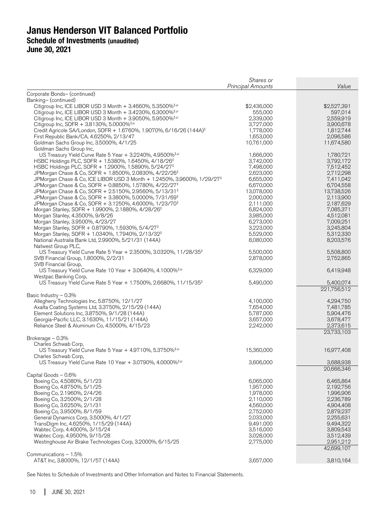|                                                                                                                                             | Shares or<br><b>Principal Amounts</b> | Value                  |
|---------------------------------------------------------------------------------------------------------------------------------------------|---------------------------------------|------------------------|
| Corporate Bonds- (continued)                                                                                                                |                                       |                        |
| Banking- (continued)                                                                                                                        |                                       |                        |
| Citigroup Inc, ICE LIBOR USD 3 Month $+ 3.4660\%$ , 5.3500% <sup>‡,<math>\mu</math></sup>                                                   | \$2,436,000                           | \$2,527,391            |
| Citigroup Inc, ICE LIBOR USD 3 Month + 3.4230%, 6.3000% <sup>‡,µ</sup>                                                                      | 555,000                               | 597,014                |
| Citigroup Inc, ICE LIBOR USD 3 Month $+$ 3.9050%, 5.9500% <sup>‡,<math>\mu</math></sup><br>Citigroup Inc, SOFR + 3.8130%, 5.0000% $\pm \mu$ | 2,339,000<br>3,727,000                | 2,559,919              |
| Credit Agricole SA/London, SOFR + 1.6760%, 1.9070%, 6/16/26 (144A) <sup>‡</sup>                                                             | 1,778,000                             | 3,900,678<br>1,812,744 |
| First Republic Bank/CA, 4.6250%, 2/13/47                                                                                                    | 1,653,000                             | 2,096,586              |
| Goldman Sachs Group Inc, 3.5000%, 4/1/25                                                                                                    | 10,761,000                            | 11,674,580             |
| Goldman Sachs Group Inc,                                                                                                                    |                                       |                        |
| US Treasury Yield Curve Rate 5 Year + 3.2240%, 4.9500% $^{1,1}$                                                                             | 1,666,000                             | 1,780,721              |
| HSBC Holdings PLC, SOFR + 1.5380%, 1.6450%, 4/18/26 <sup>‡</sup>                                                                            | 3,742,000                             | 3,792,172              |
| HSBC Holdings PLC, SOFR + 1.2900%, 1.5890%, 5/24/27 <sup>‡</sup>                                                                            | 7,498,000                             | 7,512,452              |
| JPMorgan Chase & Co, SOFR + 1.8500%, 2.0830%, 4/22/26 <sup>‡</sup>                                                                          | 2,623,000                             | 2,712,298              |
| JPMorgan Chase & Co, ICE LIBOR USD 3 Month + 1.2450%, 3.9600%, 1/29/27 <sup>‡</sup>                                                         | 6,655,000                             | 7,411,042              |
| JPMorgan Chase & Co, SOFR + 0.8850%, 1.5780%, 4/22/27 <sup>‡</sup>                                                                          | 6,670,000                             | 6,704,558              |
| JPMorgan Chase & Co, SOFR + 2.5150%, 2.9560%, 5/13/31 <sup>‡</sup>                                                                          | 13,078,000                            | 13,738,526             |
| JPMorgan Chase & Co, SOFR + 3.3800%, 5.0000%, 7/31/69 <sup>‡</sup><br>JPMorgan Chase & Co, SOFR + 3.1250%, 4.6000%, 1/23/70 <sup>‡</sup>    | 2,000,000<br>2,111,000                | 2,113,900<br>2,187,629 |
| Morgan Stanley, SOFR + 1.9900%, 2.1880%, 4/28/26 <sup>‡</sup>                                                                               | 6,824,000                             | 7,085,371              |
| Morgan Stanley, 4.3500%, 9/8/26                                                                                                             | 3,985,000                             | 4,512,081              |
| Morgan Stanley, 3.9500%, 4/23/27                                                                                                            | 6,273,000                             | 7,009,251              |
| Morgan Stanley, SOFR + 0.8790%, 1.5930%, 5/4/27 <sup>‡</sup>                                                                                | 3,223,000                             | 3,245,804              |
| Morgan Stanley, SOFR + 1.0340%, 1.7940%, 2/13/32 <sup>‡</sup>                                                                               | 5,529,000                             | 5,312,330              |
| National Australia Bank Ltd, 2.9900%, 5/21/31 (144A)                                                                                        | 8,080,000                             | 8,203,576              |
| Natwest Group PLC,                                                                                                                          |                                       |                        |
| US Treasury Yield Curve Rate 5 Year + 2.3500%, 3.0320%, 11/28/35 <sup>‡</sup>                                                               | 5,500,000                             | 5,508,800              |
| SVB Financial Group, 1.8000%, 2/2/31                                                                                                        | 2,878,000                             | 2,752,865              |
| SVB Financial Group,                                                                                                                        |                                       |                        |
| US Treasury Yield Curve Rate 10 Year + 3.0640%, 4.1000% <sup>‡,µ</sup>                                                                      | 6,329,000                             | 6,419,948              |
| Westpac Banking Corp,<br>US Treasury Yield Curve Rate 5 Year + 1.7500%, 2.6680%, 11/15/35 <sup>‡</sup>                                      | 5,490,000                             | 5,400,074              |
|                                                                                                                                             |                                       | 221,756,512            |
| Basic Industry - 0.3%                                                                                                                       |                                       |                        |
| Allegheny Technologies Inc, 5.8750%, 12/1/27                                                                                                | 4,100,000                             | 4,294,750              |
| Axalta Coating Systems Ltd, 3.3750%, 2/15/29 (144A)                                                                                         | 7,654,000                             | 7,481,785              |
| Element Solutions Inc, 3.8750%, 9/1/28 (144A)                                                                                               | 5,787,000                             | 5,904,476              |
| Georgia-Pacific LLC, 3.1630%, 11/15/21 (144A)                                                                                               | 3,657,000                             | 3,678,477              |
| Reliance Steel & Aluminum Co, 4.5000%, 4/15/23                                                                                              | 2,242,000                             | 2,373,615              |
|                                                                                                                                             |                                       | 23,733,103             |
| Brokerage - 0.3%                                                                                                                            |                                       |                        |
| Charles Schwab Corp,                                                                                                                        |                                       |                        |
| US Treasury Yield Curve Rate 5 Year + 4.9710%, 5.3750% <sup>‡,µ</sup>                                                                       | 15,360,000                            | 16,977,408             |
| Charles Schwab Corp,<br>US Treasury Yield Curve Rate 10 Year + 3.0790%, 4.0000% <sup>‡,µ</sup>                                              | 3,606,000                             | 3,688,938              |
|                                                                                                                                             |                                       | 20,666,346             |
| Capital Goods - 0.6%                                                                                                                        |                                       |                        |
| Boeing Co, 4.5080%, 5/1/23                                                                                                                  | 6,065,000                             | 6,465,864              |
| Boeing Co, 4.8750%, 5/1/25                                                                                                                  | 1,957,000                             | 2,192,756              |
| Boeing Co, 2.1960%, 2/4/26                                                                                                                  | 1,978,000                             | 1,996,906              |
| Boeing Co, 3.2500%, 2/1/28                                                                                                                  | 2,110,000                             | 2,236,789              |
| Boeing Co, 3.6250%, 2/1/31                                                                                                                  | 4,560,000                             | 4,904,408              |
| Boeing Co, 3.9500%, 8/1/59                                                                                                                  | 2,752,000                             | 2,879,237              |
| General Dynamics Corp, 3.5000%, 4/1/27                                                                                                      | 2,033,000                             | 2,255,631              |
| TransDigm Inc, 4.6250%, 1/15/29 (144A)                                                                                                      | 9,491,000                             | 9,494,322              |
| Wabtec Corp, 4.4000%, 3/15/24                                                                                                               | 3,516,000                             | 3,809,543              |
| Wabtec Corp, 4.9500%, 9/15/28<br>Westinghouse Air Brake Technologies Corp, 3.2000%, 6/15/25                                                 | 3,028,000<br>2,775,000                | 3,512,439<br>2,951,212 |
|                                                                                                                                             |                                       | 42,699,107             |
| Communications - 1.5%                                                                                                                       |                                       |                        |
| AT&T Inc, 3.8000%, 12/1/57 (144A)                                                                                                           | 3,657,000                             | 3,810,164              |
|                                                                                                                                             |                                       |                        |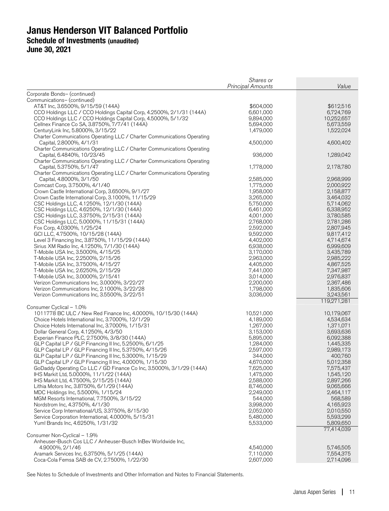|                                                                                                                   | Shares or                |                        |
|-------------------------------------------------------------------------------------------------------------------|--------------------------|------------------------|
|                                                                                                                   | <b>Principal Amounts</b> | Value                  |
| Corporate Bonds- (continued)                                                                                      |                          |                        |
| Communications- (continued)                                                                                       |                          |                        |
| AT&T Inc, 3.6500%, 9/15/59 (144A)<br>CCO Holdings LLC / CCO Holdings Capital Corp, 4.2500%, 2/1/31 (144A)         | \$604,000<br>6,601,000   | \$612,516<br>6,724,769 |
| CCO Holdings LLC / CCO Holdings Capital Corp, 4.5000%, 5/1/32                                                     | 9,894,000                | 10,252,657             |
| Cellnex Finance Co SA, 3.8750%, 7/7/41 (144A)                                                                     | 5,694,000                | 5,673,559              |
| CenturyLink Inc, 5.8000%, 3/15/22                                                                                 | 1,479,000                | 1,522,024              |
| Charter Communications Operating LLC / Charter Communications Operating                                           |                          |                        |
| Capital, 2.8000%, 4/1/31                                                                                          | 4,500,000                | 4,600,402              |
| Charter Communications Operating LLC / Charter Communications Operating                                           |                          |                        |
| Capital, 6.4840%, 10/23/45                                                                                        | 936,000                  | 1,289,042              |
| Charter Communications Operating LLC / Charter Communications Operating                                           |                          |                        |
| Capital, 5.3750%, 5/1/47                                                                                          | 1,778,000                | 2,178,780              |
| Charter Communications Operating LLC / Charter Communications Operating                                           |                          |                        |
| Capital, 4.8000%, 3/1/50                                                                                          | 2,585,000                | 2,968,999              |
| Comcast Corp, 3.7500%, 4/1/40                                                                                     | 1,775,000                | 2,000,922              |
| Crown Castle International Corp, 3.6500%, 9/1/27                                                                  | 1,958,000                | 2,158,877              |
| Crown Castle International Corp, 3.1000%, 11/15/29                                                                | 3,265,000                | 3,464,032              |
| CSC Holdings LLC, 4.1250%, 12/1/30 (144A)                                                                         | 5,750,000                | 5,714,062              |
| CSC Holdings LLC, 4.6250%, 12/1/30 (144A)                                                                         | 6,461,000                | 6,338,952              |
| CSC Holdings LLC, 3.3750%, 2/15/31 (144A)                                                                         | 4,001,000                | 3,780,585              |
| CSC Holdings LLC, 5.0000%, 11/15/31 (144A)                                                                        | 2,768,000                | 2,781,286              |
| Fox Corp, 4.0300%, 1/25/24<br>GCI LLC, 4.7500%, 10/15/28 (144A)                                                   | 2,592,000<br>9,592,000   | 2,807,945<br>9,817,412 |
| Level 3 Financing Inc, 3.8750%, 11/15/29 (144A)                                                                   | 4,402,000                | 4,714,674              |
| Sirius XM Radio Inc, 4.1250%, 7/1/30 (144A)                                                                       | 6,938,000                | 6,999,609              |
| T-Mobile USA Inc, 3.5000%, 4/15/25                                                                                | 3,170,000                | 3,435,789              |
| T-Mobile USA Inc, 2.2500%, 2/15/26                                                                                | 2,963,000                | 2,985,222              |
| T-Mobile USA Inc, 3.7500%, 4/15/27                                                                                | 4,405,000                | 4,867,525              |
| T-Mobile USA Inc, 2.6250%, 2/15/29                                                                                | 7,441,000                | 7,347,987              |
| T-Mobile USA Inc, 3.0000%, 2/15/41                                                                                | 3,014,000                | 2,976,837              |
| Verizon Communications Inc, 3.0000%, 3/22/27                                                                      | 2,200,000                | 2,367,486              |
| Verizon Communications Inc, 2.1000%, 3/22/28                                                                      | 1,798,000                | 1,835,606              |
| Verizon Communications Inc, 3.5500%, 3/22/51                                                                      | 3,036,000                | 3,243,561              |
|                                                                                                                   |                          | 119,271,281            |
| Consumer Cyclical - 1.0%                                                                                          |                          |                        |
| 1011778 BC ULC / New Red Finance Inc, 4.0000%, 10/15/30 (144A)                                                    | 10,521,000               | 10,179,067             |
| Choice Hotels International Inc, 3.7000%, 12/1/29                                                                 | 4,189,000                | 4,534,634              |
| Choice Hotels International Inc, 3.7000%, 1/15/31                                                                 | 1,267,000                | 1,371,071              |
| Dollar General Corp, 4.1250%, 4/3/50                                                                              | 3,153,000                | 3,693,636              |
| Experian Finance PLC, 2.7500%, 3/8/30 (144A)                                                                      | 5,895,000<br>1,284,000   | 6,092,388              |
| GLP Capital LP / GLP Financing II Inc, 5.2500%, 6/1/25<br>GLP Capital LP / GLP Financing II Inc, 5.3750%, 4/15/26 | 2,597,000                | 1,445,335<br>2,989,173 |
| GLP Capital LP / GLP Financing II Inc, 5.3000%, 1/15/29                                                           | 344,000                  | 400,760                |
| GLP Capital LP / GLP Financing II Inc, 4.0000%, 1/15/30                                                           | 4,670,000                | 5,012,358              |
| GoDaddy Operating Co LLC / GD Finance Co Inc, 3.5000%, 3/1/29 (144A)                                              | 7,625,000                | 7,575,437              |
| IHS Markit Ltd, 5.0000%, 11/1/22 (144A)                                                                           | 1,475,000                | 1,545,120              |
| IHS Markit Ltd, 4.7500%, 2/15/25 (144A)                                                                           | 2,588,000                | 2,897,266              |
| Lithia Motors Inc, 3.8750%, 6/1/29 (144A)                                                                         | 8,746,000                | 9,065,666              |
| MDC Holdings Inc, 5.5000%, 1/15/24                                                                                | 2,249,000                | 2,464,117              |
| MGM Resorts International, 7.7500%, 3/15/22                                                                       | 544,000                  | 568,589                |
| Nordstrom Inc, 4.3750%, 4/1/30                                                                                    | 3,998,000                | 4,165,923              |
| Service Corp International/US, 3.3750%, 8/15/30                                                                   | 2,052,000                | 2,010,550              |
| Service Corporation International, 4.0000%, 5/15/31                                                               | 5,480,000                | 5,593,299              |
| Yum! Brands Inc, 4.6250%, 1/31/32                                                                                 | 5,533,000                | 5,809,650              |
|                                                                                                                   |                          | 77,414,039             |
| Consumer Non-Cyclical - 1.9%                                                                                      |                          |                        |
| Anheuser-Busch Cos LLC / Anheuser-Busch InBev Worldwide Inc,                                                      |                          |                        |
| 4.9000%, 2/1/46                                                                                                   | 4,540,000                | 5,746,505              |
| Aramark Services Inc, 6.3750%, 5/1/25 (144A)<br>Coca-Cola Femsa SAB de CV, 2.7500%, 1/22/30                       | 7,110,000<br>2,607,000   | 7,554,375<br>2,714,096 |
|                                                                                                                   |                          |                        |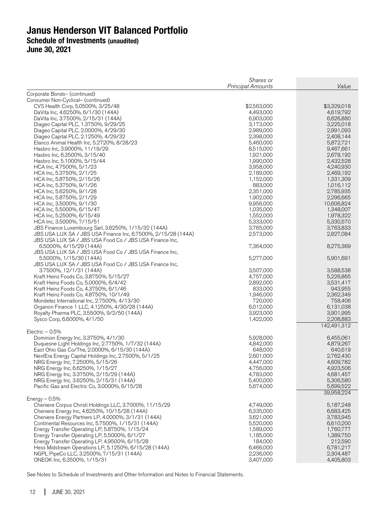|                                                                                                   | Shares or<br><b>Principal Amounts</b> | Value                  |
|---------------------------------------------------------------------------------------------------|---------------------------------------|------------------------|
| Corporate Bonds- (continued)                                                                      |                                       |                        |
| Consumer Non-Cyclical- (continued)                                                                |                                       |                        |
| CVS Health Corp, 5.0500%, 3/25/48                                                                 | \$2,563,000                           | \$3,329,018            |
| DaVita Inc, 4.6250%, 6/1/30 (144A)                                                                | 4,493,000                             | 4,619,792              |
| DaVita Inc, 3.7500%, 2/15/31 (144A)                                                               | 6,903,000                             | 6,626,880              |
| Diageo Capital PLC, 1.3750%, 9/29/25                                                              | 3,173,000                             | 3,225,018              |
| Diageo Capital PLC, 2.0000%, 4/29/30                                                              | 2,989,000                             | 2,991,093              |
| Diageo Capital PLC, 2.1250%, 4/29/32                                                              | 2,398,000                             | 2,408,144              |
| Elanco Animal Health Inc, 5.2720%, 8/28/23<br>Hasbro Inc, 3.9000%, 11/19/29                       | 5,460,000<br>8,515,000                | 5,872,721<br>9,467,661 |
| Hasbro Inc, 6.3500%, 3/15/40                                                                      | 1,921,000                             | 2,678,192              |
| Hasbro Inc, 5.1000%, 5/15/44                                                                      | 1,990,000                             | 2,432,528              |
| HCA Inc, 4.7500%, 5/1/23                                                                          | 3,958,000                             | 4,240,930              |
| HCA Inc, 5.3750%, 2/1/25                                                                          | 2,189,000                             | 2,469,192              |
| HCA Inc, 5.8750%, 2/15/26                                                                         | 1,152,000                             | 1,331,309              |
| HCA Inc, 5.3750%, 9/1/26                                                                          | 883,000                               | 1,016,112              |
| HCA Inc, 5.6250%, 9/1/28                                                                          | 2,351,000                             | 2,785,935              |
| HCA Inc, 5.8750%, 2/1/29                                                                          | 1,902,000                             | 2,296,665              |
| HCA Inc, 3.5000%, 9/1/30                                                                          | 9,956,000                             | 10,606,824             |
| HCA Inc, 5.5000%, 6/15/47                                                                         | 1,035,000                             | 1,348,007              |
| HCA Inc, 5.2500%, 6/15/49<br>HCA Inc, 3.5000%, 7/15/51                                            | 1,552,000<br>5,333,000                | 1,978,322              |
| JBS Finance Luxembourg Sarl, 3.6250%, 1/15/32 (144A)                                              | 3,765,000                             | 5,330,570<br>3,763,833 |
| JBS USA LUX SA / JBS USA Finance Inc, 6.7500%, 2/15/28 (144A)                                     | 2,573,000                             | 2,827,084              |
| JBS USA LUX SA / JBS USA Food Co / JBS USA Finance Inc,                                           |                                       |                        |
| 6.5000%, 4/15/29 (144A)                                                                           | 7,364,000                             | 8,275,369              |
| JBS USA LUX SA / JBS USA Food Co / JBS USA Finance Inc,                                           |                                       |                        |
| 5.5000%, 1/15/30 (144A)                                                                           | 5,277,000                             | 5,901,691              |
| JBS USA LUX SA / JBS USA Food Co / JBS USA Finance Inc,                                           |                                       |                        |
| 3.7500%, 12/1/31 (144A)                                                                           | 3,507,000                             | 3,588,538              |
| Kraft Heinz Foods Co, 3.8750%, 5/15/27                                                            | 4,757,000                             | 5,226,865              |
| Kraft Heinz Foods Co, 5.0000%, 6/4/42                                                             | 2,892,000                             | 3,531,417              |
| Kraft Heinz Foods Co, 4.3750%, 6/1/46                                                             | 833,000                               | 943,955                |
| Kraft Heinz Foods Co, 4.8750%, 10/1/49<br>Mondelez International Inc, 2.7500%, 4/13/30            | 1,946,000<br>720,000                  | 2,362,349<br>758,406   |
| Organon Finance 1 LLC, 4.1250%, 4/30/28 (144A)                                                    | 6,012,000                             | 6,131,038              |
| Royalty Pharma PLC, 3.5500%, 9/2/50 (144A)                                                        | 3,923,000                             | 3,901,995              |
| Sysco Corp, 6.6000%, 4/1/50                                                                       | 1,422,000                             | 2,208,883              |
|                                                                                                   |                                       | 142,491,312            |
| Electric $-0.5%$                                                                                  |                                       |                        |
| Dominion Energy Inc, 3.3750%, 4/1/30                                                              | 5,928,000                             | 6,455,061              |
| Duquesne Light Holdings Inc, 2.7750%, 1/7/32 (144A)                                               | 4,842,000                             | 4,879,267              |
| East Ohio Gas Co/The, 2.0000%, 6/15/30 (144A)                                                     | 648,000                               | 640,619                |
| NextEra Energy Capital Holdings Inc, 2.7500%, 5/1/25                                              | 2,601,000                             | 2,762,430              |
| NRG Energy Inc, 7.2500%, 5/15/26                                                                  | 4,447,000                             | 4,609,782              |
| NRG Energy Inc, 6.6250%, 1/15/27<br>NRG Energy Inc, 3.3750%, 2/15/29 (144A)                       | 4,756,000                             | 4,923,506              |
| NRG Energy Inc, 3.6250%, 2/15/31 (144A)                                                           | 4,783,000<br>5,400,000                | 4,681,457<br>5,306,580 |
| Pacific Gas and Electric Co, 3.0000%, 6/15/28                                                     | 5,674,000                             | 5,699,522              |
|                                                                                                   |                                       | 39,958,224             |
| Energy $-0.5%$                                                                                    |                                       |                        |
| Cheniere Corpus Christi Holdings LLC, 3.7000%, 11/15/29                                           | 4,749,000                             | 5.187.248              |
| Cheniere Energy Inc, 4.6250%, 10/15/28 (144A)                                                     | 6,335,000                             | 6,683,425              |
| Cheniere Energy Partners LP, 4.0000%, 3/1/31 (144A)                                               | 3,621,000                             | 3,783,945              |
| Continental Resources Inc, 5.7500%, 1/15/31 (144A)                                                | 5,520,000                             | 6,610,200              |
| Energy Transfer Operating LP, 5.8750%, 1/15/24                                                    | 1,589,000                             | 1,760,777              |
| Energy Transfer Operating LP, 5.5000%, 6/1/27                                                     | 1,185,000                             | 1,389,750              |
| Energy Transfer Operating LP, 4.9500%, 6/15/28                                                    | 184,000                               | 212,590                |
| Hess Midstream Operations LP, 5.1250%, 6/15/28 (144A)<br>NGPL PipeCo LLC, 3.2500%, 7/15/31 (144A) | 6,466,000<br>2,236,000                | 6,781,217<br>2,304,487 |
| ONEOK Inc, 6.3500%, 1/15/31                                                                       | 3,407,000                             | 4,405,803              |
|                                                                                                   |                                       |                        |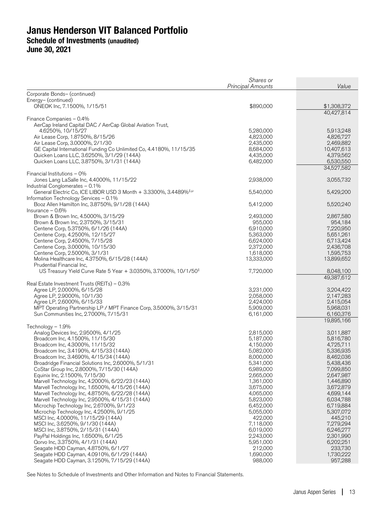|                                                                                           | Shares or<br><b>Principal Amounts</b> | Value                   |
|-------------------------------------------------------------------------------------------|---------------------------------------|-------------------------|
| Corporate Bonds- (continued)                                                              |                                       |                         |
| Energy- (continued)                                                                       |                                       |                         |
| ONEOK Inc, 7.1500%, 1/15/51                                                               | \$890,000                             | \$1,308,372             |
|                                                                                           |                                       | 40,427,814              |
| Finance Companies - 0.4%<br>AerCap Ireland Capital DAC / AerCap Global Aviation Trust,    |                                       |                         |
| 4.6250%, 10/15/27                                                                         | 5,280,000                             | 5,913,248               |
| Air Lease Corp, 1.8750%, 8/15/26                                                          | 4,823,000                             | 4,826,727               |
| Air Lease Corp, 3.0000%, 2/1/30                                                           | 2,435,000                             | 2,469,882               |
| GE Capital International Funding Co Unlimited Co, 4.4180%, 11/15/35                       | 8,684,000                             | 10,407,613              |
| Quicken Loans LLC, 3.6250%, 3/1/29 (144A)                                                 | 4,435,000                             | 4,379,562               |
| Quicken Loans LLC, 3.8750%, 3/1/31 (144A)                                                 | 6,482,000                             | 6,530,550<br>34,527,582 |
| Financial Institutions - 0%                                                               |                                       |                         |
| Jones Lang LaSalle Inc, 4.4000%, 11/15/22                                                 | 2,938,000                             | 3,055,732               |
| Industrial Conglomerates - 0.1%                                                           |                                       |                         |
| General Electric Co, ICE LIBOR USD 3 Month + 3.3300%, 3.4489% <sup>‡,µ</sup>              | 5,540,000                             | 5,429,200               |
| Information Technology Services - 0.1%<br>Booz Allen Hamilton Inc, 3.8750%, 9/1/28 (144A) |                                       |                         |
| Insurance $-0.6%$                                                                         | 5,412,000                             | 5,520,240               |
| Brown & Brown Inc, 4.5000%, 3/15/29                                                       | 2,493,000                             | 2,867,580               |
| Brown & Brown Inc, 2.3750%, 3/15/31                                                       | 955,000                               | 954,184                 |
| Centene Corp, 5.3750%, 6/1/26 (144A)                                                      | 6,910,000                             | 7,220,950               |
| Centene Corp, 4.2500%, 12/15/27                                                           | 5,363,000                             | 5,651,261               |
| Centene Corp, 2.4500%, 7/15/28                                                            | 6,624,000                             | 6,713,424               |
| Centene Corp, 3.0000%, 10/15/30<br>Centene Corp, 2.5000%, 3/1/31                          | 2,372,000<br>1,618,000                | 2,436,708<br>1,595,753  |
| Molina Healthcare Inc, 4.3750%, 6/15/28 (144A)                                            | 13,333,000                            | 13,899,652              |
| Prudential Financial Inc,                                                                 |                                       |                         |
| US Treasury Yield Curve Rate 5 Year + 3.0350%, 3.7000%, 10/1/50 <sup>‡</sup>              | 7,720,000                             | 8,048,100               |
|                                                                                           |                                       | 49,387,612              |
| Real Estate Investment Trusts (REITs) - 0.3%                                              |                                       |                         |
| Agree LP, 2.0000%, 6/15/28<br>Agree LP, 2.9000%, 10/1/30                                  | 3,231,000<br>2,058,000                | 3,204,422<br>2,147,283  |
| Agree LP, 2.6000%, 6/15/33                                                                | 2,424,000                             | 2,415,054               |
| MPT Operating Partnership LP / MPT Finance Corp, 3.5000%, 3/15/31                         | 5,909,000                             | 5,968,031               |
| Sun Communities Inc, 2.7000%, 7/15/31                                                     | 6,161,000                             | 6,160,376               |
|                                                                                           |                                       | 19,895,166              |
| Technology - 1.9%<br>Analog Devices Inc, 2.9500%, 4/1/25                                  | 2,815,000                             | 3,011,887               |
| Broadcom Inc, 4.1500%, 11/15/30                                                           | 5,187,000                             | 5,816,780               |
| Broadcom Inc, 4.3000%, 11/15/32                                                           | 4,150,000                             | 4,725,711               |
| Broadcom Inc, 3.4190%, 4/15/33 (144A)                                                     | 5,082,000                             | 5,336,935               |
| Broadcom Inc, 3.4690%, 4/15/34 (144A)                                                     | 8,000,000                             | 8,462,036               |
| Broadridge Financial Solutions Inc, 2.6000%, 5/1/31                                       | 5,341,000                             | 5,438,436               |
| CoStar Group Inc, 2.8000%, 7/15/30 (144A)<br>Equinix Inc, 2.1500%, 7/15/30                | 6,989,000<br>2,665,000                | 7,099,850<br>2,647,987  |
| Marvell Technology Inc, 4.2000%, 6/22/23 (144A)                                           | 1,361,000                             | 1,446,890               |
| Marvell Technology Inc, 1.6500%, 4/15/26 (144A)                                           | 3,675,000                             | 3,672,879               |
| Marvell Technology Inc, 4.8750%, 6/22/28 (144A)                                           | 4,065,000                             | 4,699,144               |
| Marvell Technology Inc, 2.9500%, 4/15/31 (144A)                                           | 5,823,000                             | 6,034,788               |
| Microchip Technology Inc, 2.6700%, 9/1/23                                                 | 6,452,000                             | 6,719,884               |
| Microchip Technology Inc, 4.2500%, 9/1/25<br>MSCI Inc, 4.0000%, 11/15/29 (144A)           | 5,055,000<br>422,000                  | 5,307,072<br>445,210    |
| MSCI Inc, 3.6250%, 9/1/30 (144A)                                                          | 7,118,000                             | 7,279,294               |
| MSCI Inc, 3.8750%, 2/15/31 (144A)                                                         | 6,019,000                             | 6,246,277               |
| PayPal Holdings Inc, 1.6500%, 6/1/25                                                      | 2,243,000                             | 2,301,990               |
| Qorvo Inc, 3.3750%, 4/1/31 (144A)                                                         | 5,951,000                             | 6,202,251               |
| Seagate HDD Cayman, 4.8750%, 6/1/27                                                       | 212,000                               | 233,730                 |
| Seagate HDD Cayman, 4.0910%, 6/1/29 (144A)<br>Seagate HDD Cayman, 3.1250%, 7/15/29 (144A) | 1,690,000<br>988,000                  | 1,730,222<br>957,288    |
|                                                                                           |                                       |                         |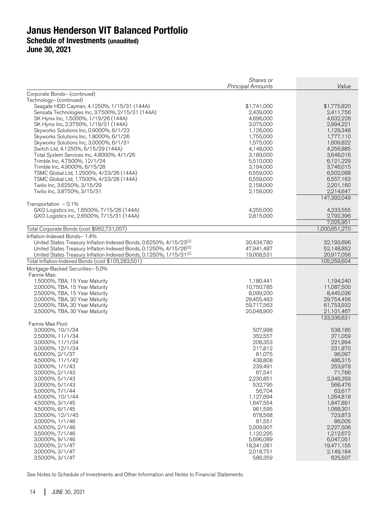|                                                                                            | Shares or<br><b>Principal Amounts</b> | Value                   |
|--------------------------------------------------------------------------------------------|---------------------------------------|-------------------------|
| Corporate Bonds- (continued)                                                               |                                       |                         |
| Technology- (continued)                                                                    |                                       |                         |
| Seagate HDD Cayman, 4.1250%, 1/15/31 (144A)                                                | \$1,741,000                           | \$1,775,820             |
| Sensata Technologies Inc, 3.7500%, 2/15/31 (144A)<br>SK Hynix Inc, 1.5000%, 1/19/26 (144A) | 2,439,000<br>4,696,000                | 2,411,756               |
| SK Hynix Inc, 2.3750%, 1/19/31 (144A)                                                      | 3,075,000                             | 4,632,228<br>2,994,221  |
| Skyworks Solutions Inc, 0.9000%, 6/1/23                                                    | 1,126,000                             | 1,129,348               |
| Skyworks Solutions Inc, 1.8000%, 6/1/26                                                    | 1,755,000                             | 1,777,110               |
| Skyworks Solutions Inc, 3.0000%, 6/1/31                                                    | 1,575,000                             | 1,609,822               |
| Switch Ltd, 4.1250%, 6/15/29 (144A)                                                        | 4,148,000                             | 4,256,885               |
| Total System Services Inc, 4.8000%, 4/1/26                                                 | 3,189,000                             | 3,646,016               |
| Trimble Inc, 4.7500%, 12/1/24                                                              | 5,510,000                             | 6,121,229               |
| Trimble Inc, 4.9000%, 6/15/28                                                              | 3,194,000                             | 3,746,015               |
| TSMC Global Ltd, 1.2500%, 4/23/26 (144A)<br>TSMC Global Ltd, 1.7500%, 4/23/28 (144A)       | 6,559,000<br>6,559,000                | 6,502,088<br>6,557,163  |
| Twilio Inc, 3.6250%, 3/15/29                                                               | 2,158,000                             | 2,201,160               |
| Twilio Inc, 3.8750%, 3/15/31                                                               | 2,158,000                             | 2,214,647               |
|                                                                                            |                                       | 147,392,049             |
| Transportation $-0.1\%$                                                                    |                                       |                         |
| GXO Logistics inc, 1.6500%, 7/15/26 (144A)                                                 | 4,255,000                             | 4,233,555               |
| GXO Logistics inc, 2.6500%, 7/15/31 (144A)                                                 | 2,815,000                             | 2,792,396<br>7,025,951  |
| Total Corporate Bonds (cost \$962,731,057)                                                 |                                       | 1,000,651,270           |
| Inflation-Indexed Bonds- 1.4%                                                              |                                       |                         |
| United States Treasury Inflation Indexed Bonds, 0.6250%, 4/15/23 <sup>CC</sup>             | 30,434,780                            | 32,193,696              |
| United States Treasury Inflation Indexed Bonds, 0.1250%, 4/15/26 <sup>CC</sup>             | 47,941,487                            | 52,148,852              |
| United States Treasury Inflation Indexed Bonds, 0.1250%, 1/15/31 <sup>CC</sup>             | 19,008,531                            | 20,917,056              |
| Total Inflation-Indexed Bonds (cost \$105,283,501)                                         |                                       | 105,259,604             |
| Mortgage-Backed Securities- 5.0%                                                           |                                       |                         |
| Fannie Mae:                                                                                |                                       |                         |
| 1.5000%, TBA, 15 Year Maturity                                                             | 1,180,441                             | 1,194,240               |
| 2.0000%, TBA, 15 Year Maturity                                                             | 10,750,785                            | 11,087,500              |
| 2.5000%, TBA, 15 Year Maturity<br>2.0000%, TBA, 30 Year Maturity                           | 8,099,200<br>29,455,483               | 8,445,036<br>29,754,456 |
| 2.5000%, TBA, 30 Year Maturity                                                             | 59,717,563                            | 61,753,932              |
| 3.5000%, TBA, 30 Year Maturity                                                             | 20,048,900                            | 21,101,467              |
|                                                                                            |                                       | 133,336,631             |
| Fannie Mae Pool:                                                                           |                                       |                         |
| 3.0000%, 10/1/34                                                                           | 507,998                               | 538,185                 |
| 2.5000%, 11/1/34                                                                           | 352,557                               | 371,059                 |
| 3.0000%, 11/1/34                                                                           | 208,353                               | 221,994                 |
| 3.0000%, 12/1/34                                                                           | 217,812<br>81,075                     | 231,870                 |
| 6.0000%, 2/1/37<br>4.5000%, 11/1/42                                                        | 438,808                               | 96,097<br>486,315       |
| 3.0000%, 1/1/43                                                                            | 239,491                               | 253,978                 |
| 3.0000%, 2/1/43                                                                            | 67,541                                | 71,766                  |
| 3.0000%, 5/1/43                                                                            | 2,230,851                             | 2,346,359               |
| 3.0000%, 5/1/43                                                                            | 532,795                               | 566,476                 |
| 5.0000%, 7/1/44                                                                            | 56,704                                | 63,617                  |
| 4.5000%, 10/1/44                                                                           | 1,127,694                             | 1,264,818               |
| 4.5000%, 3/1/45                                                                            | 1,647,554                             | 1,847,891               |
| 4.5000%, 6/1/45                                                                            | 961,595                               | 1,068,301               |
| 3.5000%, 12/1/45                                                                           | 678,568                               | 723,873                 |
| 3.0000%, 1/1/46<br>4.5000%, 2/1/46                                                         | 81,551<br>2,009,907                   | 86,005<br>2,227,506     |
| 3.5000%, 7/1/46                                                                            | 1,120,295                             | 1,212,672               |
| 3.0000%, 9/1/46                                                                            | 5,696,089                             | 6,047,051               |
| 3.0000%, 2/1/47                                                                            | 18,341,081                            | 19,471,155              |
| 3.0000%, 3/1/47                                                                            | 2,018,751                             | 2,149,184               |
| 3.5000%, 3/1/47                                                                            | 586,359                               | 625,507                 |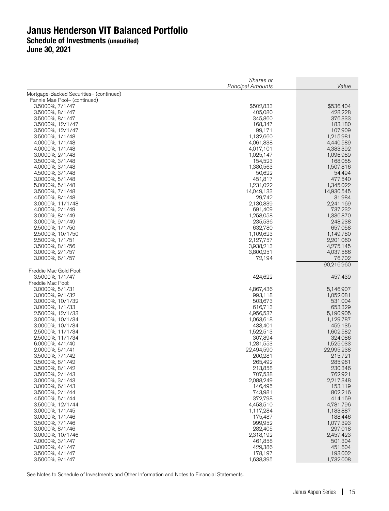|                                         | Shares or<br><b>Principal Amounts</b> | Value                  |
|-----------------------------------------|---------------------------------------|------------------------|
| Mortgage-Backed Securities- (continued) |                                       |                        |
| Fannie Mae Pool- (continued)            |                                       |                        |
| 3.5000%, 7/1/47                         | \$502,833                             | \$536,404              |
| 3.5000%, 8/1/47                         | 405,080                               | 428,228                |
| 3.5000%, 8/1/47                         | 345,860                               | 376,333                |
| 3.5000%, 12/1/47<br>3.5000%, 12/1/47    | 168,347<br>99,171                     | 183,180<br>107,909     |
| 3.5000%, 1/1/48                         | 1,132,660                             | 1,215,981              |
| 4.0000%, 1/1/48                         | 4,061,838                             | 4,440,589              |
| 4.0000%, 1/1/48                         | 4,017,101                             | 4,383,392              |
| 3.0000%, 2/1/48                         | 1,025,147                             | 1,096,989              |
| 3.5000%, 3/1/48<br>4.0000%, 3/1/48      | 154,523<br>1,380,563                  | 168,055<br>1,507,816   |
| 4.5000%, 3/1/48                         | 50,622                                | 54,494                 |
| 3.0000%, 5/1/48                         | 451,817                               | 477,540                |
| 5.0000%, 5/1/48                         | 1,231,022                             | 1,345,022              |
| 3.5000%, 7/1/48                         | 14,049,133                            | 14,930,545             |
| 4.5000%, 8/1/48                         | 29,742                                | 31,984                 |
| 3.0000%, 11/1/48<br>4.0000%, 2/1/49     | 2,130,839<br>691,409                  | 2,241,169<br>737,232   |
| 3.0000%, 8/1/49                         | 1,258,058                             | 1,336,870              |
| 3.0000%, 9/1/49                         | 235,536                               | 248,238                |
| 2.5000%, 1/1/50                         | 632,780                               | 657,058                |
| 2.5000%, 10/1/50                        | 1,109,623                             | 1,149,780              |
| 2.5000%, 1/1/51<br>3.5000%, 8/1/56      | 2,127,757<br>3,938,213                | 2,201,060<br>4,275,145 |
| 3.0000%, 2/1/57                         | 3,800,251                             | 4,037,566              |
| 3.0000%, 6/1/57                         | 72,194                                | 76,702                 |
|                                         |                                       | 90,216,960             |
| Freddie Mac Gold Pool:                  |                                       |                        |
| 3.5000%, 1/1/47<br>Freddie Mac Pool:    | 424,622                               | 457,439                |
| 3.0000%, 5/1/31                         | 4,867,436                             | 5,146,907              |
| 3.0000%, 9/1/32                         | 993,118                               | 1,052,081              |
| 3.0000%, 10/1/32                        | 503,673                               | 531,004                |
| 3.0000%, 1/1/33                         | 616,713                               | 653,329                |
| 2.5000%, 12/1/33                        | 4,956,537                             | 5,190,905              |
| 3.0000%, 10/1/34<br>3.0000%, 10/1/34    | 1,063,618<br>433,401                  | 1,129,787<br>459,135   |
| 2.5000%, 11/1/34                        | 1,522,513                             | 1,602,582              |
| 2.5000%, 11/1/34                        | 307,894                               | 324,086                |
| 6.0000%, 4/1/40                         | 1,281,553                             | 1,525,033              |
| 2.0000%, 5/1/41                         | 22,494,590                            | 22,995,238             |
| 3.5000%, 7/1/42                         | 200,281<br>265,492                    | 215,721                |
| 3.5000%, 8/1/42<br>3.5000%, 8/1/42      | 213,858                               | 285,961<br>230,346     |
| 3.5000%, 2/1/43                         | 707,538                               | 762,921                |
| 3.0000%, 3/1/43                         | 2,088,249                             | 2,217,348              |
| 3.0000%, 6/1/43                         | 146,495                               | 153,119                |
| 3.5000%, 2/1/44                         | 743,981                               | 802,216                |
| 4.5000%, 5/1/44<br>3.5000%, 12/1/44     | 372,798<br>4,453,510                  | 414,169<br>4,781,796   |
| 3.0000%, 1/1/45                         | 1,117,284                             | 1,183,887              |
| 3.0000%, 1/1/46                         | 175,487                               | 188,446                |
| 3.5000%, 7/1/46                         | 999,952                               | 1,077,393              |
| 3.0000%, 8/1/46                         | 282,405                               | 297,018                |
| 3.0000%, 10/1/46                        | 2,318,192                             | 2,457,423              |
| 4.0000%, 3/1/47<br>3.0000%, 4/1/47      | 461,858<br>429,386                    | 501,304<br>451,604     |
| 3.5000%, 4/1/47                         | 178,197                               | 193,002                |
| 3.5000%, 9/1/47                         | 1,638,395                             | 1,732,008              |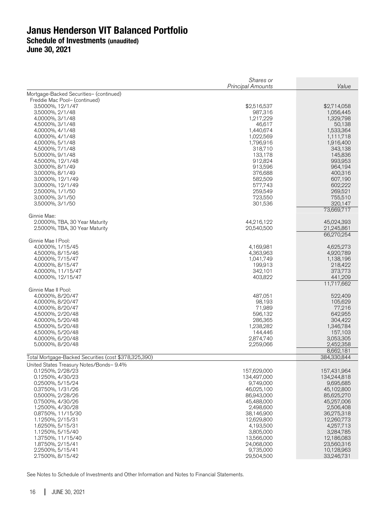|                                                       | Shares or<br>Principal Amounts | Value                    |
|-------------------------------------------------------|--------------------------------|--------------------------|
| Mortgage-Backed Securities- (continued)               |                                |                          |
| Freddie Mac Pool- (continued)                         |                                |                          |
| 3.5000%, 12/1/47                                      | \$2,516,537                    | \$2,714,058              |
| 3.5000%, 2/1/48                                       | 987,316                        | 1,056,445                |
| 4.0000%, 3/1/48                                       | 1,217,229                      | 1,329,798                |
| 4.5000%, 3/1/48                                       | 46.617                         | 50,138                   |
| 4.0000%, 4/1/48<br>4.0000%, 4/1/48                    | 1,440,674<br>1,022,569         | 1,533,364<br>1,111,718   |
| 4.0000%, 5/1/48                                       | 1,796,916                      | 1,916,400                |
| 4.5000%, 7/1/48                                       | 318,710                        | 343,138                  |
| 5.0000%, 9/1/48                                       | 133,178                        | 145,836                  |
| 4.5000%, 12/1/48                                      | 912,824                        | 993,953                  |
| 3.0000%, 8/1/49                                       | 913,596                        | 964,194                  |
| 3.0000%, 8/1/49                                       | 376,688                        | 400,316                  |
| 3.0000%, 12/1/49                                      | 582,509                        | 607,190                  |
| 3.0000%, 12/1/49                                      | 577,743                        | 602,222                  |
| 2.5000%, 1/1/50                                       | 259,549                        | 269,521                  |
| 3.0000%, 3/1/50                                       | 723,550                        | 755,510                  |
| 3.5000%, 3/1/50                                       | 301,536                        | 320,147<br>73,669,717    |
| Ginnie Mae:                                           |                                |                          |
| 2.0000%, TBA, 30 Year Maturity                        | 44,216,122                     | 45,024,393               |
| 2.5000%, TBA, 30 Year Maturity                        | 20,540,500                     | 21,245,861<br>66,270,254 |
| Ginnie Mae I Pool:                                    |                                |                          |
| 4.0000%, 1/15/45                                      | 4,169,981                      | 4,625,273                |
| 4.5000%, 8/15/46                                      | 4,363,963                      | 4,920,789                |
| 4.0000%, 7/15/47                                      | 1,041,749                      | 1,138,196                |
| 4.0000%, 8/15/47                                      | 199,913                        | 218,422                  |
| 4.0000%, 11/15/47                                     | 342,101                        | 373,773                  |
| 4.0000%, 12/15/47                                     | 403,822                        | 441,209<br>11,717,662    |
| Ginnie Mae II Pool:                                   |                                |                          |
| 4.0000%, 8/20/47                                      | 487,051                        | 522,409                  |
| 4.0000%, 8/20/47                                      | 98,193                         | 105,629                  |
| 4.0000%, 8/20/47                                      | 71,989                         | 77,216                   |
| 4.5000%, 2/20/48                                      | 596,132                        | 642,955                  |
| 4.0000%, 5/20/48                                      | 286,365                        | 304,422                  |
| 4.5000%, 5/20/48                                      | 1,238,282                      | 1,346,784                |
| 4.5000%, 5/20/48                                      | 144,446                        | 157,103                  |
| 4.0000%, 6/20/48<br>5.0000%, 8/20/48                  | 2,874,740<br>2,259,066         | 3,053,305<br>2,452,358   |
|                                                       |                                | 8,662,181                |
| Total Mortgage-Backed Securities (cost \$378,325,390) |                                | 384,330,844              |
| United States Treasury Notes/Bonds- 9.4%              |                                |                          |
| 0.1250%, 2/28/23                                      | 157,629,000                    | 157,431,964              |
| 0.1250%, 4/30/23                                      | 134,497,000                    | 134,244,818              |
| 0.2500%, 5/15/24                                      | 9,749,000                      | 9,695,685                |
| 0.3750%, 1/31/26<br>0.5000%, 2/28/26                  | 46,025,100                     | 45,102,800<br>85,625,270 |
| 0.7500%, 4/30/26                                      | 86,943,000<br>45,488,000       | 45,257,006               |
| 1.2500%, 4/30/28                                      | 2,498,600                      | 2,506,408                |
| 0.8750%, 11/15/30                                     | 38,146,900                     | 36,275,318               |
| 1.1250%, 2/15/31                                      | 12,629,800                     | 12,260,773               |
| 1.6250%, 5/15/31                                      | 4,193,500                      | 4,257,713                |
| 1.1250%, 5/15/40                                      | 3,805,000                      | 3,284,785                |
| 1.3750%, 11/15/40                                     | 13,566,000                     | 12,186,083               |
| 1.8750%, 2/15/41                                      | 24.068.000                     | 23,560,316               |
| 2.2500%, 5/15/41                                      | 9,735,000                      | 10,128,963               |
| 2.7500%, 8/15/42                                      | 29,504,500                     | 33,246,731               |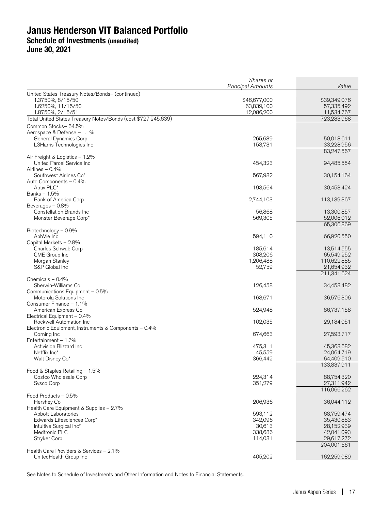|                                                                   | Shares or<br><b>Principal Amounts</b> | Value                    |
|-------------------------------------------------------------------|---------------------------------------|--------------------------|
| United States Treasury Notes/Bonds- (continued)                   |                                       |                          |
| 1.3750%, 8/15/50                                                  | \$46,677,000                          | \$39,349,076             |
| 1.6250%, 11/15/50                                                 | 63,839,100                            | 57,335,492               |
| 1.8750%, 2/15/51                                                  | 12,086,200                            | 11,534,767               |
| Total United States Treasury Notes/Bonds (cost \$727,245,639)     |                                       | 723,283,968              |
| Common Stocks-64.5%                                               |                                       |                          |
| Aerospace & Defense - 1.1%                                        |                                       |                          |
| General Dynamics Corp                                             | 265,689                               | 50,018,611               |
| L3Harris Technologies Inc                                         | 153,731                               | 33,228,956<br>83,247,567 |
| Air Freight & Logistics - 1.2%                                    |                                       |                          |
| United Parcel Service Inc                                         | 454,323                               | 94,485,554               |
| Airlines - 0.4%                                                   |                                       |                          |
| Southwest Airlines Co*                                            | 567,982                               | 30,154,164               |
| Auto Components - 0.4%                                            |                                       |                          |
| Aptiv PLC*                                                        | 193,564                               | 30,453,424               |
| Banks - 1.5%                                                      | 2,744,103                             | 113,139,367              |
| Bank of America Corp<br>Beverages - 0.8%                          |                                       |                          |
| Constellation Brands Inc                                          | 56,868                                | 13,300,857               |
| Monster Beverage Corp*                                            | 569,305                               | 52,006,012               |
|                                                                   |                                       | 65,306,869               |
| Biotechnology - 0.9%                                              |                                       |                          |
| AbbVie Inc                                                        | 594,110                               | 66,920,550               |
| Capital Markets - 2.8%                                            |                                       |                          |
| Charles Schwab Corp<br>CME Group Inc                              | 185,614<br>308,206                    | 13,514,555<br>65,549,252 |
| Morgan Stanley                                                    | 1,206,488                             | 110,622,885              |
| S&P Global Inc                                                    | 52,759                                | 21,654,932               |
|                                                                   |                                       | 211,341,624              |
| Chemicals $-0.4%$                                                 |                                       |                          |
| Sherwin-Williams Co                                               | 126,458                               | 34,453,482               |
| Communications Equipment - 0.5%                                   |                                       |                          |
| Motorola Solutions Inc<br>Consumer Finance - 1.1%                 | 168,671                               | 36,576,306               |
| American Express Co                                               | 524,948                               | 86,737,158               |
| Electrical Equipment - 0.4%                                       |                                       |                          |
| Rockwell Automation Inc                                           | 102,035                               | 29,184,051               |
| Electronic Equipment, Instruments & Components – 0.4%             |                                       |                          |
| Corning Inc                                                       | 674,663                               | 27,593,717               |
| Entertainment - 1.7%                                              |                                       |                          |
| Activision Blizzard Inc<br>Netflix Inc*                           | 475,311<br>45,559                     | 45,363,682<br>24,064,719 |
| Walt Disney Co*                                                   | 366,442                               | 64,409,510               |
|                                                                   |                                       | 133,837,911              |
| Food & Staples Retailing - 1.5%                                   |                                       |                          |
| Costco Wholesale Corp                                             | 224,314                               | 88,754,320               |
| Sysco Corp                                                        | 351,279                               | 27,311,942               |
|                                                                   |                                       | 116,066,262              |
| Food Products - 0.5%<br>Hershey Co                                | 206,936                               | 36,044,112               |
| Health Care Equipment & Supplies - 2.7%                           |                                       |                          |
| Abbott Laboratories                                               | 593,112                               | 68,759,474               |
| Edwards Lifesciences Corp*                                        | 342,096                               | 35,430,883               |
| Intuitive Surgical Inc*                                           | 30,613                                | 28,152,939               |
| Medtronic PLC                                                     | 338,686                               | 42,041,093               |
| Stryker Corp                                                      | 114,031                               | 29,617,272               |
|                                                                   |                                       | 204,001,661              |
| Health Care Providers & Services - 2.1%<br>UnitedHealth Group Inc | 405,202                               | 162,259,089              |
|                                                                   |                                       |                          |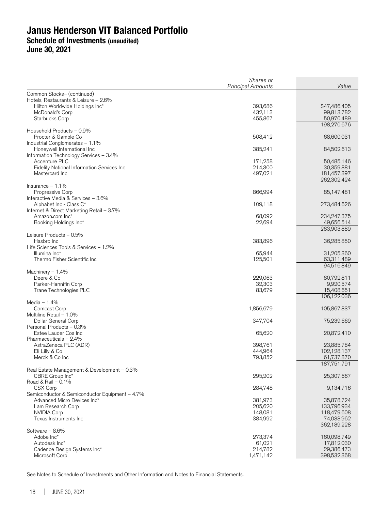**June 30, 2021** 

|                                                              | Shares or<br>Principal Amounts | Value                      |
|--------------------------------------------------------------|--------------------------------|----------------------------|
| Common Stocks- (continued)                                   |                                |                            |
| Hotels, Restaurants & Leisure - 2.6%                         |                                |                            |
| Hilton Worldwide Holdings Inc*                               | 393,686                        | \$47,486,405               |
| McDonald's Corp                                              | 432,113                        | 99,813,782                 |
| Starbucks Corp                                               | 455,867                        | 50,970,489<br>198,270,676  |
| Household Products - 0.9%                                    |                                |                            |
| Procter & Gamble Co                                          | 508,412                        | 68,600,031                 |
| Industrial Conglomerates - 1.1%                              |                                |                            |
| Honeywell International Inc                                  | 385,241                        | 84,502,613                 |
| Information Technology Services - 3.4%                       |                                |                            |
| Accenture PLC                                                | 171,258                        | 50,485,146                 |
| Fidelity National Information Services Inc<br>Mastercard Inc | 214,300<br>497,021             | 30,359,881<br>181,457,397  |
|                                                              |                                | 262,302,424                |
| Insurance $-1.1%$                                            |                                |                            |
| <b>Progressive Corp</b>                                      | 866,994                        | 85,147,481                 |
| Interactive Media & Services - 3.6%                          |                                |                            |
| Alphabet Inc - Class C*                                      | 109,118                        | 273,484,626                |
| Internet & Direct Marketing Retail - 3.7%                    |                                |                            |
| Amazon.com Inc*<br>Booking Holdings Inc*                     | 68,092<br>22,694               | 234,247,375<br>49,656,514  |
|                                                              |                                | 283,903,889                |
| Leisure Products - 0.5%                                      |                                |                            |
| Hasbro Inc                                                   | 383,896                        | 36,285,850                 |
| Life Sciences Tools & Services - 1.2%                        |                                |                            |
| Illumina Inc*                                                | 65,944                         | 31,205,360                 |
| Thermo Fisher Scientific Inc                                 | 125,501                        | 63,311,489<br>94,516,849   |
| Machinery $-1.4%$                                            |                                |                            |
| Deere & Co                                                   | 229,063                        | 80,792,811                 |
| Parker-Hannifin Corp                                         | 32,303                         | 9,920,574                  |
| Trane Technologies PLC                                       | 83,679                         | 15,408,651                 |
|                                                              |                                | 106,122,036                |
| Media $-1.4%$                                                |                                |                            |
| Comcast Corp<br>Multiline Retail - 1.0%                      | 1,856,679                      | 105,867,837                |
| Dollar General Corp                                          | 347,704                        | 75,239,669                 |
| Personal Products - 0.3%                                     |                                |                            |
| Estee Lauder Cos Inc                                         | 65,620                         | 20,872,410                 |
| Pharmaceuticals $-2.4%$                                      |                                |                            |
| AstraZeneca PLC (ADR)                                        | 398,761                        | 23,885,784                 |
| Eli Lilly & Co                                               | 444,964                        | 102,128,137                |
| Merck & Co Inc                                               | 793,852                        | 61,737,870<br>187,751,791  |
| Real Estate Management & Development – 0.3%                  |                                |                            |
| CBRE Group Inc*                                              | 295,202                        | 25,307,667                 |
| Road & Rail - 0.1%                                           |                                |                            |
| CSX Corp                                                     | 284,748                        | 9,134,716                  |
| Semiconductor & Semiconductor Equipment - 4.7%               |                                |                            |
| Advanced Micro Devices Inc*                                  | 381,973                        | 35,878,724                 |
| Lam Research Corp<br><b>NVIDIA Corp</b>                      | 205,620<br>148,081             | 133,796,934<br>118,479,608 |
| Texas Instruments Inc                                        | 384,992                        | 74,033,962                 |
|                                                              |                                | 362,189,228                |
| Software - 8.6%                                              |                                |                            |
| Adobe Inc*                                                   | 273,374                        | 160,098,749                |
| Autodesk Inc*                                                | 61,021                         | 17,812,030                 |
| Cadence Design Systems Inc*<br>Microsoft Corp                | 214,782                        | 29,386,473<br>398,532,368  |
|                                                              | 1,471,142                      |                            |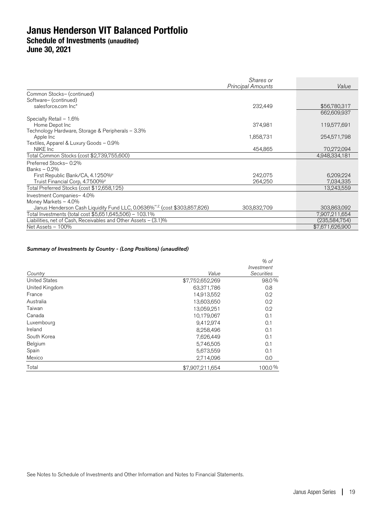|                                                                                      | Shares or<br><b>Principal Amounts</b> | Value           |
|--------------------------------------------------------------------------------------|---------------------------------------|-----------------|
|                                                                                      |                                       |                 |
| Common Stocks- (continued)                                                           |                                       |                 |
| Software- (continued)                                                                |                                       |                 |
| salesforce.com Inc*                                                                  | 232,449                               | \$56,780,317    |
|                                                                                      |                                       | 662,609,937     |
| Specialty Retail - 1.6%                                                              |                                       |                 |
| Home Depot Inc                                                                       | 374,981                               | 119,577,691     |
| Technology Hardware, Storage & Peripherals - 3.3%                                    |                                       |                 |
| Apple Inc                                                                            | 1,858,731                             | 254,571,798     |
| Textiles, Apparel & Luxury Goods - 0.9%                                              |                                       |                 |
| NIKE Inc.                                                                            | 454,865                               | 70,272,094      |
| Total Common Stocks (cost \$2,739,755,600)                                           |                                       | 4,948,334,181   |
| Preferred Stocks-0.2%                                                                |                                       |                 |
| Banks - 0.2%                                                                         |                                       |                 |
| First Republic Bank/CA, 4.1250%                                                      | 242.075                               | 6,209,224       |
| Truist Financial Corp, 4.7500%"                                                      | 264.250                               | 7,034,335       |
| Total Preferred Stocks (cost \$12,658,125)                                           |                                       | 13,243,559      |
| Investment Companies-4.0%                                                            |                                       |                 |
| Money Markets - 4.0%                                                                 |                                       |                 |
| Janus Henderson Cash Liquidity Fund LLC, 0.0636% <sup>®,£</sup> (cost \$303,857,826) | 303,832,709                           | 303,863,092     |
| Total Investments (total cost \$5,651,645,506) – 103.1%                              |                                       | 7,907,211,654   |
| Liabilities, net of Cash, Receivables and Other Assets – (3.1)%                      |                                       | (235,584,754)   |
| Net Assets - 100%                                                                    |                                       | \$7,671,626,900 |

### Summary of Investments by Country - (Long Positions) (unaudited)

| Country              | Value           | $%$ of<br>Investment<br><b>Securities</b> |
|----------------------|-----------------|-------------------------------------------|
| <b>United States</b> | \$7,752,652,269 | 98.0%                                     |
| United Kingdom       | 63,371,786      | 0.8                                       |
| France               | 14,913,552      | 0.2                                       |
| Australia            | 13,603,650      | 0.2                                       |
| Taiwan               | 13,059,251      | 0.2                                       |
| Canada               | 10,179,067      | 0.1                                       |
| Luxembourg           | 9,412,974       | 0.1                                       |
| Ireland              | 8,258,496       | 0.1                                       |
| South Korea          | 7,626,449       | 0.1                                       |
| Belgium              | 5,746,505       | 0.1                                       |
| Spain                | 5,673,559       | 0.1                                       |
| Mexico               | 2,714,096       | 0.0                                       |
| Total                | \$7,907.211,654 | 100.0%                                    |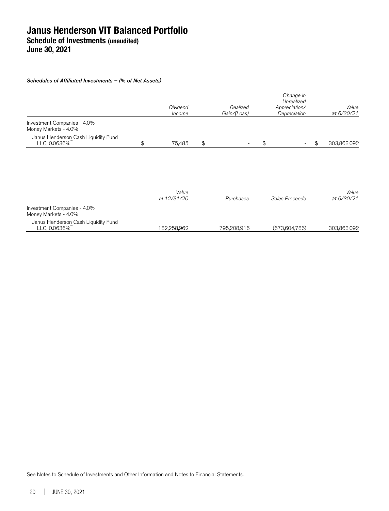### Schedules of Affiliated Investments – (% of Net Assets)

|                                                     | Dividend<br>Income | Realized<br>Gain/(Loss) | Change in<br>Unrealized<br>Appreciation/<br>Depreciation | Value<br>at 6/30/21 |
|-----------------------------------------------------|--------------------|-------------------------|----------------------------------------------------------|---------------------|
| Investment Companies - 4.0%<br>Money Markets - 4.0% |                    |                         |                                                          |                     |
| Janus Henderson Cash Liquidity Fund<br>LLC, 0.0636% | \$<br>75.485       | \$                      | $\overline{\phantom{a}}$                                 | \$<br>303,863,092   |
|                                                     |                    |                         |                                                          |                     |

|                                                     | Value       |             |                | Value       |  |
|-----------------------------------------------------|-------------|-------------|----------------|-------------|--|
|                                                     | at 12/31/20 | Purchases   | Sales Proceeds | at 6/30/21  |  |
| Investment Companies - 4.0%<br>Money Markets - 4.0% |             |             |                |             |  |
| Janus Henderson Cash Liquidity Fund<br>LLC, 0.0636% | 182.258.962 | 795,208,916 | (673.604.786)  | 303,863,092 |  |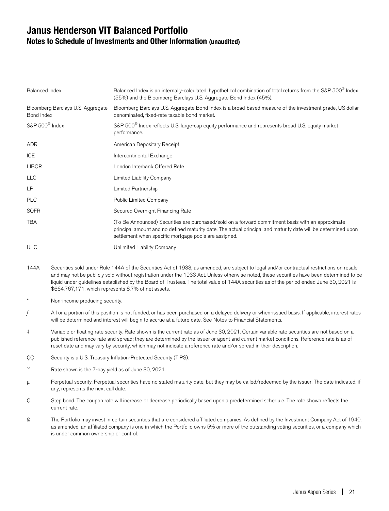## **Janus Henderson VIT Balanced Portfolio Notes to Schedule of Investments and Other Information (unaudited)**

| Balanced Index                                  | Balanced Index is an internally-calculated, hypothetical combination of total returns from the S&P 500 <sup>®</sup> Index<br>(55%) and the Bloomberg Barclays U.S. Aggregate Bond Index (45%).                                                                              |
|-------------------------------------------------|-----------------------------------------------------------------------------------------------------------------------------------------------------------------------------------------------------------------------------------------------------------------------------|
| Bloomberg Barclays U.S. Aggregate<br>Bond Index | Bloomberg Barclays U.S. Aggregate Bond Index is a broad-based measure of the investment grade, US dollar-<br>denominated, fixed-rate taxable bond market.                                                                                                                   |
| $S\&P 500^{\circ}$ Index                        | S&P 500 <sup>®</sup> Index reflects U.S. large-cap equity performance and represents broad U.S. equity market<br>performance.                                                                                                                                               |
| <b>ADR</b>                                      | American Depositary Receipt                                                                                                                                                                                                                                                 |
| <b>ICE</b>                                      | Intercontinental Exchange                                                                                                                                                                                                                                                   |
| <b>LIBOR</b>                                    | London Interbank Offered Rate                                                                                                                                                                                                                                               |
| <b>LLC</b>                                      | Limited Liability Company                                                                                                                                                                                                                                                   |
| LP                                              | Limited Partnership                                                                                                                                                                                                                                                         |
| <b>PLC</b>                                      | <b>Public Limited Company</b>                                                                                                                                                                                                                                               |
| <b>SOFR</b>                                     | Secured Overnight Financing Rate                                                                                                                                                                                                                                            |
| <b>TBA</b>                                      | (To Be Announced) Securities are purchased/sold on a forward commitment basis with an approximate<br>principal amount and no defined maturity date. The actual principal and maturity date will be determined upon<br>settlement when specific mortgage pools are assigned. |
| <b>ULC</b>                                      | Unlimited Liability Company                                                                                                                                                                                                                                                 |

- 144A Securities sold under Rule 144A of the Securities Act of 1933, as amended, are subject to legal and/or contractual restrictions on resale and may not be publicly sold without registration under the 1933 Act. Unless otherwise noted, these securities have been determined to be liquid under guidelines established by the Board of Trustees. The total value of 144A securities as of the period ended June 30, 2021 is \$664,767,171, which represents 8.7% of net assets.
- Non-income producing security.
- $f$  All or a portion of this position is not funded, or has been purchased on a delayed delivery or when-issued basis. If applicable, interest rates will be determined and interest will begin to accrue at a future date. See Notes to Financial Statements.
- ‡ Variable or floating rate security. Rate shown is the current rate as of June 30, 2021. Certain variable rate securities are not based on a published reference rate and spread; they are determined by the issuer or agent and current market conditions. Reference rate is as of reset date and may vary by security, which may not indicate a reference rate and/or spread in their description.
- ÇÇ Security is a U.S. Treasury Inflation-Protected Security (TIPS).
- ºº Rate shown is the 7-day yield as of June 30, 2021.
- μ Perpetual security. Perpetual securities have no stated maturity date, but they may be called/redeemed by the issuer. The date indicated, if any, represents the next call date.
- Ç Step bond. The coupon rate will increase or decrease periodically based upon a predetermined schedule. The rate shown reflects the current rate.
- £ The Portfolio may invest in certain securities that are considered affiliated companies. As defined by the Investment Company Act of 1940, as amended, an affiliated company is one in which the Portfolio owns 5% or more of the outstanding voting securities, or a company which is under common ownership or control.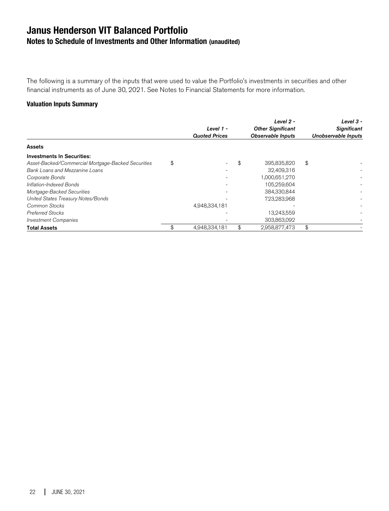## **Janus Henderson VIT Balanced Portfolio Notes to Schedule of Investments and Other Information (unaudited)**

The following is a summary of the inputs that were used to value the Portfolio's investments in securities and other financial instruments as of June 30, 2021. See Notes to Financial Statements for more information.

### **Valuation Inputs Summary**

|                                                    | Level 1 -<br><b>Quoted Prices</b> | Level 2 -<br><b>Other Significant</b><br><b>Observable Inputs</b> | Level $3 -$<br><b>Significant</b><br>Unobservable Inputs |
|----------------------------------------------------|-----------------------------------|-------------------------------------------------------------------|----------------------------------------------------------|
| Assets                                             |                                   |                                                                   |                                                          |
| <b>Investments In Securities:</b>                  |                                   |                                                                   |                                                          |
| Asset-Backed/Commercial Mortgage-Backed Securities | \$                                | \$<br>395,835,820                                                 | \$                                                       |
| Bank Loans and Mezzanine Loans                     |                                   | 32,409,316                                                        |                                                          |
| Corporate Bonds                                    |                                   | 1,000,651,270                                                     |                                                          |
| Inflation-Indexed Bonds                            |                                   | 105,259,604                                                       |                                                          |
| Mortgage-Backed Securities                         |                                   | 384,330,844                                                       |                                                          |
| United States Treasury Notes/Bonds                 |                                   | 723,283,968                                                       |                                                          |
| Common Stocks                                      | 4,948,334,181                     |                                                                   |                                                          |
| <b>Preferred Stocks</b>                            |                                   | 13.243.559                                                        |                                                          |
| <b>Investment Companies</b>                        |                                   | 303,863,092                                                       |                                                          |
| <b>Total Assets</b>                                | \$<br>4.948.334.181               | \$<br>2.958.877.473                                               | \$                                                       |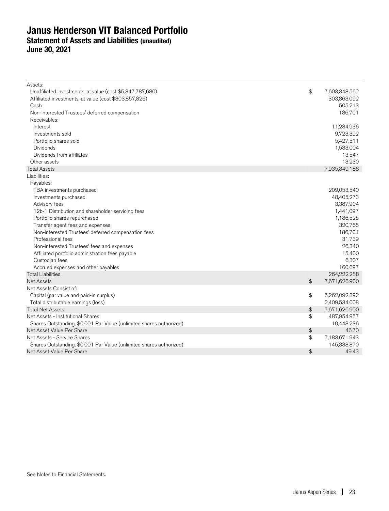## **Janus Henderson VIT Balanced Portfolio Statement of Assets and Liabilities (unaudited) June 30, 2021**

| Assets:                                                             |               |               |
|---------------------------------------------------------------------|---------------|---------------|
| Unaffiliated investments, at value (cost \$5,347,787,680)           | \$            | 7,603,348,562 |
| Affiliated investments, at value (cost \$303,857,826)               |               | 303,863,092   |
| Cash                                                                |               | 505,213       |
| Non-interested Trustees' deferred compensation                      |               | 186,701       |
| Receivables:                                                        |               |               |
| Interest                                                            |               | 11,234,936    |
| Investments sold                                                    |               | 9,723,392     |
| Portfolio shares sold                                               |               | 5,427,511     |
| <b>Dividends</b>                                                    |               | 1,533,004     |
| Dividends from affiliates                                           |               | 13,547        |
| Other assets                                                        |               | 13,230        |
| <b>Total Assets</b>                                                 |               | 7,935,849,188 |
| Liabilities:                                                        |               |               |
| Payables:                                                           |               |               |
| TBA investments purchased                                           |               | 209,053,540   |
| Investments purchased                                               |               | 48,405,273    |
| Advisory fees                                                       |               | 3,387,904     |
| 12b-1 Distribution and shareholder servicing fees                   |               | 1,441,097     |
| Portfolio shares repurchased                                        |               | 1,186,525     |
| Transfer agent fees and expenses                                    |               | 320,765       |
| Non-interested Trustees' deferred compensation fees                 |               | 186,701       |
| Professional fees                                                   |               | 31,739        |
| Non-interested Trustees' fees and expenses                          |               | 26,340        |
| Affiliated portfolio administration fees payable                    |               | 15,400        |
| Custodian fees                                                      |               | 6,307         |
| Accrued expenses and other payables                                 |               | 160,697       |
| <b>Total Liabilities</b>                                            |               | 264,222,288   |
| <b>Net Assets</b>                                                   | $\frac{1}{2}$ | 7,671,626,900 |
| Net Assets Consist of:                                              |               |               |
| Capital (par value and paid-in surplus)                             | \$            | 5,262,092,892 |
| Total distributable earnings (loss)                                 |               | 2,409,534,008 |
| <b>Total Net Assets</b>                                             | \$            | 7,671,626,900 |
| Net Assets - Institutional Shares                                   | \$            | 487,954,957   |
| Shares Outstanding, \$0.001 Par Value (unlimited shares authorized) |               | 10,448,236    |
| Net Asset Value Per Share                                           | \$            | 46.70         |
| Net Assets - Service Shares                                         | \$            | 7,183,671,943 |
| Shares Outstanding, \$0.001 Par Value (unlimited shares authorized) |               | 145,338,870   |
| Net Asset Value Per Share                                           | $\frac{1}{2}$ | 49.43         |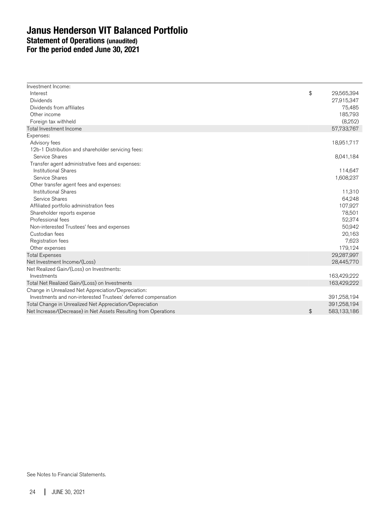## **Janus Henderson VIT Balanced Portfolio Statement of Operations (unaudited) For the period ended June 30, 2021**

| Investment Income:                                              |                   |
|-----------------------------------------------------------------|-------------------|
| Interest                                                        | \$<br>29,565,394  |
| Dividends                                                       | 27,915,347        |
| Dividends from affiliates                                       | 75,485            |
| Other income                                                    | 185,793           |
| Foreign tax withheld                                            | (8,252)           |
| Total Investment Income                                         | 57,733,767        |
| Expenses:                                                       |                   |
| Advisory fees                                                   | 18,951,717        |
| 12b-1 Distribution and shareholder servicing fees:              |                   |
| Service Shares                                                  | 8,041,184         |
| Transfer agent administrative fees and expenses:                |                   |
| <b>Institutional Shares</b>                                     | 114,647           |
| Service Shares                                                  | 1,608,237         |
| Other transfer agent fees and expenses:                         |                   |
| <b>Institutional Shares</b>                                     | 11,310            |
| Service Shares                                                  | 64,248            |
| Affiliated portfolio administration fees                        | 107,927           |
| Shareholder reports expense                                     | 78,501            |
| Professional fees                                               | 52,374            |
| Non-interested Trustees' fees and expenses                      | 50,942            |
| Custodian fees                                                  | 20,163            |
| Registration fees                                               | 7,623             |
| Other expenses                                                  | 179,124           |
| <b>Total Expenses</b>                                           | 29,287,997        |
| Net Investment Income/(Loss)                                    | 28,445,770        |
| Net Realized Gain/(Loss) on Investments:                        |                   |
| Investments                                                     | 163,429,222       |
| Total Net Realized Gain/(Loss) on Investments                   | 163,429,222       |
| Change in Unrealized Net Appreciation/Depreciation:             |                   |
| Investments and non-interested Trustees' deferred compensation  | 391,258,194       |
| Total Change in Unrealized Net Appreciation/Depreciation        | 391,258,194       |
| Net Increase/(Decrease) in Net Assets Resulting from Operations | \$<br>583,133,186 |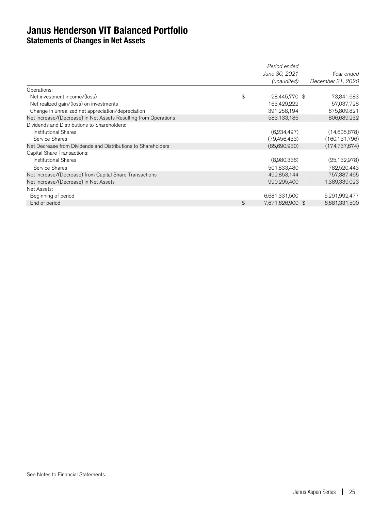**Statements of Changes in Net Assets** 

|                                                                 | Period ended           |                   |
|-----------------------------------------------------------------|------------------------|-------------------|
|                                                                 | June 30, 2021          | Year ended        |
|                                                                 | (unaudited)            | December 31, 2020 |
| Operations:                                                     |                        |                   |
| Net investment income/(loss)                                    | \$<br>28,445,770 \$    | 73,841,683        |
| Net realized gain/(loss) on investments                         | 163,429,222            | 57,037,728        |
| Change in unrealized net appreciation/depreciation              | 391,258,194            | 675,809,821       |
| Net Increase/(Decrease) in Net Assets Resulting from Operations | 583,133,186            | 806,689,232       |
| Dividends and Distributions to Shareholders:                    |                        |                   |
| <b>Institutional Shares</b>                                     | (6,234,497)            | (14,605,878)      |
| Service Shares                                                  | (79, 456, 433)         | (160, 131, 796)   |
| Net Decrease from Dividends and Distributions to Shareholders   | (85,690,930)           | (174, 737, 674)   |
| Capital Share Transactions:                                     |                        |                   |
| <b>Institutional Shares</b>                                     | (8,980,336)            | (25, 132, 978)    |
| Service Shares                                                  | 501,833,480            | 782,520,443       |
| Net Increase/(Decrease) from Capital Share Transactions         | 492,853,144            | 757,387,465       |
| Net Increase/(Decrease) in Net Assets                           | 990,295,400            | 1,389,339,023     |
| Net Assets:                                                     |                        |                   |
| Beginning of period                                             | 6,681,331,500          | 5,291,992,477     |
| End of period                                                   | \$<br>7,671,626,900 \$ | 6,681,331,500     |
|                                                                 |                        |                   |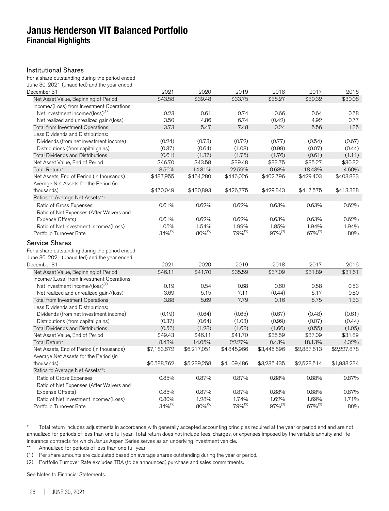## **Janus Henderson VIT Balanced Portfolio Financial Highlights**

#### Institutional Shares

For a share outstanding during the period ended June 30, 2021 (unaudited) and the year ended

| December 31                                                                                                              | 2021         | 2020               | 2019               | 2018         | 2017               | 2016        |
|--------------------------------------------------------------------------------------------------------------------------|--------------|--------------------|--------------------|--------------|--------------------|-------------|
| Net Asset Value, Beginning of Period                                                                                     | \$43.58      | \$39.48            | \$33.75            | \$35.27      | \$30.32            | \$30.08     |
| Income/(Loss) from Investment Operations:                                                                                |              |                    |                    |              |                    |             |
| Net investment income/(loss) <sup>(1)</sup>                                                                              | 0.23         | 0.61               | 0.74               | 0.66         | 0.64               | 0.58        |
| Net realized and unrealized gain/(loss)                                                                                  | 3.50         | 4.86               | 6.74               | (0.42)       | 4.92               | 0.77        |
| Total from Investment Operations                                                                                         | 3.73         | 5.47               | 7.48               | 0.24         | 5.56               | 1.35        |
| Less Dividends and Distributions:                                                                                        |              |                    |                    |              |                    |             |
| Dividends (from net investment income)                                                                                   | (0.24)       | (0.73)             | (0.72)             | (0.77)       | (0.54)             | (0.67)      |
| Distributions (from capital gains)                                                                                       | (0.37)       | (0.64)             | (1.03)             | (0.99)       | (0.07)             | (0.44)      |
| <b>Total Dividends and Distributions</b>                                                                                 | (0.61)       | (1.37)             | (1.75)             | (1.76)       | (0.61)             | (1.11)      |
| Net Asset Value, End of Period                                                                                           | \$46.70      | \$43.58            | \$39.48            | \$33.75      | \$35.27            | \$30.32     |
| Total Return*                                                                                                            | 8.56%        | 14.31%             | 22.59%             | 0.68%        | 18.43%             | 4.60%       |
| Net Assets, End of Period (in thousands)                                                                                 | \$487,955    | \$464,280          | \$446,026          | \$402,796    | \$429,403          | \$403,833   |
| Average Net Assets for the Period (in                                                                                    |              |                    |                    |              |                    |             |
| thousands)                                                                                                               | \$470,049    | \$430,893          | \$426,775          | \$429,843    | \$417,575          | \$413,338   |
| Ratios to Average Net Assets**:                                                                                          |              |                    |                    |              |                    |             |
| Ratio of Gross Expenses                                                                                                  | 0.61%        | 0.62%              | 0.62%              | 0.63%        | 0.63%              | 0.62%       |
| Ratio of Net Expenses (After Waivers and                                                                                 |              |                    |                    |              |                    |             |
| Expense Offsets)                                                                                                         | 0.61%        | 0.62%              | 0.62%              | 0.63%        | 0.63%              | 0.62%       |
| Ratio of Net Investment Income/(Loss)                                                                                    | 1.05%        | 1.54%              | 1.99%              | 1.85%        | 1.94%              | 1.94%       |
| Portfolio Turnover Rate                                                                                                  | $34\%^{(2)}$ | 80% <sup>(2)</sup> | 79% <sup>(2)</sup> | $97\%^{(2)}$ | 67% <sup>(2)</sup> | 80%         |
| <b>Service Shares</b><br>For a share outstanding during the period ended<br>June 30, 2021 (unaudited) and the year ended |              |                    |                    |              |                    |             |
| December 31                                                                                                              | 2021         | 2020               | 2019               | 2018         | 2017               | 2016        |
| Net Asset Value, Beginning of Period                                                                                     | \$46.11      | \$41.70            | \$35.59            | \$37.09      | \$31.89            | \$31.61     |
| Income/(Loss) from Investment Operations:                                                                                |              |                    |                    |              |                    |             |
| Net investment income/(loss) <sup>(1)</sup>                                                                              | 0.19         | 0.54               | 0.68               | 0.60         | 0.58               | 0.53        |
| Net realized and unrealized gain/(loss)                                                                                  | 3.69         | 5.15               | 7.11               | (0.44)       | 5.17               | 0.80        |
| <b>Total from Investment Operations</b>                                                                                  | 3.88         | 5.69               | 7.79               | 0.16         | 5.75               | 1.33        |
| Less Dividends and Distributions:                                                                                        |              |                    |                    |              |                    |             |
| Dividends (from net investment income)                                                                                   | (0.19)       | (0.64)             | (0.65)             | (0.67)       | (0.48)             | (0.61)      |
| Distributions (from capital gains)                                                                                       | (0.37)       | (0.64)             | (1.03)             | (0.99)       | (0.07)             | (0.44)      |
| <b>Total Dividends and Distributions</b>                                                                                 | (0.56)       | (1.28)             | (1.68)             | (1.66)       | (0.55)             | (1.05)      |
| Net Asset Value, End of Period                                                                                           | \$49.43      | \$46.11            | \$41.70            | \$35.59      | \$37.09            | \$31.89     |
| Total Return*                                                                                                            | 8.43%        | 14.05%             | 22.27%             | 0.43%        | 18.13%             | 4.32%       |
| Net Assets, End of Period (in thousands)                                                                                 | \$7,183,672  | \$6,217,051        | \$4,845,966        | \$3,445,696  | \$2,887,613        | \$2,227,878 |
| Average Net Assets for the Period (in                                                                                    |              |                    |                    |              |                    |             |
| thousands)                                                                                                               | \$6,588,762  | \$5,239,258        | \$4,109,486        | \$3,235,435  | \$2,523,514        | \$1,938,234 |
| Ratios to Average Net Assets**:                                                                                          |              |                    |                    |              |                    |             |
| Ratio of Gross Expenses                                                                                                  | 0.85%        | 0.87%              | 0.87%              | 0.88%        | 0.88%              | 0.87%       |
| Ratio of Net Expenses (After Waivers and                                                                                 |              |                    |                    |              |                    |             |
| Expense Offsets)                                                                                                         | 0.85%        | 0.87%              | 0.87%              | 0.88%        | 0.88%              | 0.87%       |
| Ratio of Net Investment Income/(Loss)                                                                                    | 0.80%        | 1.28%              | 1.74%              | 1.62%        | 1.69%              | 1.71%       |
| Portfolio Turnover Rate                                                                                                  | $34\%^{(2)}$ | 80% <sup>(2)</sup> | $79\%^{(2)}$       | $97\%^{(2)}$ | 67% <sup>(2)</sup> | 80%         |

\* Total return includes adjustments in accordance with generally accepted accounting principles required at the year or period end and are not annualized for periods of less than one full year. Total return does not include fees, charges, or expenses imposed by the variable annuity and life insurance contracts for which Janus Aspen Series serves as an underlying investment vehicle.

\*\* Annualized for periods of less than one full year.

(1) Per share amounts are calculated based on average shares outstanding during the year or period.

(2) Portfolio Turnover Rate excludes TBA (to be announced) purchase and sales commitments.

See Notes to Financial Statements.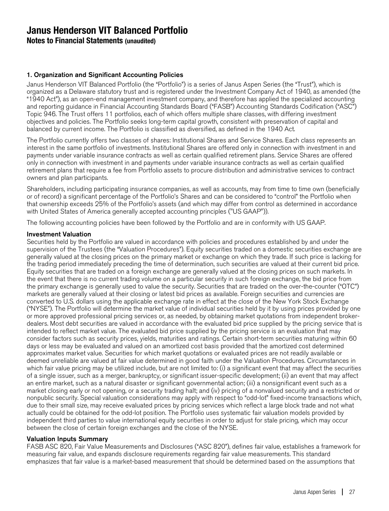**Notes to Financial Statements (unaudited)**

### 1. Organization and Significant Accounting Policies

Janus Henderson VIT Balanced Portfolio (the "Portfolio") is a series of Janus Aspen Series (the "Trust"), which is organized as a Delaware statutory trust and is registered under the Investment Company Act of 1940, as amended (the "1940 Act"), as an open-end management investment company, and therefore has applied the specialized accounting and reporting guidance in Financial Accounting Standards Board ("FASB") Accounting Standards Codification ("ASC") Topic 946. The Trust offers 11 portfolios, each of which offers multiple share classes, with differing investment objectives and policies. The Portfolio seeks long-term capital growth, consistent with preservation of capital and balanced by current income. The Portfolio is classified as diversified, as defined in the 1940 Act.

The Portfolio currently offers two classes of shares: Institutional Shares and Service Shares. Each class represents an interest in the same portfolio of investments. Institutional Shares are offered only in connection with investment in and payments under variable insurance contracts as well as certain qualified retirement plans. Service Shares are offered only in connection with investment in and payments under variable insurance contracts as well as certain qualified retirement plans that require a fee from Portfolio assets to procure distribution and administrative services to contract owners and plan participants.

Shareholders, including participating insurance companies, as well as accounts, may from time to time own (beneficially or of record) a significant percentage of the Portfolio's Shares and can be considered to "control" the Portfolio when that ownership exceeds 25% of the Portfolio's assets (and which may differ from control as determined in accordance with United States of America generally accepted accounting principles ("US GAAP")).

The following accounting policies have been followed by the Portfolio and are in conformity with US GAAP.

### Investment Valuation

Securities held by the Portfolio are valued in accordance with policies and procedures established by and under the supervision of the Trustees (the "Valuation Procedures"). Equity securities traded on a domestic securities exchange are generally valued at the closing prices on the primary market or exchange on which they trade. If such price is lacking for the trading period immediately preceding the time of determination, such securities are valued at their current bid price. Equity securities that are traded on a foreign exchange are generally valued at the closing prices on such markets. In the event that there is no current trading volume on a particular security in such foreign exchange, the bid price from the primary exchange is generally used to value the security. Securities that are traded on the over-the-counter ("OTC") markets are generally valued at their closing or latest bid prices as available. Foreign securities and currencies are converted to U.S. dollars using the applicable exchange rate in effect at the close of the New York Stock Exchange ("NYSE"). The Portfolio will determine the market value of individual securities held by it by using prices provided by one or more approved professional pricing services or, as needed, by obtaining market quotations from independent brokerdealers. Most debt securities are valued in accordance with the evaluated bid price supplied by the pricing service that is intended to reflect market value. The evaluated bid price supplied by the pricing service is an evaluation that may consider factors such as security prices, yields, maturities and ratings. Certain short-term securities maturing within 60 days or less may be evaluated and valued on an amortized cost basis provided that the amortized cost determined approximates market value. Securities for which market quotations or evaluated prices are not readily available or deemed unreliable are valued at fair value determined in good faith under the Valuation Procedures. Circumstances in which fair value pricing may be utilized include, but are not limited to: (i) a significant event that may affect the securities of a single issuer, such as a merger, bankruptcy, or significant issuer-specific development; (ii) an event that may affect an entire market, such as a natural disaster or significant governmental action; (iii) a nonsignificant event such as a market closing early or not opening, or a security trading halt; and (iv) pricing of a nonvalued security and a restricted or nonpublic security. Special valuation considerations may apply with respect to "odd-lot" fixed-income transactions which, due to their small size, may receive evaluated prices by pricing services which reflect a large block trade and not what actually could be obtained for the odd-lot position. The Portfolio uses systematic fair valuation models provided by independent third parties to value international equity securities in order to adjust for stale pricing, which may occur between the close of certain foreign exchanges and the close of the NYSE.

### Valuation Inputs Summary

FASB ASC 820, Fair Value Measurements and Disclosures ("ASC 820"), defines fair value, establishes a framework for measuring fair value, and expands disclosure requirements regarding fair value measurements. This standard emphasizes that fair value is a market-based measurement that should be determined based on the assumptions that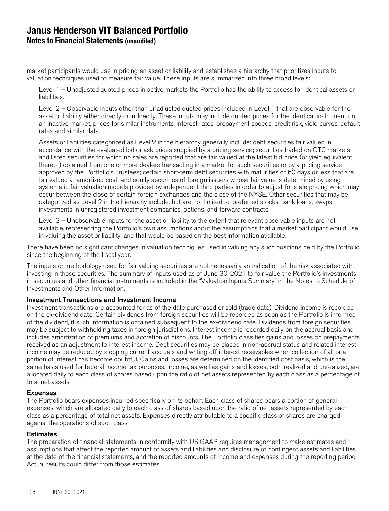## **Janus Henderson VIT Balanced Portfolio Notes to Financial Statements (unaudited)**

market participants would use in pricing an asset or liability and establishes a hierarchy that prioritizes inputs to valuation techniques used to measure fair value. These inputs are summarized into three broad levels:

Level 1 – Unadjusted quoted prices in active markets the Portfolio has the ability to access for identical assets or liabilities.

Level 2 – Observable inputs other than unadjusted quoted prices included in Level 1 that are observable for the asset or liability either directly or indirectly. These inputs may include quoted prices for the identical instrument on an inactive market, prices for similar instruments, interest rates, prepayment speeds, credit risk, yield curves, default rates and similar data.

Assets or liabilities categorized as Level 2 in the hierarchy generally include: debt securities fair valued in accordance with the evaluated bid or ask prices supplied by a pricing service; securities traded on OTC markets and listed securities for which no sales are reported that are fair valued at the latest bid price (or yield equivalent thereof) obtained from one or more dealers transacting in a market for such securities or by a pricing service approved by the Portfolio's Trustees; certain short-term debt securities with maturities of 60 days or less that are fair valued at amortized cost; and equity securities of foreign issuers whose fair value is determined by using systematic fair valuation models provided by independent third parties in order to adjust for stale pricing which may occur between the close of certain foreign exchanges and the close of the NYSE. Other securities that may be categorized as Level 2 in the hierarchy include, but are not limited to, preferred stocks, bank loans, swaps, investments in unregistered investment companies, options, and forward contracts.

Level 3 – Unobservable inputs for the asset or liability to the extent that relevant observable inputs are not available, representing the Portfolio's own assumptions about the assumptions that a market participant would use in valuing the asset or liability, and that would be based on the best information available.

There have been no significant changes in valuation techniques used in valuing any such positions held by the Portfolio since the beginning of the fiscal year.

The inputs or methodology used for fair valuing securities are not necessarily an indication of the risk associated with investing in those securities. The summary of inputs used as of June 30, 2021 to fair value the Portfolio's investments in securities and other financial instruments is included in the "Valuation Inputs Summary" in the Notes to Schedule of Investments and Other Information.

#### Investment Transactions and Investment Income

Investment transactions are accounted for as of the date purchased or sold (trade date). Dividend income is recorded on the ex-dividend date. Certain dividends from foreign securities will be recorded as soon as the Portfolio is informed of the dividend, if such information is obtained subsequent to the ex-dividend date. Dividends from foreign securities may be subject to withholding taxes in foreign jurisdictions. Interest income is recorded daily on the accrual basis and includes amortization of premiums and accretion of discounts. The Portfolio classifies gains and losses on prepayments received as an adjustment to interest income. Debt securities may be placed in non-accrual status and related interest income may be reduced by stopping current accruals and writing off interest receivables when collection of all or a portion of interest has become doubtful. Gains and losses are determined on the identified cost basis, which is the same basis used for federal income tax purposes. Income, as well as gains and losses, both realized and unrealized, are allocated daily to each class of shares based upon the ratio of net assets represented by each class as a percentage of total net assets.

#### Expenses

The Portfolio bears expenses incurred specifically on its behalf. Each class of shares bears a portion of general expenses, which are allocated daily to each class of shares based upon the ratio of net assets represented by each class as a percentage of total net assets. Expenses directly attributable to a specific class of shares are charged against the operations of such class.

#### **Estimates**

The preparation of financial statements in conformity with US GAAP requires management to make estimates and assumptions that affect the reported amount of assets and liabilities and disclosure of contingent assets and liabilities at the date of the financial statements, and the reported amounts of income and expenses during the reporting period. Actual results could differ from those estimates.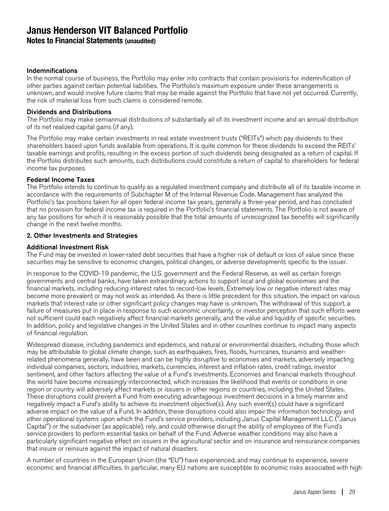**Notes to Financial Statements (unaudited)**

### Indemnifications

In the normal course of business, the Portfolio may enter into contracts that contain provisions for indemnification of other parties against certain potential liabilities. The Portfolio's maximum exposure under these arrangements is unknown, and would involve future claims that may be made against the Portfolio that have not yet occurred. Currently, the risk of material loss from such claims is considered remote.

### Dividends and Distributions

The Portfolio may make semiannual distributions of substantially all of its investment income and an annual distribution of its net realized capital gains (if any).

The Portfolio may make certain investments in real estate investment trusts ("REITs") which pay dividends to their shareholders based upon funds available from operations. It is quite common for these dividends to exceed the REITs' taxable earnings and profits, resulting in the excess portion of such dividends being designated as a return of capital. If the Portfolio distributes such amounts, such distributions could constitute a return of capital to shareholders for federal income tax purposes.

### Federal Income Taxes

The Portfolio intends to continue to qualify as a regulated investment company and distribute all of its taxable income in accordance with the requirements of Subchapter M of the Internal Revenue Code. Management has analyzed the Portfolio's tax positions taken for all open federal income tax years, generally a three-year period, and has concluded that no provision for federal income tax is required in the Portfolio's financial statements. The Portfolio is not aware of any tax positions for which it is reasonably possible that the total amounts of unrecognized tax benefits will significantly change in the next twelve months.

### 2. Other Investments and Strategies

### Additional Investment Risk

The Fund may be invested in lower-rated debt securities that have a higher risk of default or loss of value since these securities may be sensitive to economic changes, political changes, or adverse developments specific to the issuer.

In response to the COVID-19 pandemic, the U.S. government and the Federal Reserve, as well as certain foreign governments and central banks, have taken extraordinary actions to support local and global economies and the financial markets, including reducing interest rates to record-low levels. Extremely low or negative interest rates may become more prevalent or may not work as intended. As there is little precedent for this situation, the impact on various markets that interest rate or other significant policy changes may have is unknown. The withdrawal of this support, a failure of measures put in place in response to such economic uncertainty, or investor perception that such efforts were not sufficient could each negatively affect financial markets generally, and the value and liquidity of specific securities. In addition, policy and legislative changes in the United States and in other countries continue to impact many aspects of financial regulation.

Widespread disease, including pandemics and epidemics, and natural or environmental disasters, including those which may be attributable to global climate change, such as earthquakes, fires, floods, hurricanes, tsunamis and weatherrelated phenomena generally, have been and can be highly disruptive to economies and markets, adversely impacting individual companies, sectors, industries, markets, currencies, interest and inflation rates, credit ratings, investor sentiment, and other factors affecting the value of a Fund's investments. Economies and financial markets throughout the world have become increasingly interconnected, which increases the likelihood that events or conditions in one region or country will adversely affect markets or issuers in other regions or countries, including the United States. These disruptions could prevent a Fund from executing advantageous investment decisions in a timely manner and negatively impact a Fund's ability to achieve its investment objective(s). Any such event(s) could have a significant adverse impact on the value of a Fund. In addition, these disruptions could also impair the information technology and other operational systems upon which the Fund's service providers, including Janus Capital Management LLC ("Janus Capital") or the subadviser (as applicable), rely, and could otherwise disrupt the ability of employees of the Fund's service providers to perform essential tasks on behalf of the Fund. Adverse weather conditions may also have a particularly significant negative effect on issuers in the agricultural sector and on insurance and reinsurance companies that insure or reinsure against the impact of natural disasters.

A number of countries in the European Union (the "EU") have experienced, and may continue to experience, severe economic and financial difficulties. In particular, many EU nations are susceptible to economic risks associated with high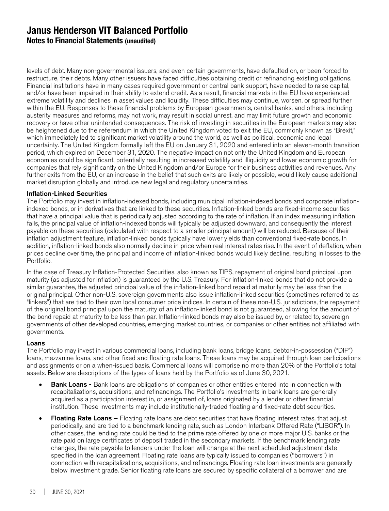**Notes to Financial Statements (unaudited)**

levels of debt. Many non-governmental issuers, and even certain governments, have defaulted on, or been forced to restructure, their debts. Many other issuers have faced difficulties obtaining credit or refinancing existing obligations. Financial institutions have in many cases required government or central bank support, have needed to raise capital, and/or have been impaired in their ability to extend credit. As a result, financial markets in the EU have experienced extreme volatility and declines in asset values and liquidity. These difficulties may continue, worsen, or spread further within the EU. Responses to these financial problems by European governments, central banks, and others, including austerity measures and reforms, may not work, may result in social unrest, and may limit future growth and economic recovery or have other unintended consequences. The risk of investing in securities in the European markets may also be heightened due to the referendum in which the United Kingdom voted to exit the EU, commonly known as "Brexit," which immediately led to significant market volatility around the world, as well as political, economic and legal uncertainty. The United Kingdom formally left the EU on January 31, 2020 and entered into an eleven-month transition period, which expired on December 31, 2020. The negative impact on not only the United Kingdom and European economies could be significant, potentially resulting in increased volatility and illiquidity and lower economic growth for companies that rely significantly on the United Kingdom and/or Europe for their business activities and revenues. Any further exits from the EU, or an increase in the belief that such exits are likely or possible, would likely cause additional market disruption globally and introduce new legal and regulatory uncertainties.

### Inflation-Linked Securities

The Portfolio may invest in inflation-indexed bonds, including municipal inflation-indexed bonds and corporate inflationindexed bonds, or in derivatives that are linked to these securities. Inflation-linked bonds are fixed-income securities that have a principal value that is periodically adjusted according to the rate of inflation. If an index measuring inflation falls, the principal value of inflation-indexed bonds will typically be adjusted downward, and consequently the interest payable on these securities (calculated with respect to a smaller principal amount) will be reduced. Because of their inflation adjustment feature, inflation-linked bonds typically have lower yields than conventional fixed-rate bonds. In addition, inflation-linked bonds also normally decline in price when real interest rates rise. In the event of deflation, when prices decline over time, the principal and income of inflation-linked bonds would likely decline, resulting in losses to the Portfolio.

In the case of Treasury Inflation-Protected Securities, also known as TIPS, repayment of original bond principal upon maturity (as adjusted for inflation) is guaranteed by the U.S. Treasury. For inflation-linked bonds that do not provide a similar guarantee, the adjusted principal value of the inflation-linked bond repaid at maturity may be less than the original principal. Other non-U.S. sovereign governments also issue inflation-linked securities (sometimes referred to as "linkers") that are tied to their own local consumer price indices. In certain of these non-U.S. jurisdictions, the repayment of the original bond principal upon the maturity of an inflation-linked bond is not guaranteed, allowing for the amount of the bond repaid at maturity to be less than par. Inflation-linked bonds may also be issued by, or related to, sovereign governments of other developed countries, emerging market countries, or companies or other entities not affiliated with governments.

#### Loans

The Portfolio may invest in various commercial loans, including bank loans, bridge loans, debtor-in-possession ("DIP") loans, mezzanine loans, and other fixed and floating rate loans. These loans may be acquired through loan participations and assignments or on a when-issued basis. Commercial loans will comprise no more than 20% of the Portfolio's total assets. Below are descriptions of the types of loans held by the Portfolio as of June 30, 2021.

- Bank Loans Bank loans are obligations of companies or other entities entered into in connection with recapitalizations, acquisitions, and refinancings. The Portfolio's investments in bank loans are generally acquired as a participation interest in, or assignment of, loans originated by a lender or other financial institution. These investments may include institutionally-traded floating and fixed-rate debt securities.
- Floating Rate Loans Floating rate loans are debt securities that have floating interest rates, that adjust periodically, and are tied to a benchmark lending rate, such as London Interbank Offered Rate ("LIBOR"). In other cases, the lending rate could be tied to the prime rate offered by one or more major U.S. banks or the rate paid on large certificates of deposit traded in the secondary markets. If the benchmark lending rate changes, the rate payable to lenders under the loan will change at the next scheduled adjustment date specified in the loan agreement. Floating rate loans are typically issued to companies ("borrowers") in connection with recapitalizations, acquisitions, and refinancings. Floating rate loan investments are generally below investment grade. Senior floating rate loans are secured by specific collateral of a borrower and are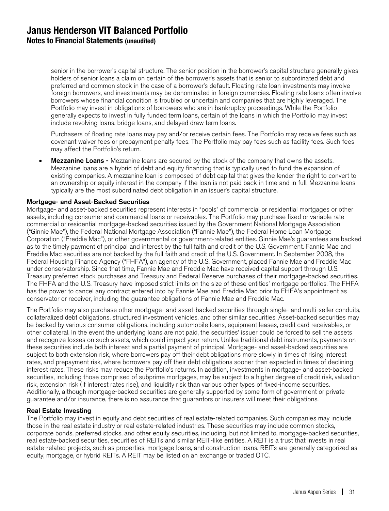**Notes to Financial Statements (unaudited)**

senior in the borrower's capital structure. The senior position in the borrower's capital structure generally gives holders of senior loans a claim on certain of the borrower's assets that is senior to subordinated debt and preferred and common stock in the case of a borrower's default. Floating rate loan investments may involve foreign borrowers, and investments may be denominated in foreign currencies. Floating rate loans often involve borrowers whose financial condition is troubled or uncertain and companies that are highly leveraged. The Portfolio may invest in obligations of borrowers who are in bankruptcy proceedings. While the Portfolio generally expects to invest in fully funded term loans, certain of the loans in which the Portfolio may invest include revolving loans, bridge loans, and delayed draw term loans.

Purchasers of floating rate loans may pay and/or receive certain fees. The Portfolio may receive fees such as covenant waiver fees or prepayment penalty fees. The Portfolio may pay fees such as facility fees. Such fees may affect the Portfolio's return.

• Mezzanine Loans - Mezzanine loans are secured by the stock of the company that owns the assets. Mezzanine loans are a hybrid of debt and equity financing that is typically used to fund the expansion of existing companies. A mezzanine loan is composed of debt capital that gives the lender the right to convert to an ownership or equity interest in the company if the loan is not paid back in time and in full. Mezzanine loans typically are the most subordinated debt obligation in an issuer's capital structure.

#### Mortgage- and Asset-Backed Securities

Mortgage- and asset-backed securities represent interests in "pools" of commercial or residential mortgages or other assets, including consumer and commercial loans or receivables. The Portfolio may purchase fixed or variable rate commercial or residential mortgage-backed securities issued by the Government National Mortgage Association ("Ginnie Mae"), the Federal National Mortgage Association ("Fannie Mae"), the Federal Home Loan Mortgage Corporation ("Freddie Mac"), or other governmental or government-related entities. Ginnie Mae's guarantees are backed as to the timely payment of principal and interest by the full faith and credit of the U.S. Government. Fannie Mae and Freddie Mac securities are not backed by the full faith and credit of the U.S. Government. In September 2008, the Federal Housing Finance Agency ("FHFA"), an agency of the U.S. Government, placed Fannie Mae and Freddie Mac under conservatorship. Since that time, Fannie Mae and Freddie Mac have received capital support through U.S. Treasury preferred stock purchases and Treasury and Federal Reserve purchases of their mortgage-backed securities. The FHFA and the U.S. Treasury have imposed strict limits on the size of these entities' mortgage portfolios. The FHFA has the power to cancel any contract entered into by Fannie Mae and Freddie Mac prior to FHFA's appointment as conservator or receiver, including the guarantee obligations of Fannie Mae and Freddie Mac.

The Portfolio may also purchase other mortgage- and asset-backed securities through single- and multi-seller conduits, collateralized debt obligations, structured investment vehicles, and other similar securities. Asset-backed securities may be backed by various consumer obligations, including automobile loans, equipment leases, credit card receivables, or other collateral. In the event the underlying loans are not paid, the securities' issuer could be forced to sell the assets and recognize losses on such assets, which could impact your return. Unlike traditional debt instruments, payments on these securities include both interest and a partial payment of principal. Mortgage- and asset-backed securities are subject to both extension risk, where borrowers pay off their debt obligations more slowly in times of rising interest rates, and prepayment risk, where borrowers pay off their debt obligations sooner than expected in times of declining interest rates. These risks may reduce the Portfolio's returns. In addition, investments in mortgage- and asset-backed securities, including those comprised of subprime mortgages, may be subject to a higher degree of credit risk, valuation risk, extension risk (if interest rates rise), and liquidity risk than various other types of fixed-income securities. Additionally, although mortgage-backed securities are generally supported by some form of government or private guarantee and/or insurance, there is no assurance that guarantors or insurers will meet their obligations.

#### Real Estate Investing

The Portfolio may invest in equity and debt securities of real estate-related companies. Such companies may include those in the real estate industry or real estate-related industries. These securities may include common stocks, corporate bonds, preferred stocks, and other equity securities, including, but not limited to, mortgage-backed securities, real estate-backed securities, securities of REITs and similar REIT-like entities. A REIT is a trust that invests in real estate-related projects, such as properties, mortgage loans, and construction loans. REITs are generally categorized as equity, mortgage, or hybrid REITs. A REIT may be listed on an exchange or traded OTC.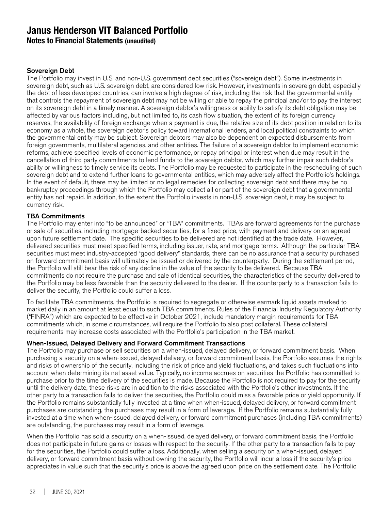**Notes to Financial Statements (unaudited)**

### Sovereign Debt

The Portfolio may invest in U.S. and non-U.S. government debt securities ("sovereign debt"). Some investments in sovereign debt, such as U.S. sovereign debt, are considered low risk. However, investments in sovereign debt, especially the debt of less developed countries, can involve a high degree of risk, including the risk that the governmental entity that controls the repayment of sovereign debt may not be willing or able to repay the principal and/or to pay the interest on its sovereign debt in a timely manner. A sovereign debtor's willingness or ability to satisfy its debt obligation may be affected by various factors including, but not limited to, its cash flow situation, the extent of its foreign currency reserves, the availability of foreign exchange when a payment is due, the relative size of its debt position in relation to its economy as a whole, the sovereign debtor's policy toward international lenders, and local political constraints to which the governmental entity may be subject. Sovereign debtors may also be dependent on expected disbursements from foreign governments, multilateral agencies, and other entities. The failure of a sovereign debtor to implement economic reforms, achieve specified levels of economic performance, or repay principal or interest when due may result in the cancellation of third party commitments to lend funds to the sovereign debtor, which may further impair such debtor's ability or willingness to timely service its debts. The Portfolio may be requested to participate in the rescheduling of such sovereign debt and to extend further loans to governmental entities, which may adversely affect the Portfolio's holdings. In the event of default, there may be limited or no legal remedies for collecting sovereign debt and there may be no bankruptcy proceedings through which the Portfolio may collect all or part of the sovereign debt that a governmental entity has not repaid. In addition, to the extent the Portfolio invests in non-U.S. sovereign debt, it may be subject to currency risk.

### TBA Commitments

The Portfolio may enter into "to be announced" or "TBA" commitments. TBAs are forward agreements for the purchase or sale of securities, including mortgage-backed securities, for a fixed price, with payment and delivery on an agreed upon future settlement date. The specific securities to be delivered are not identified at the trade date. However, delivered securities must meet specified terms, including issuer, rate, and mortgage terms. Although the particular TBA securities must meet industry-accepted "good delivery" standards, there can be no assurance that a security purchased on forward commitment basis will ultimately be issued or delivered by the counterparty. During the settlement period, the Portfolio will still bear the risk of any decline in the value of the security to be delivered. Because TBA commitments do not require the purchase and sale of identical securities, the characteristics of the security delivered to the Portfolio may be less favorable than the security delivered to the dealer. If the counterparty to a transaction fails to deliver the security, the Portfolio could suffer a loss.

To facilitate TBA commitments, the Portfolio is required to segregate or otherwise earmark liquid assets marked to market daily in an amount at least equal to such TBA commitments. Rules of the Financial Industry Regulatory Authority ("FINRA") which are expected to be effective in October 2021, include mandatory margin requirements for TBA commitments which, in some circumstances, will require the Portfolio to also post collateral. These collateral requirements may increase costs associated with the Portfolio's participation in the TBA market.

### When-Issued, Delayed Delivery and Forward Commitment Transactions

The Portfolio may purchase or sell securities on a when-issued, delayed delivery, or forward commitment basis. When purchasing a security on a when-issued, delayed delivery, or forward commitment basis, the Portfolio assumes the rights and risks of ownership of the security, including the risk of price and yield fluctuations, and takes such fluctuations into account when determining its net asset value. Typically, no income accrues on securities the Portfolio has committed to purchase prior to the time delivery of the securities is made. Because the Portfolio is not required to pay for the security until the delivery date, these risks are in addition to the risks associated with the Portfolio's other investments. If the other party to a transaction fails to deliver the securities, the Portfolio could miss a favorable price or yield opportunity. If the Portfolio remains substantially fully invested at a time when when-issued, delayed delivery, or forward commitment purchases are outstanding, the purchases may result in a form of leverage. If the Portfolio remains substantially fully invested at a time when when-issued, delayed delivery, or forward commitment purchases (including TBA commitments) are outstanding, the purchases may result in a form of leverage.

When the Portfolio has sold a security on a when-issued, delayed delivery, or forward commitment basis, the Portfolio does not participate in future gains or losses with respect to the security. If the other party to a transaction fails to pay for the securities, the Portfolio could suffer a loss. Additionally, when selling a security on a when-issued, delayed delivery, or forward commitment basis without owning the security, the Portfolio will incur a loss if the security's price appreciates in value such that the security's price is above the agreed upon price on the settlement date. The Portfolio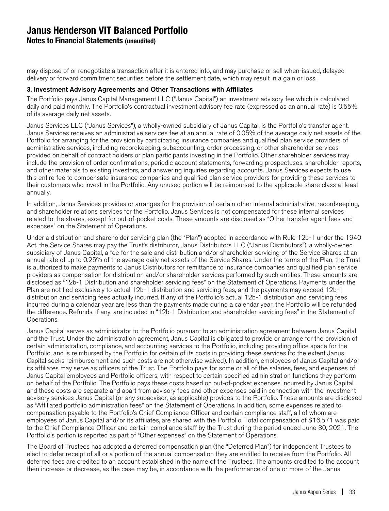**Notes to Financial Statements (unaudited)**

may dispose of or renegotiate a transaction after it is entered into, and may purchase or sell when-issued, delayed delivery or forward commitment securities before the settlement date, which may result in a gain or loss.

### 3. Investment Advisory Agreements and Other Transactions with Affiliates

The Portfolio pays Janus Capital Management LLC ("Janus Capital") an investment advisory fee which is calculated daily and paid monthly. The Portfolio's contractual investment advisory fee rate (expressed as an annual rate) is 0.55% of its average daily net assets.

Janus Services LLC ("Janus Services"), a wholly-owned subsidiary of Janus Capital, is the Portfolio's transfer agent. Janus Services receives an administrative services fee at an annual rate of 0.05% of the average daily net assets of the Portfolio for arranging for the provision by participating insurance companies and qualified plan service providers of administrative services, including recordkeeping, subaccounting, order processing, or other shareholder services provided on behalf of contract holders or plan participants investing in the Portfolio. Other shareholder services may include the provision of order confirmations, periodic account statements, forwarding prospectuses, shareholder reports, and other materials to existing investors, and answering inquiries regarding accounts. Janus Services expects to use this entire fee to compensate insurance companies and qualified plan service providers for providing these services to their customers who invest in the Portfolio. Any unused portion will be reimbursed to the applicable share class at least annually.

In addition, Janus Services provides or arranges for the provision of certain other internal administrative, recordkeeping, and shareholder relations services for the Portfolio. Janus Services is not compensated for these internal services related to the shares, except for out-of-pocket costs. These amounts are disclosed as "Other transfer agent fees and expenses" on the Statement of Operations.

Under a distribution and shareholder servicing plan (the "Plan") adopted in accordance with Rule 12b-1 under the 1940 Act, the Service Shares may pay the Trust's distributor, Janus Distributors LLC ("Janus Distributors"), a wholly-owned subsidiary of Janus Capital, a fee for the sale and distribution and/or shareholder servicing of the Service Shares at an annual rate of up to 0.25% of the average daily net assets of the Service Shares. Under the terms of the Plan, the Trust is authorized to make payments to Janus Distributors for remittance to insurance companies and qualified plan service providers as compensation for distribution and/or shareholder services performed by such entities. These amounts are disclosed as "12b-1 Distribution and shareholder servicing fees" on the Statement of Operations. Payments under the Plan are not tied exclusively to actual 12b-1 distribution and servicing fees, and the payments may exceed 12b-1 distribution and servicing fees actually incurred. If any of the Portfolio's actual 12b-1 distribution and servicing fees incurred during a calendar year are less than the payments made during a calendar year, the Portfolio will be refunded the difference. Refunds, if any, are included in "12b-1 Distribution and shareholder servicing fees" in the Statement of Operations.

Janus Capital serves as administrator to the Portfolio pursuant to an administration agreement between Janus Capital and the Trust. Under the administration agreement, Janus Capital is obligated to provide or arrange for the provision of certain administration, compliance, and accounting services to the Portfolio, including providing office space for the Portfolio, and is reimbursed by the Portfolio for certain of its costs in providing these services (to the extent Janus Capital seeks reimbursement and such costs are not otherwise waived). In addition, employees of Janus Capital and/or its affiliates may serve as officers of the Trust. The Portfolio pays for some or all of the salaries, fees, and expenses of Janus Capital employees and Portfolio officers, with respect to certain specified administration functions they perform on behalf of the Portfolio. The Portfolio pays these costs based on out-of-pocket expenses incurred by Janus Capital, and these costs are separate and apart from advisory fees and other expenses paid in connection with the investment advisory services Janus Capital (or any subadvisor, as applicable) provides to the Portfolio. These amounts are disclosed as "Affiliated portfolio administration fees" on the Statement of Operations. In addition, some expenses related to compensation payable to the Portfolio's Chief Compliance Officer and certain compliance staff, all of whom are employees of Janus Capital and/or its affiliates, are shared with the Portfolio. Total compensation of \$16,571 was paid to the Chief Compliance Officer and certain compliance staff by the Trust during the period ended June 30, 2021. The Portfolio's portion is reported as part of "Other expenses" on the Statement of Operations.

The Board of Trustees has adopted a deferred compensation plan (the "Deferred Plan") for independent Trustees to elect to defer receipt of all or a portion of the annual compensation they are entitled to receive from the Portfolio. All deferred fees are credited to an account established in the name of the Trustees. The amounts credited to the account then increase or decrease, as the case may be, in accordance with the performance of one or more of the Janus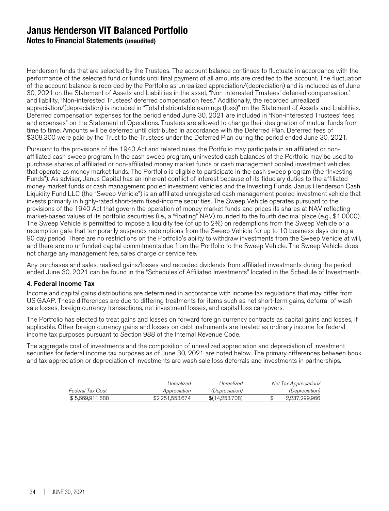**Notes to Financial Statements (unaudited)**

Henderson funds that are selected by the Trustees. The account balance continues to fluctuate in accordance with the performance of the selected fund or funds until final payment of all amounts are credited to the account. The fluctuation of the account balance is recorded by the Portfolio as unrealized appreciation/(depreciation) and is included as of June 30, 2021 on the Statement of Assets and Liabilities in the asset, "Non-interested Trustees' deferred compensation," and liability, "Non-interested Trustees' deferred compensation fees." Additionally, the recorded unrealized appreciation/(depreciation) is included in "Total distributable earnings (loss)" on the Statement of Assets and Liabilities. Deferred compensation expenses for the period ended June 30, 2021 are included in "Non-interested Trustees' fees and expenses" on the Statement of Operations. Trustees are allowed to change their designation of mutual funds from time to time. Amounts will be deferred until distributed in accordance with the Deferred Plan. Deferred fees of \$308,300 were paid by the Trust to the Trustees under the Deferred Plan during the period ended June 30, 2021.

Pursuant to the provisions of the 1940 Act and related rules, the Portfolio may participate in an affiliated or nonaffiliated cash sweep program. In the cash sweep program, uninvested cash balances of the Portfolio may be used to purchase shares of affiliated or non-affiliated money market funds or cash management pooled investment vehicles that operate as money market funds. The Portfolio is eligible to participate in the cash sweep program (the "Investing Funds"). As adviser, Janus Capital has an inherent conflict of interest because of its fiduciary duties to the affiliated money market funds or cash management pooled investment vehicles and the Investing Funds. Janus Henderson Cash Liquidity Fund LLC (the "Sweep Vehicle") is an affiliated unregistered cash management pooled investment vehicle that invests primarily in highly-rated short-term fixed-income securities. The Sweep Vehicle operates pursuant to the provisions of the 1940 Act that govern the operation of money market funds and prices its shares at NAV reflecting market-based values of its portfolio securities (i.e., a "floating" NAV) rounded to the fourth decimal place (e.g., \$1.0000). The Sweep Vehicle is permitted to impose a liquidity fee (of up to 2%) on redemptions from the Sweep Vehicle or a redemption gate that temporarily suspends redemptions from the Sweep Vehicle for up to 10 business days during a 90 day period. There are no restrictions on the Portfolio's ability to withdraw investments from the Sweep Vehicle at will, and there are no unfunded capital commitments due from the Portfolio to the Sweep Vehicle. The Sweep Vehicle does not charge any management fee, sales charge or service fee.

Any purchases and sales, realized gains/losses and recorded dividends from affiliated investments during the period ended June 30, 2021 can be found in the "Schedules of Affiliated Investments" located in the Schedule of Investments.

### 4. Federal Income Tax

Income and capital gains distributions are determined in accordance with income tax regulations that may differ from US GAAP. These differences are due to differing treatments for items such as net short-term gains, deferral of wash sale losses, foreign currency transactions, net investment losses, and capital loss carryovers.

The Portfolio has elected to treat gains and losses on forward foreign currency contracts as capital gains and losses, if applicable. Other foreign currency gains and losses on debt instruments are treated as ordinary income for federal income tax purposes pursuant to Section 988 of the Internal Revenue Code.

The aggregate cost of investments and the composition of unrealized appreciation and depreciation of investment securities for federal income tax purposes as of June 30, 2021 are noted below. The primary differences between book and tax appreciation or depreciation of investments are wash sale loss deferrals and investments in partnerships.

|                  | Unrealized      | Unrealized            | Net Tax Appreciation/ |
|------------------|-----------------|-----------------------|-----------------------|
| Federal Tax Cost | Appreciation    | <i>(Depreciation)</i> | <i>(Depreciation)</i> |
| \$5.669.911.688  | \$2,251,553,674 | \$(14.253.708)        | 2.237.299.966         |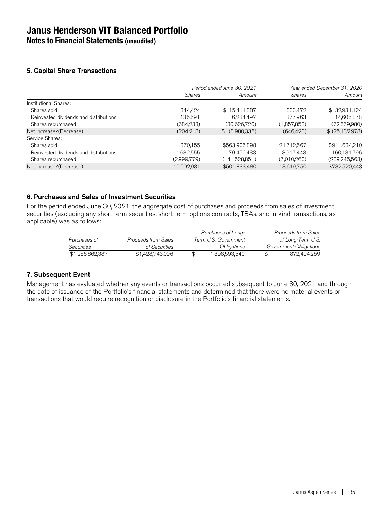**Notes to Financial Statements (unaudited)**

### 5. Capital Share Transactions

|                                        |               | Period ended June 30, 2021 |               | Year ended December 31, 2020 |
|----------------------------------------|---------------|----------------------------|---------------|------------------------------|
|                                        | <b>Shares</b> | Amount                     | <b>Shares</b> | Amount                       |
| Institutional Shares:                  |               |                            |               |                              |
| Shares sold                            | 344.424       | \$15,411,887               | 833,472       | \$32,931,124                 |
| Reinvested dividends and distributions | 135,591       | 6,234,497                  | 377,963       | 14,605,878                   |
| Shares repurchased                     | (684, 233)    | (30,626,720)               | (1,857,858)   | (72,669,980)                 |
| Net Increase/(Decrease)                | (204, 218)    | \$ (8,980,336)             | (646, 423)    | \$(25,132,978)               |
| Service Shares:                        |               |                            |               |                              |
| Shares sold                            | 11,870,155    | \$563,905,898              | 21,712,567    | \$911,634,210                |
| Reinvested dividends and distributions | 1,632,555     | 79,456,433                 | 3,917,443     | 160,131,796                  |
| Shares repurchased                     | (2,999,779)   | (141,528,851)              | (7,010,260)   | (289, 245, 563)              |
| Net Increase/(Decrease)                | 10,502,931    | \$501,833,480              | 18,619,750    | \$782,520,443                |
|                                        |               |                            |               |                              |

### 6. Purchases and Sales of Investment Securities

For the period ended June 30, 2021, the aggregate cost of purchases and proceeds from sales of investment securities (excluding any short-term securities, short-term options contracts, TBAs, and in-kind transactions, as applicable) was as follows:

|                   |                     | Purchases of Long-   | Proceeds from Sales    |
|-------------------|---------------------|----------------------|------------------------|
| Purchases of      | Proceeds from Sales | Term U.S. Government | of Long-Term U.S.      |
| <i>Securities</i> | of Securities       | Obligations          | Government Obligations |
| \$1,256,862,387   | \$1,428,743,096     | 1.398.593.540        | 872.494.259            |

### 7. Subsequent Event

Management has evaluated whether any events or transactions occurred subsequent to June 30, 2021 and through the date of issuance of the Portfolio's financial statements and determined that there were no material events or transactions that would require recognition or disclosure in the Portfolio's financial statements.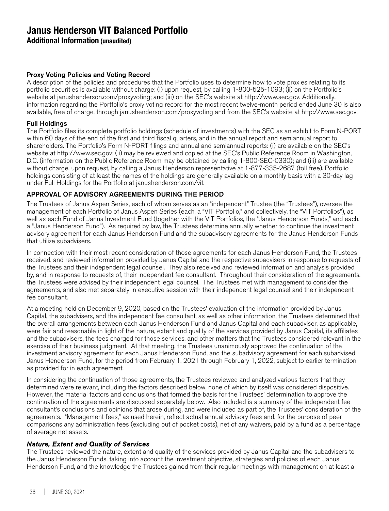**Additional Information (unaudited)**

### Proxy Voting Policies and Voting Record

A description of the policies and procedures that the Portfolio uses to determine how to vote proxies relating to its portfolio securities is available without charge: (i) upon request, by calling 1-800-525-1093; (ii) on the Portfolio's website at janushenderson.com/proxyvoting; and (iii) on the SEC's website at http://www.sec.gov. Additionally, information regarding the Portfolio's proxy voting record for the most recent twelve-month period ended June 30 is also available, free of charge, through janushenderson.com/proxyvoting and from the SEC's website at http://www.sec.gov.

### Full Holdings

The Portfolio files its complete portfolio holdings (schedule of investments) with the SEC as an exhibit to Form N-PORT within 60 days of the end of the first and third fiscal quarters, and in the annual report and semiannual report to shareholders. The Portfolio's Form N-PORT filings and annual and semiannual reports: (i) are available on the SEC's website at http://www.sec.gov; (ii) may be reviewed and copied at the SEC's Public Reference Room in Washington, D.C. (information on the Public Reference Room may be obtained by calling 1-800-SEC-0330); and (iii) are available without charge, upon request, by calling a Janus Henderson representative at 1-877-335-2687 (toll free). Portfolio holdings consisting of at least the names of the holdings are generally available on a monthly basis with a 30-day lag under Full Holdings for the Portfolio at janushenderson.com/vit.

### APPROVAL OF ADVISORY AGREEMENTS DURING THE PERIOD

The Trustees of Janus Aspen Series, each of whom serves as an "independent" Trustee (the "Trustees"), oversee the management of each Portfolio of Janus Aspen Series (each, a "VIT Portfolio," and collectively, the "VIT Portfolios"), as well as each Fund of Janus Investment Fund (together with the VIT Portfolios, the "Janus Henderson Funds," and each, a "Janus Henderson Fund"). As required by law, the Trustees determine annually whether to continue the investment advisory agreement for each Janus Henderson Fund and the subadvisory agreements for the Janus Henderson Funds that utilize subadvisers.

In connection with their most recent consideration of those agreements for each Janus Henderson Fund, the Trustees received, and reviewed information provided by Janus Capital and the respective subadvisers in response to requests of the Trustees and their independent legal counsel. They also received and reviewed information and analysis provided by, and in response to requests of, their independent fee consultant. Throughout their consideration of the agreements, the Trustees were advised by their independent legal counsel. The Trustees met with management to consider the agreements, and also met separately in executive session with their independent legal counsel and their independent fee consultant.

At a meeting held on December 9, 2020, based on the Trustees' evaluation of the information provided by Janus Capital, the subadvisers, and the independent fee consultant, as well as other information, the Trustees determined that the overall arrangements between each Janus Henderson Fund and Janus Capital and each subadviser, as applicable, were fair and reasonable in light of the nature, extent and quality of the services provided by Janus Capital, its affiliates and the subadvisers, the fees charged for those services, and other matters that the Trustees considered relevant in the exercise of their business judgment. At that meeting, the Trustees unanimously approved the continuation of the investment advisory agreement for each Janus Henderson Fund, and the subadvisory agreement for each subadvised Janus Henderson Fund, for the period from February 1, 2021 through February 1, 2022, subject to earlier termination as provided for in each agreement.

In considering the continuation of those agreements, the Trustees reviewed and analyzed various factors that they determined were relevant, including the factors described below, none of which by itself was considered dispositive. However, the material factors and conclusions that formed the basis for the Trustees' determination to approve the continuation of the agreements are discussed separately below. Also included is a summary of the independent fee consultant's conclusions and opinions that arose during, and were included as part of, the Trustees' consideration of the agreements. "Management fees," as used herein, reflect actual annual advisory fees and, for the purpose of peer comparisons any administration fees (excluding out of pocket costs), net of any waivers, paid by a fund as a percentage of average net assets.

### Nature, Extent and Quality of Services

The Trustees reviewed the nature, extent and quality of the services provided by Janus Capital and the subadvisers to the Janus Henderson Funds, taking into account the investment objective, strategies and policies of each Janus Henderson Fund, and the knowledge the Trustees gained from their regular meetings with management on at least a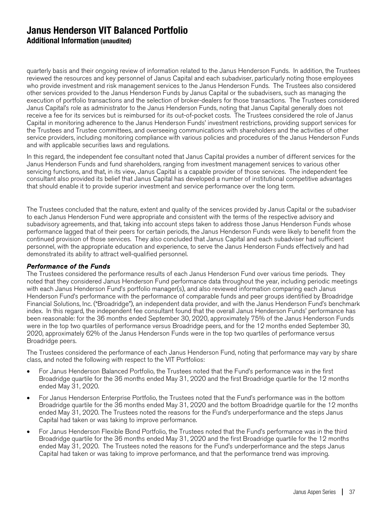quarterly basis and their ongoing review of information related to the Janus Henderson Funds. In addition, the Trustees reviewed the resources and key personnel of Janus Capital and each subadviser, particularly noting those employees who provide investment and risk management services to the Janus Henderson Funds. The Trustees also considered other services provided to the Janus Henderson Funds by Janus Capital or the subadvisers, such as managing the execution of portfolio transactions and the selection of broker-dealers for those transactions. The Trustees considered Janus Capital's role as administrator to the Janus Henderson Funds, noting that Janus Capital generally does not receive a fee for its services but is reimbursed for its out-of-pocket costs. The Trustees considered the role of Janus Capital in monitoring adherence to the Janus Henderson Funds' investment restrictions, providing support services for the Trustees and Trustee committees, and overseeing communications with shareholders and the activities of other service providers, including monitoring compliance with various policies and procedures of the Janus Henderson Funds and with applicable securities laws and regulations.

In this regard, the independent fee consultant noted that Janus Capital provides a number of different services for the Janus Henderson Funds and fund shareholders, ranging from investment management services to various other servicing functions, and that, in its view, Janus Capital is a capable provider of those services. The independent fee consultant also provided its belief that Janus Capital has developed a number of institutional competitive advantages that should enable it to provide superior investment and service performance over the long term.

The Trustees concluded that the nature, extent and quality of the services provided by Janus Capital or the subadviser to each Janus Henderson Fund were appropriate and consistent with the terms of the respective advisory and subadvisory agreements, and that, taking into account steps taken to address those Janus Henderson Funds whose performance lagged that of their peers for certain periods, the Janus Henderson Funds were likely to benefit from the continued provision of those services. They also concluded that Janus Capital and each subadviser had sufficient personnel, with the appropriate education and experience, to serve the Janus Henderson Funds effectively and had demonstrated its ability to attract well-qualified personnel.

### Performance of the Funds

The Trustees considered the performance results of each Janus Henderson Fund over various time periods. They noted that they considered Janus Henderson Fund performance data throughout the year, including periodic meetings with each Janus Henderson Fund's portfolio manager(s), and also reviewed information comparing each Janus Henderson Fund's performance with the performance of comparable funds and peer groups identified by Broadridge Financial Solutions, Inc. ("Broadridge"), an independent data provider, and with the Janus Henderson Fund's benchmark index. In this regard, the independent fee consultant found that the overall Janus Henderson Funds' performance has been reasonable: for the 36 months ended September 30, 2020, approximately 75% of the Janus Henderson Funds were in the top two quartiles of performance versus Broadridge peers, and for the 12 months ended September 30, 2020, approximately 62% of the Janus Henderson Funds were in the top two quartiles of performance versus Broadridge peers.

The Trustees considered the performance of each Janus Henderson Fund, noting that performance may vary by share class, and noted the following with respect to the VIT Portfolios:

- For Janus Henderson Balanced Portfolio, the Trustees noted that the Fund's performance was in the first Broadridge quartile for the 36 months ended May 31, 2020 and the first Broadridge quartile for the 12 months ended May 31, 2020.
- For Janus Henderson Enterprise Portfolio, the Trustees noted that the Fund's performance was in the bottom Broadridge quartile for the 36 months ended May 31, 2020 and the bottom Broadridge quartile for the 12 months ended May 31, 2020. The Trustees noted the reasons for the Fund's underperformance and the steps Janus Capital had taken or was taking to improve performance.
- For Janus Henderson Flexible Bond Portfolio, the Trustees noted that the Fund's performance was in the third Broadridge quartile for the 36 months ended May 31, 2020 and the first Broadridge quartile for the 12 months ended May 31, 2020. The Trustees noted the reasons for the Fund's underperformance and the steps Janus Capital had taken or was taking to improve performance, and that the performance trend was improving.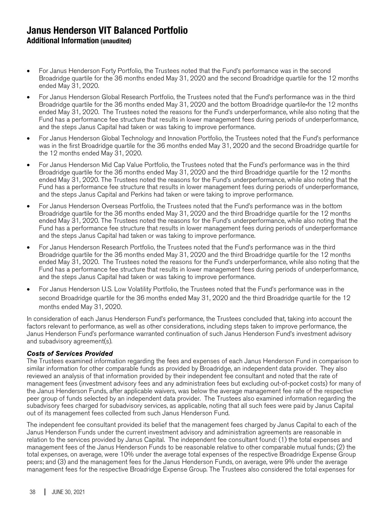- For Janus Henderson Forty Portfolio, the Trustees noted that the Fund's performance was in the second Broadridge quartile for the 36 months ended May 31, 2020 and the second Broadridge quartile for the 12 months ended May 31, 2020.
- For Janus Henderson Global Research Portfolio, the Trustees noted that the Fund's performance was in the third Broadridge quartile for the 36 months ended May 31, 2020 and the bottom Broadridge quartile for the 12 months ended May 31, 2020. The Trustees noted the reasons for the Fund's underperformance, while also noting that the Fund has a performance fee structure that results in lower management fees during periods of underperformance, and the steps Janus Capital had taken or was taking to improve performance.
- For Janus Henderson Global Technology and Innovation Portfolio, the Trustees noted that the Fund's performance was in the first Broadridge quartile for the 36 months ended May 31, 2020 and the second Broadridge quartile for the 12 months ended May 31, 2020.
- For Janus Henderson Mid Cap Value Portfolio, the Trustees noted that the Fund's performance was in the third Broadridge quartile for the 36 months ended May 31, 2020 and the third Broadridge quartile for the 12 months ended May 31, 2020. The Trustees noted the reasons for the Fund's underperformance, while also noting that the Fund has a performance fee structure that results in lower management fees during periods of underperformance, and the steps Janus Capital and Perkins had taken or were taking to improve performance.
- For Janus Henderson Overseas Portfolio, the Trustees noted that the Fund's performance was in the bottom Broadridge quartile for the 36 months ended May 31, 2020 and the third Broadridge quartile for the 12 months ended May 31, 2020. The Trustees noted the reasons for the Fund's underperformance, while also noting that the Fund has a performance fee structure that results in lower management fees during periods of underperformance and the steps Janus Capital had taken or was taking to improve performance.
- For Janus Henderson Research Portfolio, the Trustees noted that the Fund's performance was in the third Broadridge quartile for the 36 months ended May 31, 2020 and the third Broadridge quartile for the 12 months ended May 31, 2020. The Trustees noted the reasons for the Fund's underperformance, while also noting that the Fund has a performance fee structure that results in lower management fees during periods of underperformance, and the steps Janus Capital had taken or was taking to improve performance.
- For Janus Henderson U.S. Low Volatility Portfolio, the Trustees noted that the Fund's performance was in the second Broadridge quartile for the 36 months ended May 31, 2020 and the third Broadridge quartile for the 12 months ended May 31, 2020.

In consideration of each Janus Henderson Fund's performance, the Trustees concluded that, taking into account the factors relevant to performance, as well as other considerations, including steps taken to improve performance, the Janus Henderson Fund's performance warranted continuation of such Janus Henderson Fund's investment advisory and subadvisory agreement(s).

### Costs of Services Provided

The Trustees examined information regarding the fees and expenses of each Janus Henderson Fund in comparison to similar information for other comparable funds as provided by Broadridge, an independent data provider. They also reviewed an analysis of that information provided by their independent fee consultant and noted that the rate of management fees (investment advisory fees and any administration fees but excluding out-of-pocket costs) for many of the Janus Henderson Funds, after applicable waivers, was below the average management fee rate of the respective peer group of funds selected by an independent data provider. The Trustees also examined information regarding the subadvisory fees charged for subadvisory services, as applicable, noting that all such fees were paid by Janus Capital out of its management fees collected from such Janus Henderson Fund.

The independent fee consultant provided its belief that the management fees charged by Janus Capital to each of the Janus Henderson Funds under the current investment advisory and administration agreements are reasonable in relation to the services provided by Janus Capital. The independent fee consultant found: (1) the total expenses and management fees of the Janus Henderson Funds to be reasonable relative to other comparable mutual funds; (2) the total expenses, on average, were 10% under the average total expenses of the respective Broadridge Expense Group peers; and (3) and the management fees for the Janus Henderson Funds, on average, were 9% under the average management fees for the respective Broadridge Expense Group. The Trustees also considered the total expenses for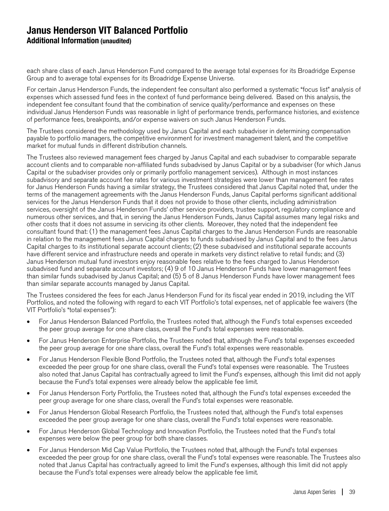each share class of each Janus Henderson Fund compared to the average total expenses for its Broadridge Expense Group and to average total expenses for its Broadridge Expense Universe.

For certain Janus Henderson Funds, the independent fee consultant also performed a systematic "focus list" analysis of expenses which assessed fund fees in the context of fund performance being delivered. Based on this analysis, the independent fee consultant found that the combination of service quality/performance and expenses on these individual Janus Henderson Funds was reasonable in light of performance trends, performance histories, and existence of performance fees, breakpoints, and/or expense waivers on such Janus Henderson Funds.

The Trustees considered the methodology used by Janus Capital and each subadviser in determining compensation payable to portfolio managers, the competitive environment for investment management talent, and the competitive market for mutual funds in different distribution channels.

The Trustees also reviewed management fees charged by Janus Capital and each subadviser to comparable separate account clients and to comparable non-affiliated funds subadvised by Janus Capital or by a subadviser (for which Janus Capital or the subadviser provides only or primarily portfolio management services). Although in most instances subadvisory and separate account fee rates for various investment strategies were lower than management fee rates for Janus Henderson Funds having a similar strategy, the Trustees considered that Janus Capital noted that, under the terms of the management agreements with the Janus Henderson Funds, Janus Capital performs significant additional services for the Janus Henderson Funds that it does not provide to those other clients, including administration services, oversight of the Janus Henderson Funds' other service providers, trustee support, regulatory compliance and numerous other services, and that, in serving the Janus Henderson Funds, Janus Capital assumes many legal risks and other costs that it does not assume in servicing its other clients. Moreover, they noted that the independent fee consultant found that: (1) the management fees Janus Capital charges to the Janus Henderson Funds are reasonable in relation to the management fees Janus Capital charges to funds subadvised by Janus Capital and to the fees Janus Capital charges to its institutional separate account clients; (2) these subadvised and institutional separate accounts have different service and infrastructure needs and operate in markets very distinct relative to retail funds; and (3) Janus Henderson mutual fund investors enjoy reasonable fees relative to the fees charged to Janus Henderson subadvised fund and separate account investors; (4) 9 of 10 Janus Henderson Funds have lower management fees than similar funds subadvised by Janus Capital; and (5) 5 of 8 Janus Henderson Funds have lower management fees than similar separate accounts managed by Janus Capital.

The Trustees considered the fees for each Janus Henderson Fund for its fiscal year ended in 2019, including the VIT Portfolios, and noted the following with regard to each VIT Portfolio's total expenses, net of applicable fee waivers (the VIT Portfolio's "total expenses"):

- For Janus Henderson Balanced Portfolio, the Trustees noted that, although the Fund's total expenses exceeded the peer group average for one share class, overall the Fund's total expenses were reasonable.
- For Janus Henderson Enterprise Portfolio, the Trustees noted that, although the Fund's total expenses exceeded the peer group average for one share class, overall the Fund's total expenses were reasonable.
- For Janus Henderson Flexible Bond Portfolio, the Trustees noted that, although the Fund's total expenses exceeded the peer group for one share class, overall the Fund's total expenses were reasonable. The Trustees also noted that Janus Capital has contractually agreed to limit the Fund's expenses, although this limit did not apply because the Fund's total expenses were already below the applicable fee limit.
- For Janus Henderson Forty Portfolio, the Trustees noted that, although the Fund's total expenses exceeded the peer group average for one share class, overall the Fund's total expenses were reasonable.
- For Janus Henderson Global Research Portfolio, the Trustees noted that, although the Fund's total expenses exceeded the peer group average for one share class, overall the Fund's total expenses were reasonable.
- For Janus Henderson Global Technology and Innovation Portfolio, the Trustees noted that the Fund's total expenses were below the peer group for both share classes.
- For Janus Henderson Mid Cap Value Portfolio, the Trustees noted that, although the Fund's total expenses exceeded the peer group for one share class, overall the Fund's total expenses were reasonable. The Trustees also noted that Janus Capital has contractually agreed to limit the Fund's expenses, although this limit did not apply because the Fund's total expenses were already below the applicable fee limit.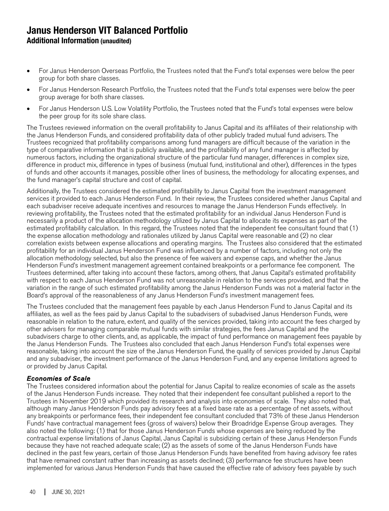- For Janus Henderson Overseas Portfolio, the Trustees noted that the Fund's total expenses were below the peer group for both share classes.
- For Janus Henderson Research Portfolio, the Trustees noted that the Fund's total expenses were below the peer group average for both share classes.
- For Janus Henderson U.S. Low Volatility Portfolio, the Trustees noted that the Fund's total expenses were below the peer group for its sole share class.

The Trustees reviewed information on the overall profitability to Janus Capital and its affiliates of their relationship with the Janus Henderson Funds, and considered profitability data of other publicly traded mutual fund advisers. The Trustees recognized that profitability comparisons among fund managers are difficult because of the variation in the type of comparative information that is publicly available, and the profitability of any fund manager is affected by numerous factors, including the organizational structure of the particular fund manager, differences in complex size, difference in product mix, difference in types of business (mutual fund, institutional and other), differences in the types of funds and other accounts it manages, possible other lines of business, the methodology for allocating expenses, and the fund manager's capital structure and cost of capital.

Additionally, the Trustees considered the estimated profitability to Janus Capital from the investment management services it provided to each Janus Henderson Fund. In their review, the Trustees considered whether Janus Capital and each subadviser receive adequate incentives and resources to manage the Janus Henderson Funds effectively. In reviewing profitability, the Trustees noted that the estimated profitability for an individual Janus Henderson Fund is necessarily a product of the allocation methodology utilized by Janus Capital to allocate its expenses as part of the estimated profitability calculation. In this regard, the Trustees noted that the independent fee consultant found that (1) the expense allocation methodology and rationales utilized by Janus Capital were reasonable and (2) no clear correlation exists between expense allocations and operating margins. The Trustees also considered that the estimated profitability for an individual Janus Henderson Fund was influenced by a number of factors, including not only the allocation methodology selected, but also the presence of fee waivers and expense caps, and whether the Janus Henderson Fund's investment management agreement contained breakpoints or a performance fee component. The Trustees determined, after taking into account these factors, among others, that Janus Capital's estimated profitability with respect to each Janus Henderson Fund was not unreasonable in relation to the services provided, and that the variation in the range of such estimated profitability among the Janus Henderson Funds was not a material factor in the Board's approval of the reasonableness of any Janus Henderson Fund's investment management fees.

The Trustees concluded that the management fees payable by each Janus Henderson Fund to Janus Capital and its affiliates, as well as the fees paid by Janus Capital to the subadvisers of subadvised Janus Henderson Funds, were reasonable in relation to the nature, extent, and quality of the services provided, taking into account the fees charged by other advisers for managing comparable mutual funds with similar strategies, the fees Janus Capital and the subadvisers charge to other clients, and, as applicable, the impact of fund performance on management fees payable by the Janus Henderson Funds. The Trustees also concluded that each Janus Henderson Fund's total expenses were reasonable, taking into account the size of the Janus Henderson Fund, the quality of services provided by Janus Capital and any subadviser, the investment performance of the Janus Henderson Fund, and any expense limitations agreed to or provided by Janus Capital.

### Economies of Scale

The Trustees considered information about the potential for Janus Capital to realize economies of scale as the assets of the Janus Henderson Funds increase. They noted that their independent fee consultant published a report to the Trustees in November 2019 which provided its research and analysis into economies of scale. They also noted that, although many Janus Henderson Funds pay advisory fees at a fixed base rate as a percentage of net assets, without any breakpoints or performance fees, their independent fee consultant concluded that 73% of these Janus Henderson Funds' have contractual management fees (gross of waivers) below their Broadridge Expense Group averages. They also noted the following: (1) that for those Janus Henderson Funds whose expenses are being reduced by the contractual expense limitations of Janus Capital, Janus Capital is subsidizing certain of these Janus Henderson Funds because they have not reached adequate scale; (2) as the assets of some of the Janus Henderson Funds have declined in the past few years, certain of those Janus Henderson Funds have benefited from having advisory fee rates that have remained constant rather than increasing as assets declined; (3) performance fee structures have been implemented for various Janus Henderson Funds that have caused the effective rate of advisory fees payable by such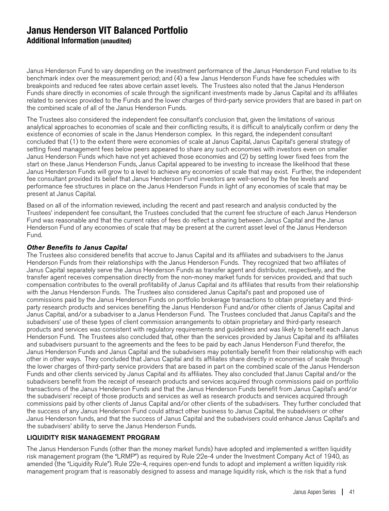Janus Henderson Fund to vary depending on the investment performance of the Janus Henderson Fund relative to its benchmark index over the measurement period; and (4) a few Janus Henderson Funds have fee schedules with breakpoints and reduced fee rates above certain asset levels. The Trustees also noted that the Janus Henderson Funds share directly in economies of scale through the significant investments made by Janus Capital and its affiliates related to services provided to the Funds and the lower charges of third-party service providers that are based in part on the combined scale of all of the Janus Henderson Funds.

The Trustees also considered the independent fee consultant's conclusion that, given the limitations of various analytical approaches to economies of scale and their conflicting results, it is difficult to analytically confirm or deny the existence of economies of scale in the Janus Henderson complex. In this regard, the independent consultant concluded that (1) to the extent there were economies of scale at Janus Capital, Janus Capital's general strategy of setting fixed management fees below peers appeared to share any such economies with investors even on smaller Janus Henderson Funds which have not yet achieved those economies and (2) by setting lower fixed fees from the start on these Janus Henderson Funds, Janus Capital appeared to be investing to increase the likelihood that these Janus Henderson Funds will grow to a level to achieve any economies of scale that may exist. Further, the independent fee consultant provided its belief that Janus Henderson Fund investors are well-served by the fee levels and performance fee structures in place on the Janus Henderson Funds in light of any economies of scale that may be present at Janus Capital.

Based on all of the information reviewed, including the recent and past research and analysis conducted by the Trustees' independent fee consultant, the Trustees concluded that the current fee structure of each Janus Henderson Fund was reasonable and that the current rates of fees do reflect a sharing between Janus Capital and the Janus Henderson Fund of any economies of scale that may be present at the current asset level of the Janus Henderson Fund.

### Other Benefits to Janus Capital

The Trustees also considered benefits that accrue to Janus Capital and its affiliates and subadvisers to the Janus Henderson Funds from their relationships with the Janus Henderson Funds. They recognized that two affiliates of Janus Capital separately serve the Janus Henderson Funds as transfer agent and distributor, respectively, and the transfer agent receives compensation directly from the non-money market funds for services provided, and that such compensation contributes to the overall profitability of Janus Capital and its affiliates that results from their relationship with the Janus Henderson Funds. The Trustees also considered Janus Capital's past and proposed use of commissions paid by the Janus Henderson Funds on portfolio brokerage transactions to obtain proprietary and thirdparty research products and services benefiting the Janus Henderson Fund and/or other clients of Janus Capital and Janus Capital, and/or a subadviser to a Janus Henderson Fund. The Trustees concluded that Janus Capital's and the subadvisers' use of these types of client commission arrangements to obtain proprietary and third-party research products and services was consistent with regulatory requirements and guidelines and was likely to benefit each Janus Henderson Fund. The Trustees also concluded that, other than the services provided by Janus Capital and its affiliates and subadvisers pursuant to the agreements and the fees to be paid by each Janus Henderson Fund therefor, the Janus Henderson Funds and Janus Capital and the subadvisers may potentially benefit from their relationship with each other in other ways. They concluded that Janus Capital and its affiliates share directly in economies of scale through the lower charges of third-party service providers that are based in part on the combined scale of the Janus Henderson Funds and other clients serviced by Janus Capital and its affiliates. They also concluded that Janus Capital and/or the subadvisers benefit from the receipt of research products and services acquired through commissions paid on portfolio transactions of the Janus Henderson Funds and that the Janus Henderson Funds benefit from Janus Capital's and/or the subadvisers' receipt of those products and services as well as research products and services acquired through commissions paid by other clients of Janus Capital and/or other clients of the subadvisers. They further concluded that the success of any Janus Henderson Fund could attract other business to Janus Capital, the subadvisers or other Janus Henderson funds, and that the success of Janus Capital and the subadvisers could enhance Janus Capital's and the subadvisers' ability to serve the Janus Henderson Funds.

### LIQUIDITY RISK MANAGEMENT PROGRAM

The Janus Henderson Funds (other than the money market funds) have adopted and implemented a written liquidity risk management program (the "LRMP") as required by Rule 22e-4 under the Investment Company Act of 1940, as amended (the "Liquidity Rule"). Rule 22e-4, requires open-end funds to adopt and implement a written liquidity risk management program that is reasonably designed to assess and manage liquidity risk, which is the risk that a fund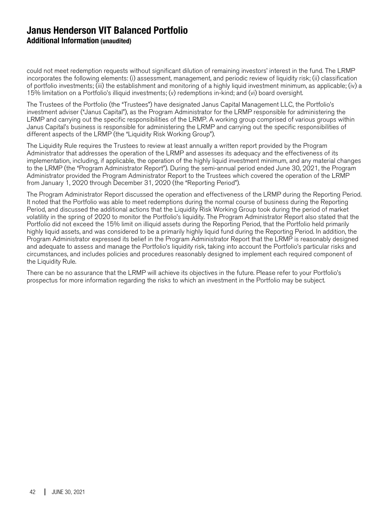could not meet redemption requests without significant dilution of remaining investors' interest in the fund. The LRMP incorporates the following elements: (i) assessment, management, and periodic review of liquidity risk; (ii) classification of portfolio investments; (iii) the establishment and monitoring of a highly liquid investment minimum, as applicable; (iv) a 15% limitation on a Portfolio's illiquid investments; (v) redemptions in-kind; and (vi) board oversight.

The Trustees of the Portfolio (the "Trustees") have designated Janus Capital Management LLC, the Portfolio's investment adviser ("Janus Capital"), as the Program Administrator for the LRMP responsible for administering the LRMP and carrying out the specific responsibilities of the LRMP. A working group comprised of various groups within Janus Capital's business is responsible for administering the LRMP and carrying out the specific responsibilities of different aspects of the LRMP (the "Liquidity Risk Working Group").

The Liquidity Rule requires the Trustees to review at least annually a written report provided by the Program Administrator that addresses the operation of the LRMP and assesses its adequacy and the effectiveness of its implementation, including, if applicable, the operation of the highly liquid investment minimum, and any material changes to the LRMP (the "Program Administrator Report"). During the semi-annual period ended June 30, 2021, the Program Administrator provided the Program Administrator Report to the Trustees which covered the operation of the LRMP from January 1, 2020 through December 31, 2020 (the "Reporting Period").

The Program Administrator Report discussed the operation and effectiveness of the LRMP during the Reporting Period. It noted that the Portfolio was able to meet redemptions during the normal course of business during the Reporting Period, and discussed the additional actions that the Liquidity Risk Working Group took during the period of market volatility in the spring of 2020 to monitor the Portfolio's liquidity. The Program Administrator Report also stated that the Portfolio did not exceed the 15% limit on illiquid assets during the Reporting Period, that the Portfolio held primarily highly liquid assets, and was considered to be a primarily highly liquid fund during the Reporting Period. In addition, the Program Administrator expressed its belief in the Program Administrator Report that the LRMP is reasonably designed and adequate to assess and manage the Portfolio's liquidity risk, taking into account the Portfolio's particular risks and circumstances, and includes policies and procedures reasonably designed to implement each required component of the Liquidity Rule.

There can be no assurance that the LRMP will achieve its objectives in the future. Please refer to your Portfolio's prospectus for more information regarding the risks to which an investment in the Portfolio may be subject.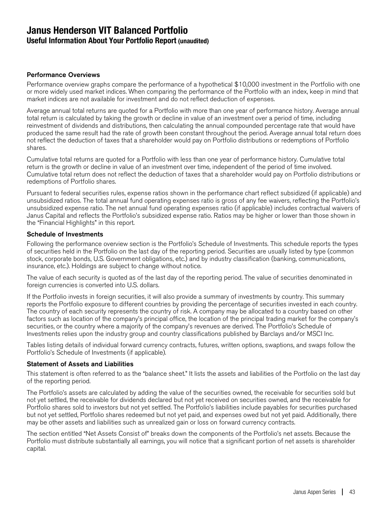## **Janus Henderson VIT Balanced Portfolio Useful Information About Your Portfolio Report (unaudited)**

### Performance Overviews

Performance overview graphs compare the performance of a hypothetical \$10,000 investment in the Portfolio with one or more widely used market indices. When comparing the performance of the Portfolio with an index, keep in mind that market indices are not available for investment and do not reflect deduction of expenses.

Average annual total returns are quoted for a Portfolio with more than one year of performance history. Average annual total return is calculated by taking the growth or decline in value of an investment over a period of time, including reinvestment of dividends and distributions, then calculating the annual compounded percentage rate that would have produced the same result had the rate of growth been constant throughout the period. Average annual total return does not reflect the deduction of taxes that a shareholder would pay on Portfolio distributions or redemptions of Portfolio shares.

Cumulative total returns are quoted for a Portfolio with less than one year of performance history. Cumulative total return is the growth or decline in value of an investment over time, independent of the period of time involved. Cumulative total return does not reflect the deduction of taxes that a shareholder would pay on Portfolio distributions or redemptions of Portfolio shares.

Pursuant to federal securities rules, expense ratios shown in the performance chart reflect subsidized (if applicable) and unsubsidized ratios. The total annual fund operating expenses ratio is gross of any fee waivers, reflecting the Portfolio's unsubsidized expense ratio. The net annual fund operating expenses ratio (if applicable) includes contractual waivers of Janus Capital and reflects the Portfolio's subsidized expense ratio. Ratios may be higher or lower than those shown in the "Financial Highlights" in this report.

### Schedule of Investments

Following the performance overview section is the Portfolio's Schedule of Investments. This schedule reports the types of securities held in the Portfolio on the last day of the reporting period. Securities are usually listed by type (common stock, corporate bonds, U.S. Government obligations, etc.) and by industry classification (banking, communications, insurance, etc.). Holdings are subject to change without notice.

The value of each security is quoted as of the last day of the reporting period. The value of securities denominated in foreign currencies is converted into U.S. dollars.

If the Portfolio invests in foreign securities, it will also provide a summary of investments by country. This summary reports the Portfolio exposure to different countries by providing the percentage of securities invested in each country. The country of each security represents the country of risk. A company may be allocated to a country based on other factors such as location of the company's principal office, the location of the principal trading market for the company's securities, or the country where a majority of the company's revenues are derived. The Portfolio's Schedule of Investments relies upon the industry group and country classifications published by Barclays and/or MSCI Inc.

Tables listing details of individual forward currency contracts, futures, written options, swaptions, and swaps follow the Portfolio's Schedule of Investments (if applicable).

#### Statement of Assets and Liabilities

This statement is often referred to as the "balance sheet." It lists the assets and liabilities of the Portfolio on the last day of the reporting period.

The Portfolio's assets are calculated by adding the value of the securities owned, the receivable for securities sold but not yet settled, the receivable for dividends declared but not yet received on securities owned, and the receivable for Portfolio shares sold to investors but not yet settled. The Portfolio's liabilities include payables for securities purchased but not yet settled, Portfolio shares redeemed but not yet paid, and expenses owed but not yet paid. Additionally, there may be other assets and liabilities such as unrealized gain or loss on forward currency contracts.

The section entitled "Net Assets Consist of" breaks down the components of the Portfolio's net assets. Because the Portfolio must distribute substantially all earnings, you will notice that a significant portion of net assets is shareholder capital.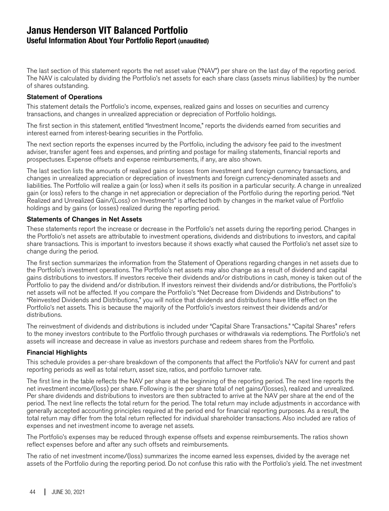## **Janus Henderson VIT Balanced Portfolio Useful Information About Your Portfolio Report (unaudited)**

The last section of this statement reports the net asset value ("NAV") per share on the last day of the reporting period. The NAV is calculated by dividing the Portfolio's net assets for each share class (assets minus liabilities) by the number of shares outstanding.

### Statement of Operations

This statement details the Portfolio's income, expenses, realized gains and losses on securities and currency transactions, and changes in unrealized appreciation or depreciation of Portfolio holdings.

The first section in this statement, entitled "Investment Income," reports the dividends earned from securities and interest earned from interest-bearing securities in the Portfolio.

The next section reports the expenses incurred by the Portfolio, including the advisory fee paid to the investment adviser, transfer agent fees and expenses, and printing and postage for mailing statements, financial reports and prospectuses. Expense offsets and expense reimbursements, if any, are also shown.

The last section lists the amounts of realized gains or losses from investment and foreign currency transactions, and changes in unrealized appreciation or depreciation of investments and foreign currency-denominated assets and liabilities. The Portfolio will realize a gain (or loss) when it sells its position in a particular security. A change in unrealized gain (or loss) refers to the change in net appreciation or depreciation of the Portfolio during the reporting period. "Net Realized and Unrealized Gain/(Loss) on Investments" is affected both by changes in the market value of Portfolio holdings and by gains (or losses) realized during the reporting period.

### Statements of Changes in Net Assets

These statements report the increase or decrease in the Portfolio's net assets during the reporting period. Changes in the Portfolio's net assets are attributable to investment operations, dividends and distributions to investors, and capital share transactions. This is important to investors because it shows exactly what caused the Portfolio's net asset size to change during the period.

The first section summarizes the information from the Statement of Operations regarding changes in net assets due to the Portfolio's investment operations. The Portfolio's net assets may also change as a result of dividend and capital gains distributions to investors. If investors receive their dividends and/or distributions in cash, money is taken out of the Portfolio to pay the dividend and/or distribution. If investors reinvest their dividends and/or distributions, the Portfolio's net assets will not be affected. If you compare the Portfolio's "Net Decrease from Dividends and Distributions" to "Reinvested Dividends and Distributions," you will notice that dividends and distributions have little effect on the Portfolio's net assets. This is because the majority of the Portfolio's investors reinvest their dividends and/or distributions.

The reinvestment of dividends and distributions is included under "Capital Share Transactions." "Capital Shares" refers to the money investors contribute to the Portfolio through purchases or withdrawals via redemptions. The Portfolio's net assets will increase and decrease in value as investors purchase and redeem shares from the Portfolio.

### Financial Highlights

This schedule provides a per-share breakdown of the components that affect the Portfolio's NAV for current and past reporting periods as well as total return, asset size, ratios, and portfolio turnover rate.

The first line in the table reflects the NAV per share at the beginning of the reporting period. The next line reports the net investment income/(loss) per share. Following is the per share total of net gains/(losses), realized and unrealized. Per share dividends and distributions to investors are then subtracted to arrive at the NAV per share at the end of the period. The next line reflects the total return for the period. The total return may include adjustments in accordance with generally accepted accounting principles required at the period end for financial reporting purposes. As a result, the total return may differ from the total return reflected for individual shareholder transactions. Also included are ratios of expenses and net investment income to average net assets.

The Portfolio's expenses may be reduced through expense offsets and expense reimbursements. The ratios shown reflect expenses before and after any such offsets and reimbursements.

The ratio of net investment income/(loss) summarizes the income earned less expenses, divided by the average net assets of the Portfolio during the reporting period. Do not confuse this ratio with the Portfolio's yield. The net investment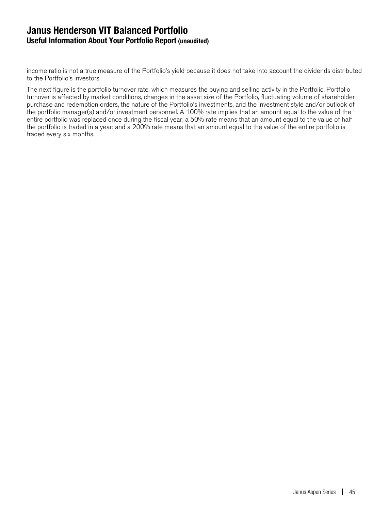## **Janus Henderson VIT Balanced Portfolio Useful Information About Your Portfolio Report (unaudited)**

income ratio is not a true measure of the Portfolio's yield because it does not take into account the dividends distributed to the Portfolio's investors.

The next figure is the portfolio turnover rate, which measures the buying and selling activity in the Portfolio. Portfolio turnover is affected by market conditions, changes in the asset size of the Portfolio, fluctuating volume of shareholder purchase and redemption orders, the nature of the Portfolio's investments, and the investment style and/or outlook of the portfolio manager(s) and/or investment personnel. A 100% rate implies that an amount equal to the value of the entire portfolio was replaced once during the fiscal year; a 50% rate means that an amount equal to the value of half the portfolio is traded in a year; and a 200% rate means that an amount equal to the value of the entire portfolio is traded every six months.